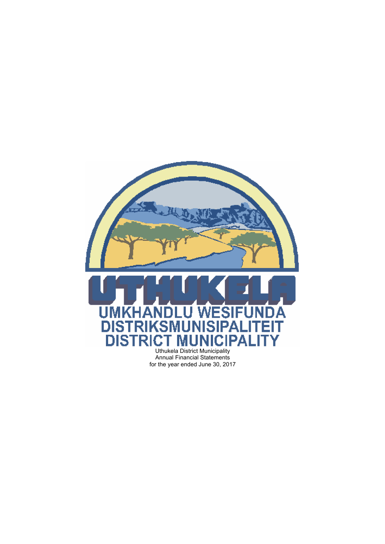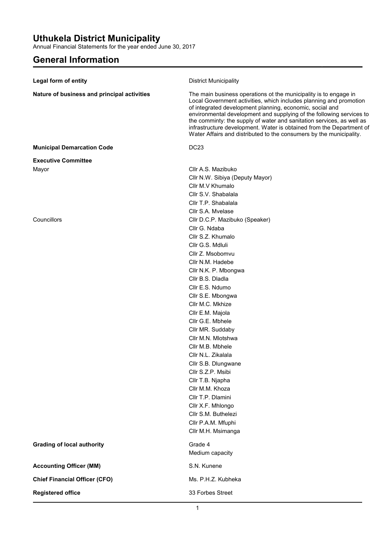Annual Financial Statements for the year ended June 30, 2017

### **General Information**

| Legal form of entity                        | <b>District Municipality</b>                                                                                                                                                                                                                                                                                                                                                                                                                                                                       |
|---------------------------------------------|----------------------------------------------------------------------------------------------------------------------------------------------------------------------------------------------------------------------------------------------------------------------------------------------------------------------------------------------------------------------------------------------------------------------------------------------------------------------------------------------------|
| Nature of business and principal activities | The main business operations ot the municipality is to engage in<br>Local Government activities, which includes planning and promotion<br>of integrated development planning, economic, social and<br>environmental development and supplying of the following services to<br>the comminty: the supply of water and sanitation services, as well as<br>infrastructure development. Water is obtained from the Department of<br>Water Affairs and distributed to the consumers by the municipality. |
| <b>Municipal Demarcation Code</b>           | <b>DC23</b>                                                                                                                                                                                                                                                                                                                                                                                                                                                                                        |
| <b>Executive Committee</b>                  |                                                                                                                                                                                                                                                                                                                                                                                                                                                                                                    |
| Mayor                                       | Cllr A.S. Mazibuko                                                                                                                                                                                                                                                                                                                                                                                                                                                                                 |
|                                             | Cllr N.W. Sibiya (Deputy Mayor)                                                                                                                                                                                                                                                                                                                                                                                                                                                                    |
|                                             | Cllr M.V Khumalo                                                                                                                                                                                                                                                                                                                                                                                                                                                                                   |
|                                             | Cllr S.V. Shabalala                                                                                                                                                                                                                                                                                                                                                                                                                                                                                |
|                                             | Cllr T.P. Shabalala                                                                                                                                                                                                                                                                                                                                                                                                                                                                                |
|                                             | Cllr S.A. Myelase                                                                                                                                                                                                                                                                                                                                                                                                                                                                                  |
| Councillors                                 | Cllr D.C.P. Mazibuko (Speaker)                                                                                                                                                                                                                                                                                                                                                                                                                                                                     |
|                                             | Cllr G. Ndaba                                                                                                                                                                                                                                                                                                                                                                                                                                                                                      |
|                                             | Cllr S.Z. Khumalo                                                                                                                                                                                                                                                                                                                                                                                                                                                                                  |
|                                             | Cllr G.S. Mdluli                                                                                                                                                                                                                                                                                                                                                                                                                                                                                   |
|                                             | Cllr Z. Msobomvu                                                                                                                                                                                                                                                                                                                                                                                                                                                                                   |
|                                             | Cllr N.M. Hadebe                                                                                                                                                                                                                                                                                                                                                                                                                                                                                   |
|                                             | Cllr N.K. P. Mbongwa                                                                                                                                                                                                                                                                                                                                                                                                                                                                               |
|                                             | Cllr B.S. Dladla                                                                                                                                                                                                                                                                                                                                                                                                                                                                                   |
|                                             | Cllr E.S. Ndumo                                                                                                                                                                                                                                                                                                                                                                                                                                                                                    |
|                                             | Cllr S.E. Mbongwa<br>Cllr M.C. Mkhize                                                                                                                                                                                                                                                                                                                                                                                                                                                              |
|                                             | Cllr E.M. Majola                                                                                                                                                                                                                                                                                                                                                                                                                                                                                   |
|                                             | Cllr G.E. Mbhele                                                                                                                                                                                                                                                                                                                                                                                                                                                                                   |
|                                             | Cllr MR. Suddaby                                                                                                                                                                                                                                                                                                                                                                                                                                                                                   |
|                                             | Cllr M.N. Mlotshwa                                                                                                                                                                                                                                                                                                                                                                                                                                                                                 |
|                                             | Cllr M.B. Mbhele                                                                                                                                                                                                                                                                                                                                                                                                                                                                                   |
|                                             | Cllr N.L. Zikalala                                                                                                                                                                                                                                                                                                                                                                                                                                                                                 |
|                                             | Cllr S.B. Dlungwane                                                                                                                                                                                                                                                                                                                                                                                                                                                                                |
|                                             | Cllr S.Z.P. Msibi                                                                                                                                                                                                                                                                                                                                                                                                                                                                                  |
|                                             | Cllr T.B. Njapha                                                                                                                                                                                                                                                                                                                                                                                                                                                                                   |
|                                             | Cllr M.M. Khoza                                                                                                                                                                                                                                                                                                                                                                                                                                                                                    |
|                                             | Cllr T.P. Dlamini                                                                                                                                                                                                                                                                                                                                                                                                                                                                                  |
|                                             | Cllr X.F. Mhlongo                                                                                                                                                                                                                                                                                                                                                                                                                                                                                  |
|                                             | Cllr S.M. Buthelezi                                                                                                                                                                                                                                                                                                                                                                                                                                                                                |
|                                             | Cllr P.A.M. Mfuphi                                                                                                                                                                                                                                                                                                                                                                                                                                                                                 |
|                                             | Cllr M.H. Msimanga                                                                                                                                                                                                                                                                                                                                                                                                                                                                                 |
| <b>Grading of local authority</b>           | Grade 4                                                                                                                                                                                                                                                                                                                                                                                                                                                                                            |
|                                             | Medium capacity                                                                                                                                                                                                                                                                                                                                                                                                                                                                                    |
| <b>Accounting Officer (MM)</b>              | S.N. Kunene                                                                                                                                                                                                                                                                                                                                                                                                                                                                                        |
| <b>Chief Financial Officer (CFO)</b>        | Ms. P.H.Z. Kubheka                                                                                                                                                                                                                                                                                                                                                                                                                                                                                 |
| <b>Registered office</b>                    | 33 Forbes Street                                                                                                                                                                                                                                                                                                                                                                                                                                                                                   |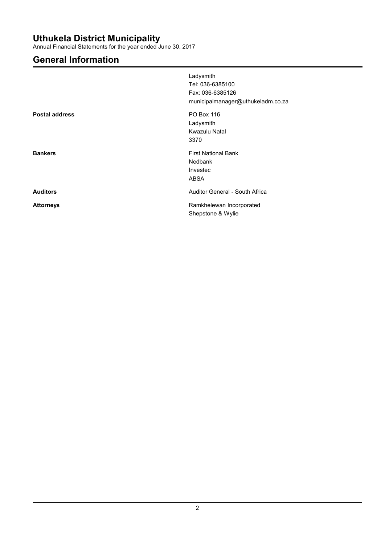Annual Financial Statements for the year ended June 30, 2017

### **General Information**

|                       | Ladysmith                         |
|-----------------------|-----------------------------------|
|                       | Tel: 036-6385100                  |
|                       | Fax: 036-6385126                  |
|                       | municipalmanager@uthukeladm.co.za |
| <b>Postal address</b> | <b>PO Box 116</b>                 |
|                       | Ladysmith                         |
|                       | Kwazulu Natal                     |
|                       | 3370                              |
| <b>Bankers</b>        | <b>First National Bank</b>        |
|                       | <b>Nedbank</b>                    |
|                       | Investec                          |
|                       | <b>ABSA</b>                       |
| <b>Auditors</b>       | Auditor General - South Africa    |
| <b>Attorneys</b>      | Ramkhelewan Incorporated          |
|                       | Shepstone & Wylie                 |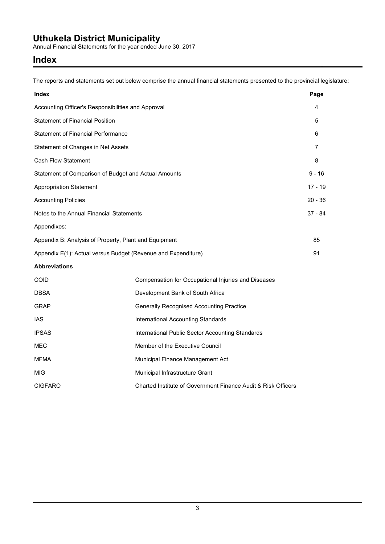Annual Financial Statements for the year ended June 30, 2017

### **Index**

The reports and statements set out below comprise the annual financial statements presented to the provincial legislature:

| Index                                                         |                                                               | Page |  |  |  |
|---------------------------------------------------------------|---------------------------------------------------------------|------|--|--|--|
| Accounting Officer's Responsibilities and Approval            |                                                               | 4    |  |  |  |
| <b>Statement of Financial Position</b>                        |                                                               | 5    |  |  |  |
| <b>Statement of Financial Performance</b>                     |                                                               | 6    |  |  |  |
| Statement of Changes in Net Assets                            |                                                               | 7    |  |  |  |
| <b>Cash Flow Statement</b>                                    |                                                               | 8    |  |  |  |
| Statement of Comparison of Budget and Actual Amounts          |                                                               |      |  |  |  |
| <b>Appropriation Statement</b>                                |                                                               |      |  |  |  |
| <b>Accounting Policies</b>                                    |                                                               |      |  |  |  |
| Notes to the Annual Financial Statements                      |                                                               |      |  |  |  |
| Appendixes:                                                   |                                                               |      |  |  |  |
| Appendix B: Analysis of Property, Plant and Equipment         |                                                               |      |  |  |  |
| Appendix E(1): Actual versus Budget (Revenue and Expenditure) |                                                               | 91   |  |  |  |
| <b>Abbreviations</b>                                          |                                                               |      |  |  |  |
| <b>COID</b>                                                   | Compensation for Occupational Injuries and Diseases           |      |  |  |  |
| <b>DBSA</b>                                                   | Development Bank of South Africa                              |      |  |  |  |
| <b>GRAP</b>                                                   | <b>Generally Recognised Accounting Practice</b>               |      |  |  |  |
| <b>IAS</b>                                                    | International Accounting Standards                            |      |  |  |  |
| <b>IPSAS</b>                                                  | International Public Sector Accounting Standards              |      |  |  |  |
| MEC                                                           | Member of the Executive Council                               |      |  |  |  |
| MFMA                                                          | Municipal Finance Management Act                              |      |  |  |  |
| MIG                                                           | Municipal Infrastructure Grant                                |      |  |  |  |
| <b>CIGFARO</b>                                                | Charted Institute of Government Finance Audit & Risk Officers |      |  |  |  |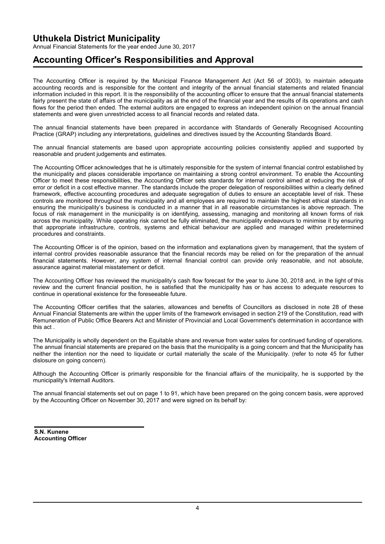Annual Financial Statements for the year ended June 30, 2017

### **Accounting Officer's Responsibilities and Approval**

The Accounting Officer is required by the Municipal Finance Management Act (Act 56 of 2003), to maintain adequate accounting records and is responsible for the content and integrity of the annual financial statements and related financial information included in this report. It is the responsibility of the accounting officer to ensure that the annual financial statements fairly present the state of affairs of the municipality as at the end of the financial year and the results of its operations and cash flows for the period then ended. The external auditors are engaged to express an independent opinion on the annual financial statements and were given unrestricted access to all financial records and related data.

The annual financial statements have been prepared in accordance with Standards of Generally Recognised Accounting Practice (GRAP) including any interpretations, guidelines and directives issued by the Accounting Standards Board.

The annual financial statements are based upon appropriate accounting policies consistently applied and supported by reasonable and prudent judgements and estimates.

The Accounting Officer acknowledges that he is ultimately responsible for the system of internal financial control established by the municipality and places considerable importance on maintaining a strong control environment. To enable the Accounting Officer to meet these responsibilities, the Accounting Officer sets standards for internal control aimed at reducing the risk of error or deficit in a cost effective manner. The standards include the proper delegation of responsibilities within a clearly defined framework, effective accounting procedures and adequate segregation of duties to ensure an acceptable level of risk. These controls are monitored throughout the municipality and all employees are required to maintain the highest ethical standards in ensuring the municipality's business is conducted in a manner that in all reasonable circumstances is above reproach. The focus of risk management in the municipality is on identifying, assessing, managing and monitoring all known forms of risk across the municipality. While operating risk cannot be fully eliminated, the municipality endeavours to minimise it by ensuring that appropriate infrastructure, controls, systems and ethical behaviour are applied and managed within predetermined procedures and constraints.

The Accounting Officer is of the opinion, based on the information and explanations given by management, that the system of internal control provides reasonable assurance that the financial records may be relied on for the preparation of the annual financial statements. However, any system of internal financial control can provide only reasonable, and not absolute, assurance against material misstatement or deficit.

The Accounting Officer has reviewed the municipality's cash flow forecast for the year to June 30, 2018 and, in the light of this review and the current financial position, he is satisfied that the municipality has or has access to adequate resources to continue in operational existence for the foreseeable future.

The Accounting Officer certifies that the salaries, allowances and benefits of Councillors as disclosed in note 28 of these Annual Financial Statements are within the upper limits of the framework envisaged in section 219 of the Constitution, read with Remuneration of Public Office Bearers Act and Minister of Provincial and Local Government's determination in accordance with this act .

The Municipality is wholly dependent on the Equitable share and revenue from water sales for continued funding of operations. The annual financial statements are prepared on the basis that the municipality is a going concern and that the Municipality has neither the intention nor the need to liquidate or curtail materially the scale of the Municipality. (refer to note 45 for futher dislosure on going concern).

Although the Accounting Officer is primarily responsible for the financial affairs of the municipality, he is supported by the municipality's Internall Auditors.

The annual financial statements set out on page 1 to 91, which have been prepared on the going concern basis, were approved by the Accounting Officer on November 30, 2017 and were signed on its behalf by:

**S.N. Kunene Accounting Officer**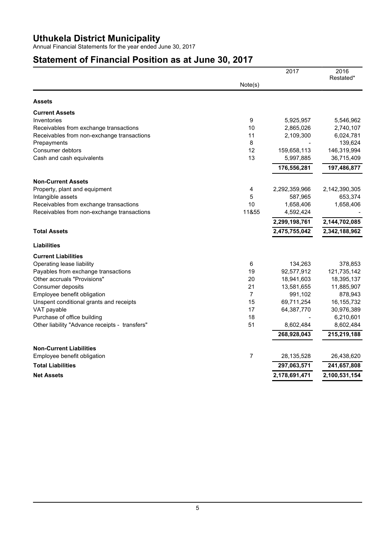Annual Financial Statements for the year ended June 30, 2017

### **Statement of Financial Position as at June 30, 2017**

|                                                |                | 2017          | 2016          |
|------------------------------------------------|----------------|---------------|---------------|
|                                                |                |               | Restated*     |
|                                                | Note(s)        |               |               |
| <b>Assets</b>                                  |                |               |               |
| <b>Current Assets</b>                          |                |               |               |
| Inventories                                    | 9              | 5,925,957     | 5,546,962     |
| Receivables from exchange transactions         | 10             | 2,865,026     | 2,740,107     |
| Receivables from non-exchange transactions     | 11             | 2,109,300     | 6,024,781     |
| Prepayments                                    | 8              |               | 139,624       |
| Consumer debtors                               | 12             | 159,658,113   | 146,319,994   |
| Cash and cash equivalents                      | 13             | 5,997,885     | 36,715,409    |
|                                                |                | 176,556,281   | 197,486,877   |
| <b>Non-Current Assets</b>                      |                |               |               |
| Property, plant and equipment                  | 4              | 2,292,359,966 | 2,142,390,305 |
| Intangible assets                              | 5              | 587,965       | 653,374       |
| Receivables from exchange transactions         | 10             | 1,658,406     | 1,658,406     |
| Receivables from non-exchange transactions     | 11&55          | 4,592,424     |               |
|                                                |                | 2,299,198,761 | 2,144,702,085 |
| <b>Total Assets</b>                            |                | 2,475,755,042 | 2,342,188,962 |
| <b>Liabilities</b>                             |                |               |               |
| <b>Current Liabilities</b>                     |                |               |               |
| Operating lease liability                      | 6              | 134,263       | 378,853       |
| Payables from exchange transactions            | 19             | 92,577,912    | 121,735,142   |
| Other accruals "Provisions"                    | 20             | 18,941,603    | 18,395,137    |
| Consumer deposits                              | 21             | 13,581,655    | 11,885,907    |
| Employee benefit obligation                    | $\overline{7}$ | 991,102       | 878,943       |
| Unspent conditional grants and receipts        | 15             | 69,711,254    | 16, 155, 732  |
| VAT payable                                    | 17             | 64,387,770    | 30,976,389    |
| Purchase of office building                    | 18             |               | 6,210,601     |
| Other liability "Advance receipts - transfers" | 51             | 8,602,484     | 8,602,484     |
|                                                |                | 268,928,043   | 215,219,188   |
| <b>Non-Current Liabilities</b>                 |                |               |               |
| Employee benefit obligation                    | 7              | 28, 135, 528  | 26,438,620    |
| <b>Total Liabilities</b>                       |                | 297,063,571   | 241,657,808   |
| <b>Net Assets</b>                              |                | 2,178,691,471 | 2,100,531,154 |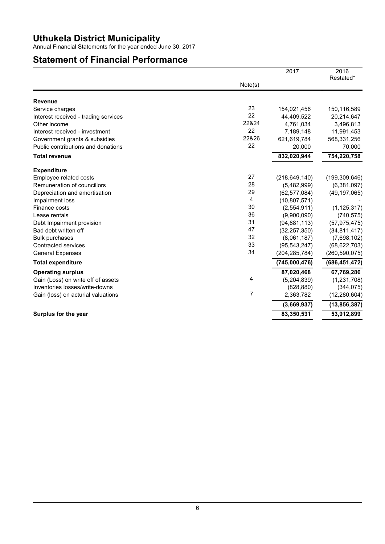Annual Financial Statements for the year ended June 30, 2017

### **Statement of Financial Performance**

|                                      |                | 2017            | 2016            |
|--------------------------------------|----------------|-----------------|-----------------|
|                                      | Note(s)        |                 | Restated*       |
| <b>Revenue</b>                       |                |                 |                 |
| Service charges                      | 23             | 154,021,456     | 150,116,589     |
| Interest received - trading services | 22             | 44,409,522      | 20,214,647      |
| Other income                         | 22&24          | 4,761,034       | 3,496,813       |
| Interest received - investment       | 22             | 7,189,148       | 11,991,453      |
| Government grants & subsidies        | 22&26          | 621,619,784     | 568,331,256     |
| Public contributions and donations   | 22             | 20,000          | 70,000          |
| <b>Total revenue</b>                 |                | 832,020,944     | 754,220,758     |
| <b>Expenditure</b>                   |                |                 |                 |
| Employee related costs               | 27             | (218, 649, 140) | (199, 309, 646) |
| Remuneration of councillors          | 28             | (5,482,999)     | (6, 381, 097)   |
| Depreciation and amortisation        | 29             | (62, 577, 084)  | (49, 197, 065)  |
| Impairment loss                      | 4              | (10, 807, 571)  |                 |
| Finance costs                        | 30             | (2,554,911)     | (1, 125, 317)   |
| Lease rentals                        | 36             | (9,900,090)     | (740, 575)      |
| Debt Impairment provision            | 31             | (94, 881, 113)  | (57, 975, 475)  |
| Bad debt written off                 | 47             | (32, 257, 350)  | (34, 811, 417)  |
| <b>Bulk purchases</b>                | 32             | (8,061,187)     | (7,698,102)     |
| Contracted services                  | 33             | (95, 543, 247)  | (68, 622, 703)  |
| <b>General Expenses</b>              | 34             | (204,285,784)   | (260,590,075)   |
| <b>Total expenditure</b>             |                | (745,000,476)   | (686, 451, 472) |
| <b>Operating surplus</b>             |                | 87,020,468      | 67,769,286      |
| Gain (Loss) on write off of assets   | 4              | (5,204,839)     | (1, 231, 708)   |
| Inventories losses/write-downs       |                | (828, 880)      | (344, 075)      |
| Gain (loss) on acturial valuations   | $\overline{7}$ | 2,363,782       | (12, 280, 604)  |
|                                      |                | (3,669,937)     | (13, 856, 387)  |
| Surplus for the year                 |                | 83,350,531      | 53,912,899      |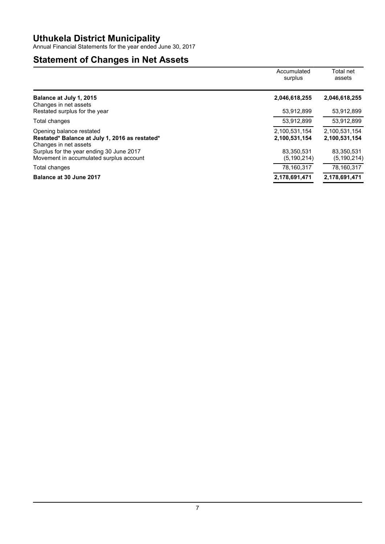Annual Financial Statements for the year ended June 30, 2017

### **Statement of Changes in Net Assets**

| Accumulated<br>surplus         | Total net<br>assets            |
|--------------------------------|--------------------------------|
| 2,046,618,255                  | 2,046,618,255                  |
|                                | 53,912,899                     |
| 53,912,899                     | 53,912,899                     |
| 2.100.531.154<br>2,100,531,154 | 2.100.531.154<br>2,100,531,154 |
| 83,350,531                     | 83,350,531                     |
| (5, 190, 214)                  | (5, 190, 214)                  |
| 78,160,317                     | 78,160,317                     |
| 2,178,691,471                  | 2,178,691,471                  |
|                                | 53,912,899                     |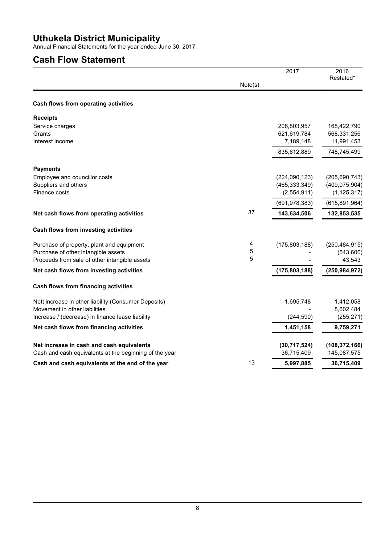Annual Financial Statements for the year ended June 30, 2017

### **Cash Flow Statement**

|                                                        |         | 2017            | 2016<br>Restated* |
|--------------------------------------------------------|---------|-----------------|-------------------|
|                                                        | Note(s) |                 |                   |
| Cash flows from operating activities                   |         |                 |                   |
| <b>Receipts</b>                                        |         |                 |                   |
| Service charges                                        |         | 206,803,957     | 168,422,790       |
| Grants                                                 |         | 621,619,784     | 568,331,256       |
| Interest income                                        |         | 7,189,148       | 11,991,453        |
|                                                        |         | 835,612,889     | 748,745,499       |
| <b>Payments</b>                                        |         |                 |                   |
| Employee and councillor costs                          |         | (224,090,123)   | (205, 690, 743)   |
| Suppliers and others                                   |         | (465, 333, 349) | (409, 075, 904)   |
| Finance costs                                          |         | (2,554,911)     | (1, 125, 317)     |
|                                                        |         | (691, 978, 383) | (615, 891, 964)   |
| Net cash flows from operating activities               | 37      | 143,634,506     | 132,853,535       |
| Cash flows from investing activities                   |         |                 |                   |
| Purchase of property, plant and equipment              | 4       | (175, 803, 188) | (250, 484, 915)   |
| Purchase of other intangible assets                    | 5       |                 | (543,600)         |
| Proceeds from sale of other intangible assets          | 5       |                 | 43,543            |
| Net cash flows from investing activities               |         | (175, 803, 188) | (250, 984, 972)   |
| Cash flows from financing activities                   |         |                 |                   |
| Nett increase in other liability (Consumer Deposits)   |         | 1,695,748       | 1,412,058         |
| Movement in other liabilities                          |         |                 | 8,602,484         |
| Increase / (decrease) in finance lease liability       |         | (244, 590)      | (255, 271)        |
| Net cash flows from financing activities               |         | 1,451,158       | 9,759,271         |
| Net increase in cash and cash equivalents              |         | (30, 717, 524)  | (108, 372, 166)   |
| Cash and cash equivalents at the beginning of the year |         | 36,715,409      | 145,087,575       |
| Cash and cash equivalents at the end of the year       | 13      | 5,997,885       | 36,715,409        |
|                                                        |         |                 |                   |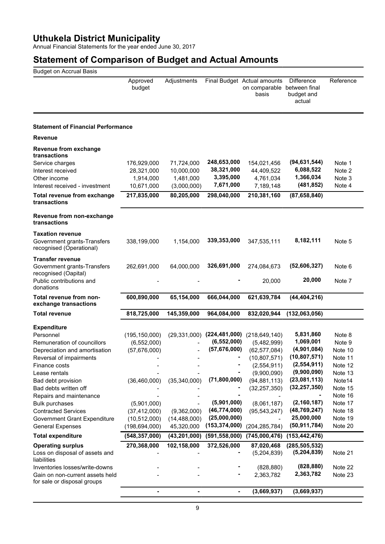Annual Financial Statements for the year ended June 30, 2017

| <b>Difference</b><br>Reference<br>Approved<br>Adjustments<br>Final Budget Actual amounts<br>budget<br>on comparable between final<br>basis<br>budget and<br>actual<br><b>Statement of Financial Performance</b><br><b>Revenue</b><br>Revenue from exchange<br>transactions<br>248,653,000<br>(94, 631, 544)<br>Note 1<br>154,021,456<br>Service charges<br>176,929,000<br>71,724,000<br>38,321,000<br>6,088,522<br>10,000,000<br>44,409,522<br>28,321,000<br>Note 2<br>Interest received<br>3,395,000<br>1,366,034<br>Note 3<br>1,914,000<br>1,481,000<br>4,761,034<br>Other income<br>7,671,000<br>(481, 852)<br>10,671,000<br>(3,000,000)<br>7,189,148<br>Note 4<br>Interest received - investment<br>217,835,000<br>80,205,000<br>(87,658,840)<br>Total revenue from exchange<br>298,040,000<br>210,381,160<br>transactions<br>Revenue from non-exchange<br>transactions<br><b>Taxation revenue</b><br>339,353,000<br>8,182,111<br>338,199,000<br>347,535,111<br>Government grants-Transfers<br>1,154,000<br>Note 5<br>recognised (Operational)<br><b>Transfer revenue</b><br>326,691,000<br>(52,606,327)<br>262,691,000<br>64,000,000<br>274,084,673<br>Note 6<br>Government grants-Transfers<br>recognised (Oapital)<br>20,000<br>Public contributions and<br>20,000<br>Note 7<br>donations<br>Total revenue from non-<br>600,890,000<br>65,154,000<br>666,044,000<br>621,639,784<br>(44, 404, 216)<br>exchange transactions<br>818,725,000<br>145,359,000<br>964,084,000<br>832,020,944<br>(132,063,056)<br><b>Total revenue</b><br><b>Expenditure</b><br>5,831,860<br>$(29,331,000)$ $(224,481,000)$<br>Personnel<br>(195, 150, 000)<br>(218, 649, 140)<br>Note 8<br>(6, 552, 000)<br>1,069,001<br>(5,482,999)<br>(6, 552, 000)<br>Note 9<br>Remuneration of councillors<br>(57, 676, 000)<br>(4,901,084)<br>(57,676,000)<br>(62, 577, 084)<br>Note 10<br>Depreciation and amortisation<br>(10, 807, 571)<br>(10, 807, 571)<br>Reversal of impairments<br>Note 11<br>(2,554,911)<br>(2,554,911)<br>Note 12<br>Finance costs<br>(9,900,090)<br>Note 13<br>(9,900,090)<br>Lease rentals<br>(71,800,000)<br>(23,081,113)<br>(36, 460, 000)<br>(35, 340, 000)<br>(94, 881, 113)<br>Note14<br>Bad debt provision<br>(32, 257, 350)<br>Bad debts written off<br>(32, 257, 350)<br>Note 15<br>Repairs and maintenance<br>Note 16<br>(5,901,000)<br>(2, 160, 187)<br>(5,901,000)<br>Note 17<br><b>Bulk purchases</b><br>(8,061,187)<br>(46, 774, 000)<br>(48, 769, 247)<br><b>Contracted Services</b><br>(37, 412, 000)<br>(9,362,000)<br>(95, 543, 247)<br>Note 18<br>25,000,000<br>(25,000,000)<br>Government Grant Expenditure<br>(10, 512, 000)<br>(14, 488, 000)<br>Note 19<br>(153, 374, 000)<br>(50, 911, 784)<br>(198, 694, 000)<br>45,320,000<br>Note 20<br><b>General Expenses</b><br>(204, 285, 784)<br><b>Total expenditure</b><br>(548, 357, 000)<br>(43, 201, 000)<br>(591, 558, 000)<br>(745,000,476)<br>(153, 442, 476)<br>102,158,000<br>270,368,000<br>372,526,000<br>87,020,468<br>(285, 505, 532)<br><b>Operating surplus</b><br>(5, 204, 839)<br>Loss on disposal of assets and<br>Note 21<br>(5,204,839)<br>liabilities<br>(828, 880)<br>Note 22<br>Inventories losses/write-downs<br>(828, 880)<br>2,363,782<br>Gain on non-current assets held<br>2,363,782<br>Note 23<br>for sale or disposal groups<br>(3,669,937)<br>(3,669,937)<br>- | <b>Budget on Accrual Basis</b> |  |  |  |
|-----------------------------------------------------------------------------------------------------------------------------------------------------------------------------------------------------------------------------------------------------------------------------------------------------------------------------------------------------------------------------------------------------------------------------------------------------------------------------------------------------------------------------------------------------------------------------------------------------------------------------------------------------------------------------------------------------------------------------------------------------------------------------------------------------------------------------------------------------------------------------------------------------------------------------------------------------------------------------------------------------------------------------------------------------------------------------------------------------------------------------------------------------------------------------------------------------------------------------------------------------------------------------------------------------------------------------------------------------------------------------------------------------------------------------------------------------------------------------------------------------------------------------------------------------------------------------------------------------------------------------------------------------------------------------------------------------------------------------------------------------------------------------------------------------------------------------------------------------------------------------------------------------------------------------------------------------------------------------------------------------------------------------------------------------------------------------------------------------------------------------------------------------------------------------------------------------------------------------------------------------------------------------------------------------------------------------------------------------------------------------------------------------------------------------------------------------------------------------------------------------------------------------------------------------------------------------------------------------------------------------------------------------------------------------------------------------------------------------------------------------------------------------------------------------------------------------------------------------------------------------------------------------------------------------------------------------------------------------------------------------------------------------------------------------------------------------------------------------------------------------------------------------------------------------------------------------------------------------------------------------------------------------------------------------------------------------------------------------------------|--------------------------------|--|--|--|
|                                                                                                                                                                                                                                                                                                                                                                                                                                                                                                                                                                                                                                                                                                                                                                                                                                                                                                                                                                                                                                                                                                                                                                                                                                                                                                                                                                                                                                                                                                                                                                                                                                                                                                                                                                                                                                                                                                                                                                                                                                                                                                                                                                                                                                                                                                                                                                                                                                                                                                                                                                                                                                                                                                                                                                                                                                                                                                                                                                                                                                                                                                                                                                                                                                                                                                                                                                 |                                |  |  |  |
|                                                                                                                                                                                                                                                                                                                                                                                                                                                                                                                                                                                                                                                                                                                                                                                                                                                                                                                                                                                                                                                                                                                                                                                                                                                                                                                                                                                                                                                                                                                                                                                                                                                                                                                                                                                                                                                                                                                                                                                                                                                                                                                                                                                                                                                                                                                                                                                                                                                                                                                                                                                                                                                                                                                                                                                                                                                                                                                                                                                                                                                                                                                                                                                                                                                                                                                                                                 |                                |  |  |  |
|                                                                                                                                                                                                                                                                                                                                                                                                                                                                                                                                                                                                                                                                                                                                                                                                                                                                                                                                                                                                                                                                                                                                                                                                                                                                                                                                                                                                                                                                                                                                                                                                                                                                                                                                                                                                                                                                                                                                                                                                                                                                                                                                                                                                                                                                                                                                                                                                                                                                                                                                                                                                                                                                                                                                                                                                                                                                                                                                                                                                                                                                                                                                                                                                                                                                                                                                                                 |                                |  |  |  |
|                                                                                                                                                                                                                                                                                                                                                                                                                                                                                                                                                                                                                                                                                                                                                                                                                                                                                                                                                                                                                                                                                                                                                                                                                                                                                                                                                                                                                                                                                                                                                                                                                                                                                                                                                                                                                                                                                                                                                                                                                                                                                                                                                                                                                                                                                                                                                                                                                                                                                                                                                                                                                                                                                                                                                                                                                                                                                                                                                                                                                                                                                                                                                                                                                                                                                                                                                                 |                                |  |  |  |
|                                                                                                                                                                                                                                                                                                                                                                                                                                                                                                                                                                                                                                                                                                                                                                                                                                                                                                                                                                                                                                                                                                                                                                                                                                                                                                                                                                                                                                                                                                                                                                                                                                                                                                                                                                                                                                                                                                                                                                                                                                                                                                                                                                                                                                                                                                                                                                                                                                                                                                                                                                                                                                                                                                                                                                                                                                                                                                                                                                                                                                                                                                                                                                                                                                                                                                                                                                 |                                |  |  |  |
|                                                                                                                                                                                                                                                                                                                                                                                                                                                                                                                                                                                                                                                                                                                                                                                                                                                                                                                                                                                                                                                                                                                                                                                                                                                                                                                                                                                                                                                                                                                                                                                                                                                                                                                                                                                                                                                                                                                                                                                                                                                                                                                                                                                                                                                                                                                                                                                                                                                                                                                                                                                                                                                                                                                                                                                                                                                                                                                                                                                                                                                                                                                                                                                                                                                                                                                                                                 |                                |  |  |  |
|                                                                                                                                                                                                                                                                                                                                                                                                                                                                                                                                                                                                                                                                                                                                                                                                                                                                                                                                                                                                                                                                                                                                                                                                                                                                                                                                                                                                                                                                                                                                                                                                                                                                                                                                                                                                                                                                                                                                                                                                                                                                                                                                                                                                                                                                                                                                                                                                                                                                                                                                                                                                                                                                                                                                                                                                                                                                                                                                                                                                                                                                                                                                                                                                                                                                                                                                                                 |                                |  |  |  |
|                                                                                                                                                                                                                                                                                                                                                                                                                                                                                                                                                                                                                                                                                                                                                                                                                                                                                                                                                                                                                                                                                                                                                                                                                                                                                                                                                                                                                                                                                                                                                                                                                                                                                                                                                                                                                                                                                                                                                                                                                                                                                                                                                                                                                                                                                                                                                                                                                                                                                                                                                                                                                                                                                                                                                                                                                                                                                                                                                                                                                                                                                                                                                                                                                                                                                                                                                                 |                                |  |  |  |
|                                                                                                                                                                                                                                                                                                                                                                                                                                                                                                                                                                                                                                                                                                                                                                                                                                                                                                                                                                                                                                                                                                                                                                                                                                                                                                                                                                                                                                                                                                                                                                                                                                                                                                                                                                                                                                                                                                                                                                                                                                                                                                                                                                                                                                                                                                                                                                                                                                                                                                                                                                                                                                                                                                                                                                                                                                                                                                                                                                                                                                                                                                                                                                                                                                                                                                                                                                 |                                |  |  |  |
|                                                                                                                                                                                                                                                                                                                                                                                                                                                                                                                                                                                                                                                                                                                                                                                                                                                                                                                                                                                                                                                                                                                                                                                                                                                                                                                                                                                                                                                                                                                                                                                                                                                                                                                                                                                                                                                                                                                                                                                                                                                                                                                                                                                                                                                                                                                                                                                                                                                                                                                                                                                                                                                                                                                                                                                                                                                                                                                                                                                                                                                                                                                                                                                                                                                                                                                                                                 |                                |  |  |  |
|                                                                                                                                                                                                                                                                                                                                                                                                                                                                                                                                                                                                                                                                                                                                                                                                                                                                                                                                                                                                                                                                                                                                                                                                                                                                                                                                                                                                                                                                                                                                                                                                                                                                                                                                                                                                                                                                                                                                                                                                                                                                                                                                                                                                                                                                                                                                                                                                                                                                                                                                                                                                                                                                                                                                                                                                                                                                                                                                                                                                                                                                                                                                                                                                                                                                                                                                                                 |                                |  |  |  |
|                                                                                                                                                                                                                                                                                                                                                                                                                                                                                                                                                                                                                                                                                                                                                                                                                                                                                                                                                                                                                                                                                                                                                                                                                                                                                                                                                                                                                                                                                                                                                                                                                                                                                                                                                                                                                                                                                                                                                                                                                                                                                                                                                                                                                                                                                                                                                                                                                                                                                                                                                                                                                                                                                                                                                                                                                                                                                                                                                                                                                                                                                                                                                                                                                                                                                                                                                                 |                                |  |  |  |
|                                                                                                                                                                                                                                                                                                                                                                                                                                                                                                                                                                                                                                                                                                                                                                                                                                                                                                                                                                                                                                                                                                                                                                                                                                                                                                                                                                                                                                                                                                                                                                                                                                                                                                                                                                                                                                                                                                                                                                                                                                                                                                                                                                                                                                                                                                                                                                                                                                                                                                                                                                                                                                                                                                                                                                                                                                                                                                                                                                                                                                                                                                                                                                                                                                                                                                                                                                 |                                |  |  |  |
|                                                                                                                                                                                                                                                                                                                                                                                                                                                                                                                                                                                                                                                                                                                                                                                                                                                                                                                                                                                                                                                                                                                                                                                                                                                                                                                                                                                                                                                                                                                                                                                                                                                                                                                                                                                                                                                                                                                                                                                                                                                                                                                                                                                                                                                                                                                                                                                                                                                                                                                                                                                                                                                                                                                                                                                                                                                                                                                                                                                                                                                                                                                                                                                                                                                                                                                                                                 |                                |  |  |  |
|                                                                                                                                                                                                                                                                                                                                                                                                                                                                                                                                                                                                                                                                                                                                                                                                                                                                                                                                                                                                                                                                                                                                                                                                                                                                                                                                                                                                                                                                                                                                                                                                                                                                                                                                                                                                                                                                                                                                                                                                                                                                                                                                                                                                                                                                                                                                                                                                                                                                                                                                                                                                                                                                                                                                                                                                                                                                                                                                                                                                                                                                                                                                                                                                                                                                                                                                                                 |                                |  |  |  |
|                                                                                                                                                                                                                                                                                                                                                                                                                                                                                                                                                                                                                                                                                                                                                                                                                                                                                                                                                                                                                                                                                                                                                                                                                                                                                                                                                                                                                                                                                                                                                                                                                                                                                                                                                                                                                                                                                                                                                                                                                                                                                                                                                                                                                                                                                                                                                                                                                                                                                                                                                                                                                                                                                                                                                                                                                                                                                                                                                                                                                                                                                                                                                                                                                                                                                                                                                                 |                                |  |  |  |
|                                                                                                                                                                                                                                                                                                                                                                                                                                                                                                                                                                                                                                                                                                                                                                                                                                                                                                                                                                                                                                                                                                                                                                                                                                                                                                                                                                                                                                                                                                                                                                                                                                                                                                                                                                                                                                                                                                                                                                                                                                                                                                                                                                                                                                                                                                                                                                                                                                                                                                                                                                                                                                                                                                                                                                                                                                                                                                                                                                                                                                                                                                                                                                                                                                                                                                                                                                 |                                |  |  |  |
|                                                                                                                                                                                                                                                                                                                                                                                                                                                                                                                                                                                                                                                                                                                                                                                                                                                                                                                                                                                                                                                                                                                                                                                                                                                                                                                                                                                                                                                                                                                                                                                                                                                                                                                                                                                                                                                                                                                                                                                                                                                                                                                                                                                                                                                                                                                                                                                                                                                                                                                                                                                                                                                                                                                                                                                                                                                                                                                                                                                                                                                                                                                                                                                                                                                                                                                                                                 |                                |  |  |  |
|                                                                                                                                                                                                                                                                                                                                                                                                                                                                                                                                                                                                                                                                                                                                                                                                                                                                                                                                                                                                                                                                                                                                                                                                                                                                                                                                                                                                                                                                                                                                                                                                                                                                                                                                                                                                                                                                                                                                                                                                                                                                                                                                                                                                                                                                                                                                                                                                                                                                                                                                                                                                                                                                                                                                                                                                                                                                                                                                                                                                                                                                                                                                                                                                                                                                                                                                                                 |                                |  |  |  |
|                                                                                                                                                                                                                                                                                                                                                                                                                                                                                                                                                                                                                                                                                                                                                                                                                                                                                                                                                                                                                                                                                                                                                                                                                                                                                                                                                                                                                                                                                                                                                                                                                                                                                                                                                                                                                                                                                                                                                                                                                                                                                                                                                                                                                                                                                                                                                                                                                                                                                                                                                                                                                                                                                                                                                                                                                                                                                                                                                                                                                                                                                                                                                                                                                                                                                                                                                                 |                                |  |  |  |
|                                                                                                                                                                                                                                                                                                                                                                                                                                                                                                                                                                                                                                                                                                                                                                                                                                                                                                                                                                                                                                                                                                                                                                                                                                                                                                                                                                                                                                                                                                                                                                                                                                                                                                                                                                                                                                                                                                                                                                                                                                                                                                                                                                                                                                                                                                                                                                                                                                                                                                                                                                                                                                                                                                                                                                                                                                                                                                                                                                                                                                                                                                                                                                                                                                                                                                                                                                 |                                |  |  |  |
|                                                                                                                                                                                                                                                                                                                                                                                                                                                                                                                                                                                                                                                                                                                                                                                                                                                                                                                                                                                                                                                                                                                                                                                                                                                                                                                                                                                                                                                                                                                                                                                                                                                                                                                                                                                                                                                                                                                                                                                                                                                                                                                                                                                                                                                                                                                                                                                                                                                                                                                                                                                                                                                                                                                                                                                                                                                                                                                                                                                                                                                                                                                                                                                                                                                                                                                                                                 |                                |  |  |  |
|                                                                                                                                                                                                                                                                                                                                                                                                                                                                                                                                                                                                                                                                                                                                                                                                                                                                                                                                                                                                                                                                                                                                                                                                                                                                                                                                                                                                                                                                                                                                                                                                                                                                                                                                                                                                                                                                                                                                                                                                                                                                                                                                                                                                                                                                                                                                                                                                                                                                                                                                                                                                                                                                                                                                                                                                                                                                                                                                                                                                                                                                                                                                                                                                                                                                                                                                                                 |                                |  |  |  |
|                                                                                                                                                                                                                                                                                                                                                                                                                                                                                                                                                                                                                                                                                                                                                                                                                                                                                                                                                                                                                                                                                                                                                                                                                                                                                                                                                                                                                                                                                                                                                                                                                                                                                                                                                                                                                                                                                                                                                                                                                                                                                                                                                                                                                                                                                                                                                                                                                                                                                                                                                                                                                                                                                                                                                                                                                                                                                                                                                                                                                                                                                                                                                                                                                                                                                                                                                                 |                                |  |  |  |
|                                                                                                                                                                                                                                                                                                                                                                                                                                                                                                                                                                                                                                                                                                                                                                                                                                                                                                                                                                                                                                                                                                                                                                                                                                                                                                                                                                                                                                                                                                                                                                                                                                                                                                                                                                                                                                                                                                                                                                                                                                                                                                                                                                                                                                                                                                                                                                                                                                                                                                                                                                                                                                                                                                                                                                                                                                                                                                                                                                                                                                                                                                                                                                                                                                                                                                                                                                 |                                |  |  |  |
|                                                                                                                                                                                                                                                                                                                                                                                                                                                                                                                                                                                                                                                                                                                                                                                                                                                                                                                                                                                                                                                                                                                                                                                                                                                                                                                                                                                                                                                                                                                                                                                                                                                                                                                                                                                                                                                                                                                                                                                                                                                                                                                                                                                                                                                                                                                                                                                                                                                                                                                                                                                                                                                                                                                                                                                                                                                                                                                                                                                                                                                                                                                                                                                                                                                                                                                                                                 |                                |  |  |  |
|                                                                                                                                                                                                                                                                                                                                                                                                                                                                                                                                                                                                                                                                                                                                                                                                                                                                                                                                                                                                                                                                                                                                                                                                                                                                                                                                                                                                                                                                                                                                                                                                                                                                                                                                                                                                                                                                                                                                                                                                                                                                                                                                                                                                                                                                                                                                                                                                                                                                                                                                                                                                                                                                                                                                                                                                                                                                                                                                                                                                                                                                                                                                                                                                                                                                                                                                                                 |                                |  |  |  |
|                                                                                                                                                                                                                                                                                                                                                                                                                                                                                                                                                                                                                                                                                                                                                                                                                                                                                                                                                                                                                                                                                                                                                                                                                                                                                                                                                                                                                                                                                                                                                                                                                                                                                                                                                                                                                                                                                                                                                                                                                                                                                                                                                                                                                                                                                                                                                                                                                                                                                                                                                                                                                                                                                                                                                                                                                                                                                                                                                                                                                                                                                                                                                                                                                                                                                                                                                                 |                                |  |  |  |
|                                                                                                                                                                                                                                                                                                                                                                                                                                                                                                                                                                                                                                                                                                                                                                                                                                                                                                                                                                                                                                                                                                                                                                                                                                                                                                                                                                                                                                                                                                                                                                                                                                                                                                                                                                                                                                                                                                                                                                                                                                                                                                                                                                                                                                                                                                                                                                                                                                                                                                                                                                                                                                                                                                                                                                                                                                                                                                                                                                                                                                                                                                                                                                                                                                                                                                                                                                 |                                |  |  |  |
|                                                                                                                                                                                                                                                                                                                                                                                                                                                                                                                                                                                                                                                                                                                                                                                                                                                                                                                                                                                                                                                                                                                                                                                                                                                                                                                                                                                                                                                                                                                                                                                                                                                                                                                                                                                                                                                                                                                                                                                                                                                                                                                                                                                                                                                                                                                                                                                                                                                                                                                                                                                                                                                                                                                                                                                                                                                                                                                                                                                                                                                                                                                                                                                                                                                                                                                                                                 |                                |  |  |  |
|                                                                                                                                                                                                                                                                                                                                                                                                                                                                                                                                                                                                                                                                                                                                                                                                                                                                                                                                                                                                                                                                                                                                                                                                                                                                                                                                                                                                                                                                                                                                                                                                                                                                                                                                                                                                                                                                                                                                                                                                                                                                                                                                                                                                                                                                                                                                                                                                                                                                                                                                                                                                                                                                                                                                                                                                                                                                                                                                                                                                                                                                                                                                                                                                                                                                                                                                                                 |                                |  |  |  |
|                                                                                                                                                                                                                                                                                                                                                                                                                                                                                                                                                                                                                                                                                                                                                                                                                                                                                                                                                                                                                                                                                                                                                                                                                                                                                                                                                                                                                                                                                                                                                                                                                                                                                                                                                                                                                                                                                                                                                                                                                                                                                                                                                                                                                                                                                                                                                                                                                                                                                                                                                                                                                                                                                                                                                                                                                                                                                                                                                                                                                                                                                                                                                                                                                                                                                                                                                                 |                                |  |  |  |
|                                                                                                                                                                                                                                                                                                                                                                                                                                                                                                                                                                                                                                                                                                                                                                                                                                                                                                                                                                                                                                                                                                                                                                                                                                                                                                                                                                                                                                                                                                                                                                                                                                                                                                                                                                                                                                                                                                                                                                                                                                                                                                                                                                                                                                                                                                                                                                                                                                                                                                                                                                                                                                                                                                                                                                                                                                                                                                                                                                                                                                                                                                                                                                                                                                                                                                                                                                 |                                |  |  |  |
|                                                                                                                                                                                                                                                                                                                                                                                                                                                                                                                                                                                                                                                                                                                                                                                                                                                                                                                                                                                                                                                                                                                                                                                                                                                                                                                                                                                                                                                                                                                                                                                                                                                                                                                                                                                                                                                                                                                                                                                                                                                                                                                                                                                                                                                                                                                                                                                                                                                                                                                                                                                                                                                                                                                                                                                                                                                                                                                                                                                                                                                                                                                                                                                                                                                                                                                                                                 |                                |  |  |  |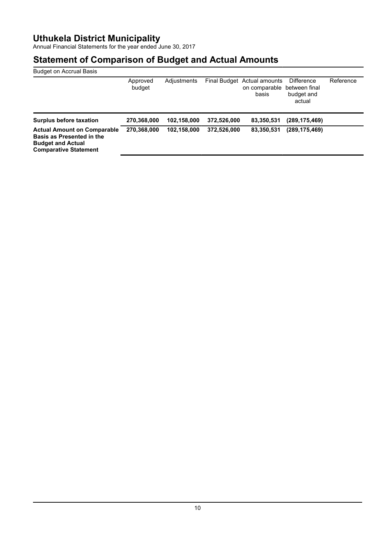Annual Financial Statements for the year ended June 30, 2017

| <b>Budget on Accrual Basis</b>                                                                                                     |                    |             |             |                                                       |                                                            |           |
|------------------------------------------------------------------------------------------------------------------------------------|--------------------|-------------|-------------|-------------------------------------------------------|------------------------------------------------------------|-----------|
|                                                                                                                                    | Approved<br>budget | Adjustments |             | Final Budget Actual amounts<br>on comparable<br>basis | <b>Difference</b><br>between final<br>budget and<br>actual | Reference |
| <b>Surplus before taxation</b>                                                                                                     | 270,368,000        | 102,158,000 | 372,526,000 | 83,350,531                                            | (289, 175, 469)                                            |           |
| <b>Actual Amount on Comparable</b><br><b>Basis as Presented in the</b><br><b>Budget and Actual</b><br><b>Comparative Statement</b> | 270,368,000        | 102.158.000 | 372.526.000 | 83,350,531                                            | (289, 175, 469)                                            |           |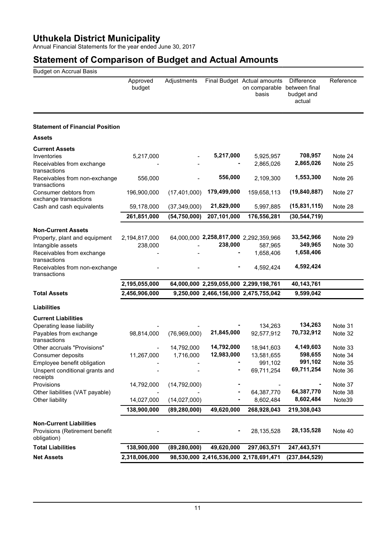Annual Financial Statements for the year ended June 30, 2017

| <b>Budget on Accrual Basis</b>                                                  |                    |                |             |                                                                     |                                           |           |
|---------------------------------------------------------------------------------|--------------------|----------------|-------------|---------------------------------------------------------------------|-------------------------------------------|-----------|
|                                                                                 | Approved<br>budget | Adjustments    |             | Final Budget Actual amounts<br>on comparable between final<br>basis | <b>Difference</b><br>budget and<br>actual | Reference |
| <b>Statement of Financial Position</b>                                          |                    |                |             |                                                                     |                                           |           |
| <b>Assets</b>                                                                   |                    |                |             |                                                                     |                                           |           |
| <b>Current Assets</b>                                                           |                    |                |             |                                                                     |                                           |           |
| Inventories                                                                     | 5,217,000          |                | 5,217,000   | 5,925,957                                                           | 708,957                                   | Note 24   |
| Receivables from exchange<br>transactions                                       |                    |                |             | 2,865,026                                                           | 2,865,026                                 | Note 25   |
| Receivables from non-exchange<br>transactions                                   | 556,000            |                | 556,000     | 2,109,300                                                           | 1,553,300                                 | Note 26   |
| Consumer debtors from                                                           | 196,900,000        | (17, 401, 000) | 179,499,000 | 159,658,113                                                         | (19, 840, 887)                            | Note 27   |
| exchange transactions<br>Cash and cash equivalents                              | 59,178,000         | (37, 349, 000) | 21,829,000  | 5,997,885                                                           | (15,831,115)                              | Note 28   |
|                                                                                 | 261,851,000        | (54, 750, 000) | 207,101,000 | 176,556,281                                                         | (30, 544, 719)                            |           |
| <b>Non-Current Assets</b>                                                       |                    |                |             |                                                                     |                                           |           |
| Property, plant and equipment                                                   | 2,194,817,000      |                |             | 64,000,000 2,258,817,000 2,292,359,966                              | 33,542,966                                | Note 29   |
| Intangible assets                                                               | 238,000            |                | 238,000     | 587,965                                                             | 349,965                                   | Note 30   |
| Receivables from exchange<br>transactions                                       |                    |                |             | 1,658,406                                                           | 1,658,406                                 |           |
| Receivables from non-exchange<br>transactions                                   |                    |                |             | 4,592,424                                                           | 4,592,424                                 |           |
|                                                                                 | 2,195,055,000      |                |             | 64,000,000 2,259,055,000 2,299,198,761                              | 40,143,761                                |           |
| <b>Total Assets</b>                                                             | 2,456,906,000      |                |             | 9,250,000 2,466,156,000 2,475,755,042                               | 9,599,042                                 |           |
| <b>Liabilities</b>                                                              |                    |                |             |                                                                     |                                           |           |
| <b>Current Liabilities</b>                                                      |                    |                |             |                                                                     |                                           |           |
| Operating lease liability                                                       |                    |                |             | 134,263                                                             | 134,263                                   | Note 31   |
| Payables from exchange<br>transactions                                          | 98,814,000         | (76,969,000)   | 21,845,000  | 92,577,912                                                          | 70,732,912                                | Note 32   |
| Other accruals "Provisions"                                                     |                    | 14,792,000     | 14,792,000  | 18,941,603                                                          | 4,149,603                                 | Note 33   |
| Consumer deposits                                                               | 11,267,000         | 1.716.000      | 12,983,000  | 13,581,655                                                          | 598,655                                   | Note 34   |
| Employee benefit obligation                                                     |                    |                |             | 991,102                                                             | 991,102                                   | Note 35   |
| Unspent conditional grants and<br>receipts                                      |                    |                |             | 69,711,254                                                          | 69,711,254                                | Note 36   |
| Provisions                                                                      | 14,792,000         | (14, 792, 000) |             |                                                                     |                                           | Note 37   |
| Other liabilities (VAT payable)                                                 |                    |                |             | 64,387,770                                                          | 64,387,770                                | Note 38   |
| Other liability                                                                 | 14,027,000         | (14, 027, 000) |             | 8,602,484                                                           | 8,602,484                                 | Note39    |
|                                                                                 | 138,900,000        | (89, 280, 000) | 49,620,000  | 268,928,043                                                         | 219,308,043                               |           |
| <b>Non-Current Liabilities</b><br>Provisions (Retirement benefit<br>obligation) |                    |                |             | 28, 135, 528                                                        | 28, 135, 528                              | Note 40   |
| <b>Total Liabilities</b>                                                        | 138,900,000        | (89, 280, 000) | 49,620,000  | 297,063,571                                                         | 247,443,571                               |           |
| <b>Net Assets</b>                                                               | 2,318,006,000      |                |             | 98,530,000 2,416,536,000 2,178,691,471                              | (237, 844, 529)                           |           |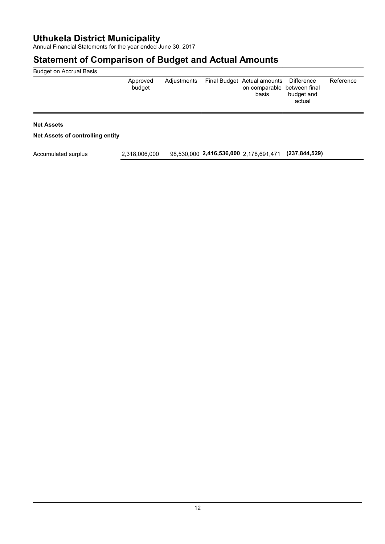Annual Financial Statements for the year ended June 30, 2017

| Budget on Accrual Basis                               |                    |             |                                                                     |                                    |           |
|-------------------------------------------------------|--------------------|-------------|---------------------------------------------------------------------|------------------------------------|-----------|
|                                                       | Approved<br>budget | Adjustments | Final Budget Actual amounts<br>on comparable between final<br>basis | Difference<br>budget and<br>actual | Reference |
| <b>Net Assets</b><br>Net Assets of controlling entity |                    |             |                                                                     |                                    |           |
|                                                       |                    |             |                                                                     |                                    |           |
| Accumulated surplus                                   | 2,318,006,000      |             | 98,530,000 2,416,536,000 2,178,691,471                              | (237, 844, 529)                    |           |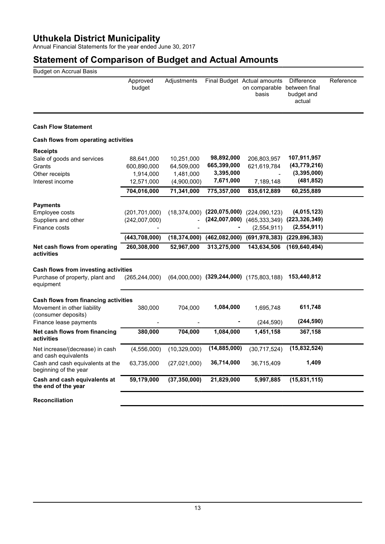Annual Financial Statements for the year ended June 30, 2017

| <b>Budget on Accrual Basis</b>                                                       |                                        |                                       |                                                     |                                                                     |                                                                 |           |
|--------------------------------------------------------------------------------------|----------------------------------------|---------------------------------------|-----------------------------------------------------|---------------------------------------------------------------------|-----------------------------------------------------------------|-----------|
|                                                                                      | Approved<br>budget                     | Adjustments                           |                                                     | Final Budget Actual amounts<br>on comparable between final<br>basis | <b>Difference</b><br>budget and<br>actual                       | Reference |
| <b>Cash Flow Statement</b>                                                           |                                        |                                       |                                                     |                                                                     |                                                                 |           |
| Cash flows from operating activities                                                 |                                        |                                       |                                                     |                                                                     |                                                                 |           |
| <b>Receipts</b>                                                                      |                                        |                                       |                                                     |                                                                     |                                                                 |           |
| Sale of goods and services<br>Grants<br>Other receipts                               | 88,641,000<br>600,890,000<br>1,914,000 | 10,251,000<br>64,509,000<br>1,481,000 | 98,892,000<br>665,399,000<br>3,395,000              | 206,803,957<br>621,619,784                                          | 107,911,957<br>(43, 779, 216)<br>(3, 395, 000)                  |           |
| Interest income                                                                      | 12,571,000                             | (4,900,000)                           | 7,671,000                                           | 7,189,148                                                           | (481, 852)                                                      |           |
|                                                                                      | 704,016,000                            | 71,341,000                            | 775,357,000                                         | 835,612,889                                                         | 60,255,889                                                      |           |
| <b>Payments</b><br>Employee costs<br>Suppliers and other<br>Finance costs            | (201, 701, 000)<br>(242,007,000)       |                                       | $(18, 374, 000)$ $(220, 075, 000)$<br>(242,007,000) | (224,090,123)<br>(2,554,911)                                        | (4,015,123)<br>$(465,333,349)$ $(223,326,349)$<br>(2, 554, 911) |           |
|                                                                                      | (443,708,000)                          | (18, 374, 000)                        |                                                     | $(462,082,000)$ $(691,978,383)$                                     | (229, 896, 383)                                                 |           |
| Net cash flows from operating<br>activities                                          | 260,308,000                            | 52,967,000                            | 313,275,000                                         | 143,634,506                                                         | (169, 640, 494)                                                 |           |
| Cash flows from investing activities<br>Purchase of property, plant and<br>equipment | (265, 244, 000)                        |                                       |                                                     | $(64,000,000)$ $(329,244,000)$ $(175,803,188)$                      | 153,440,812                                                     |           |
| Cash flows from financing activities                                                 |                                        |                                       |                                                     |                                                                     |                                                                 |           |
| Movement in other liability<br>(consumer deposits)                                   | 380,000                                | 704,000                               | 1,084,000                                           | 1,695,748                                                           | 611,748                                                         |           |
| Finance lease payments                                                               |                                        |                                       |                                                     | (244, 590)                                                          | (244, 590)                                                      |           |
| Net cash flows from financing<br>activities                                          | 380,000                                | 704,000                               | 1,084,000                                           | 1,451,158                                                           | 367,158                                                         |           |
| Net increase/(decrease) in cash<br>and cash equivalents                              | (4,556,000)                            | (10, 329, 000)                        | (14, 885, 000)                                      | (30,717,524)                                                        | (15,832,524)                                                    |           |
| Cash and cash equivalents at the<br>beginning of the year                            | 63,735,000                             | (27,021,000)                          | 36,714,000                                          | 36,715,409                                                          | 1,409                                                           |           |
| Cash and cash equivalents at<br>the end of the year                                  | 59,179,000                             | (37, 350, 000)                        | 21,829,000                                          | 5,997,885                                                           | (15,831,115)                                                    |           |
| <b>Reconciliation</b>                                                                |                                        |                                       |                                                     |                                                                     |                                                                 |           |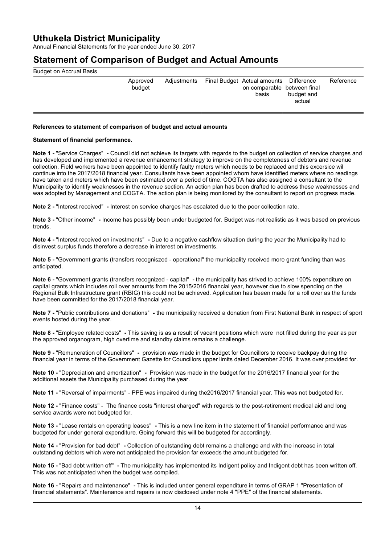Annual Financial Statements for the year ended June 30, 2017

### **Statement of Comparison of Budget and Actual Amounts**

| Budget on Accrual Basis |                    |             |                                                                     |                                    |           |
|-------------------------|--------------------|-------------|---------------------------------------------------------------------|------------------------------------|-----------|
|                         | Approved<br>budget | Adjustments | Final Budget Actual amounts<br>on comparable between final<br>basis | Difference<br>budget and<br>actual | Reference |

#### **References to statement of comparison of budget and actual amounts**

#### **Statement of financial performance.**

**Note 1 -** "Service Charges" **-** Council did not achieve its targets with regards to the budget on collection of service charges and has developed and implemented a revenue enhancement strategy to improve on the completeness of debtors and revenue collection. Field workers have been appointed to identify faulty meters which needs to be replaced and this excersice wil continue into the 2017/2018 financial year. Consultants have been appointed whom have identified meters where no readings have taken and meters which have been estimated over a period of time. COGTA has also assigned a consultant to the Municipality to identify weaknesses in the revenue section. An action plan has been drafted to address these weaknesses and was adopted by Management and COGTA. The action plan is being monitored by the consultant to report on progress made.

**Note 2 -** "Interest received" **-** Interest on service charges has escalated due to the poor collection rate.

**Note 3 -** "Other income" **-** Income has possibly been under budgeted for. Budget was not realistic as it was based on previous trends.

**Note 4 -** "Interest received on investments" **-** Due to a negative cashflow situation during the year the Municipality had to disinvest surplus funds therefore a decrease in interest on investments.

**Note 5 -** "Government grants (transfers recogniszed - operational" the municipality received more grant funding than was anticipated.

**Note 6 -** "Government grants (transfers recognized - capital" **-** the municipality has strived to achieve 100% expenditure on capital grants which includes roll over amounts from the 2015/2016 financial year, however due to slow spending on the Regional Bulk Infrastructure grant (RBIG) this could not be achieved. Application has beeen made for a roll over as the funds have been committed for the 2017/2018 financial year.

**Note 7 -** "Public contributions and donations" **-** the municipality received a donation from First National Bank in respect of sport events hosted during the year.

**Note 8 -** "Employee related costs" **-** This saving is as a result of vacant positions which were not filled during the year as per the approved organogram, high overtime and standby claims remains a challenge.

**Note 9 -** "Remuneration of Councillors" **-** provision was made in the budget for Councillors to receive backpay during the financial year in terms of the Government Gazette for Councillors upper limits dated December 2016. It was over provided for.

**Note 10 -** "Depreciation and amortization" **-** Provision was made in the budget for the 2016/2017 financial year for the additional assets the Municipality purchased during the year.

**Note 11 -** "Reversal of impairments" - PPE was impaired during the2016/2017 financial year. This was not budgeted for.

**Note 12 -** "Finance costs" - The finance costs "interest charged" with regards to the post-retirement medical aid and long service awards were not budgeted for.

**Note 13 -** "Lease rentals on operating leases" **-** This is a new line item in the statement of financial performance and was budgeted for under general expenditure. Going forward this will be budgeted for accordingly.

**Note 14 -** "Provision for bad debt" **-** Collection of outstanding debt remains a challenge and with the increase in total outstanding debtors which were not anticipated the provision far exceeds the amount budgeted for.

**Note 15 -** "Bad debt written off" **-** The municipality has implemented its Indigent policy and Indigent debt has been written off. This was not anticipated when the budget was compiled.

**Note 16 -** "Repairs and maintenance" **-** This is included under general expenditure in terms of GRAP 1 "Presentation of financial statements". Maintenance and repairs is now disclosed under note 4 "PPE" of the financial statements.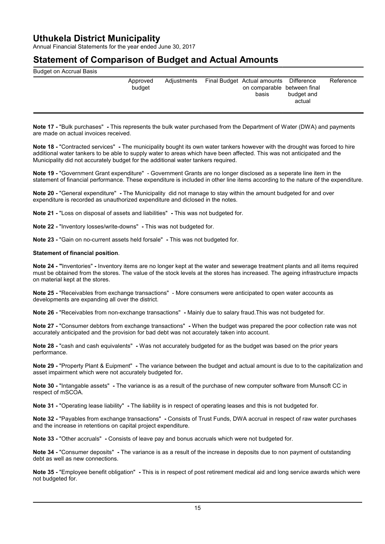Annual Financial Statements for the year ended June 30, 2017

### **Statement of Comparison of Budget and Actual Amounts**

| <b>Budget on Accrual Basis</b> |                    |             |                                                                     |                                    |           |
|--------------------------------|--------------------|-------------|---------------------------------------------------------------------|------------------------------------|-----------|
|                                | Approved<br>budget | Adjustments | Final Budget Actual amounts<br>on comparable between final<br>basis | Difference<br>budget and<br>actual | Reference |

**Note 17 -** "Bulk purchases" **-** This represents the bulk water purchased from the Department of Water (DWA) and payments are made on actual invoices received.

**Note 18 -** "Contracted services" **-** The municipality bought its own water tankers however with the drought was forced to hire additional water tankers to be able to supply water to areas which have been affected. This was not anticipated and the Municipality did not accurately budget for the additional water tankers required.

**Note 19 -** "Government Grant expenditure"- Government Grants are no longer disclosed as a seperate line item in the statement of financial performance. These expenditure is included in other line items according to the nature of the expenditure.

**Note 20 -** "General expenditure" **-** The Municipality did not manage to stay within the amount budgeted for and over expenditure is recorded as unauthorized expenditure and diclosed in the notes.

**Note 21 -** "Loss on disposal of assets and liabilities" **-** This was not budgeted for.

**Note 22 -** "Inventory losses/write-downs" **-** This was not budgeted for.

**Note 23 -** "Gain on no-current assets held forsale" **-** This was not budgeted for.

#### **Statement of financial position**.

**Note 24 - "**Inventories" **-** Inventory items are no longer kept at the water and sewerage treatment plants and all items required must be obtained from the stores. The value of the stock levels at the stores has increased. The ageing infrastructure impacts on material kept at the stores.

**Note 25 -** "Receivables from exchange transactions"- More consumers were anticipated to open water accounts as developments are expanding all over the district.

**Note 26 -** "Receivables from non-exchange transactions" **-** Mainly due to salary fraud.This was not budgeted for.

**Note 27 -** "Consumer debtors from exchange transactions" **-** When the budget was prepared the poor collection rate was not accurately anticipated and the provision for bad debt was not accurately taken into account.

**Note 28 -** "cash and cash equivalents" **-** Was not accurately budgeted for as the budget was based on the prior years performance.

**Note 29 -** "Property Plant & Euipment" **-** The variance between the budget and actual amount is due to to the capitalization and asset impairment which were not accurately budgeted for**.**

**Note 30 -** "Intangable assets" **-** The variance is as a result of the purchase of new computer software from Munsoft CC in respect of mSCOA.

**Note 31 -** "Operating lease liability" **-** The liability is in respect of operating leases and this is not budgeted for.

**Note 32 -** "Payables from exchange transactions" **-** Consists of Trust Funds, DWA accrual in respect of raw water purchases and the increase in retentions on capital project expenditure.

**Note 33 -** "Other accruals" **-** Consists of leave pay and bonus accruals which were not budgeted for.

**Note 34 -** "Consumer deposits" **-** The variance is as a result of the increase in deposits due to non payment of outstanding debt as well as new connections.

**Note 35 -** "Employee benefit obligation" **-** This is in respect of post retirement medical aid and long service awards which were not budgeted for.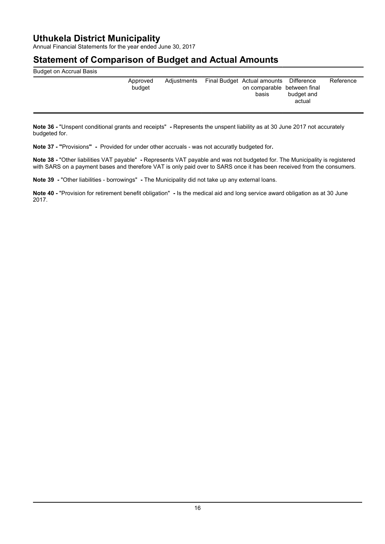Annual Financial Statements for the year ended June 30, 2017

### **Statement of Comparison of Budget and Actual Amounts**

| <b>Budget on Accrual Basis</b> |                    |             |                                                                     |                                    |           |
|--------------------------------|--------------------|-------------|---------------------------------------------------------------------|------------------------------------|-----------|
|                                | Approved<br>budget | Adjustments | Final Budget Actual amounts<br>on comparable between final<br>basis | Difference<br>budget and<br>actual | Reference |

**Note 36 -** "Unspent conditional grants and receipts" **-** Represents the unspent liability as at 30 June 2017 not accurately budgeted for.

**Note 37 - "**Provisions**" -** Provided for under other accruals - was not accuratly budgeted for**.**

**Note 38 -** "Other liabilities VAT payable" **-** Represents VAT payable and was not budgeted for. The Municipality is registered with SARS on a payment bases and therefore VAT is only paid over to SARS once it has been received from the consumers.

**Note 39 -** "Other liabilities - borrowings" **-** The Municipality did not take up any external loans.

**Note 40 -** "Provision for retirement benefit obligation" **-** Is the medical aid and long service award obligation as at 30 June 2017.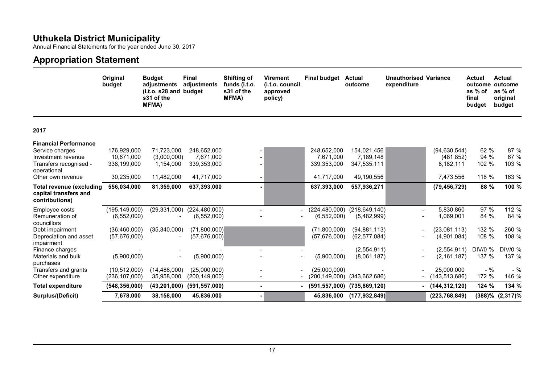Annual Financial Statements for the year ended June 30, 2017

# **Appropriation Statement**

|                                                                                                                                     | Original<br>budget                                                 | <b>Budget</b><br>adjustments<br>(i.t.o. s28 and budget<br>s31 of the<br>MFMA) | <b>Final</b><br>adjustments                                      | <b>Shifting of</b><br>funds (i.t.o.<br>s31 of the<br>MFMA) | <b>Virement</b><br>(i.t.o. council<br>approved<br>policy) | <b>Final budget</b>                                              | <b>Actual</b><br>outcome                                           | <b>Unauthorised Variance</b><br>expenditure |                                                        | <b>Actual</b><br>outcome<br>as % of<br>final<br>budget | <b>Actual</b><br>outcome<br>as % of<br>original<br>budget |
|-------------------------------------------------------------------------------------------------------------------------------------|--------------------------------------------------------------------|-------------------------------------------------------------------------------|------------------------------------------------------------------|------------------------------------------------------------|-----------------------------------------------------------|------------------------------------------------------------------|--------------------------------------------------------------------|---------------------------------------------|--------------------------------------------------------|--------------------------------------------------------|-----------------------------------------------------------|
| 2017                                                                                                                                |                                                                    |                                                                               |                                                                  |                                                            |                                                           |                                                                  |                                                                    |                                             |                                                        |                                                        |                                                           |
| <b>Financial Performance</b><br>Service charges<br>Investment revenue<br>Transfers recognised -<br>operational<br>Other own revenue | 176,929,000<br>10.671.000<br>338,199,000<br>30.235.000             | 71.723.000<br>(3,000,000)<br>1,154,000<br>11,482,000                          | 248.652.000<br>7,671,000<br>339,353,000<br>41,717,000            |                                                            |                                                           | 248.652.000<br>7,671,000<br>339,353,000<br>41,717,000            | 154,021,456<br>7,189,148<br>347,535,111<br>49,190,556              |                                             | (94, 630, 544)<br>(481, 852)<br>8,182,111<br>7,473,556 | 62 %<br>94 %<br>102 %<br>118 %                         | 87 %<br>67 %<br>103 %<br>163 %                            |
| Total revenue (excluding<br>capital transfers and<br>contributions)                                                                 | 556,034,000                                                        | 81,359,000                                                                    | 637,393,000                                                      |                                                            |                                                           | 637,393,000                                                      | 557,936,271                                                        |                                             | (79, 456, 729)                                         | 88 %                                                   | 100 %                                                     |
| Employee costs<br>Remuneration of<br>councillors<br>Debt impairment<br>Depreciation and asset                                       | (195, 149, 000)<br>(6, 552, 000)<br>(36, 460, 000)<br>(57,676,000) | (29, 331, 000)<br>(35, 340, 000)                                              | (224, 480, 000)<br>(6, 552, 000)<br>(71.800.000)<br>(57,676,000) |                                                            |                                                           | (224, 480, 000)<br>(6, 552, 000)<br>(71,800,000)<br>(57,676,000) | (218, 649, 140)<br>(5,482,999)<br>(94, 881, 113)<br>(62, 577, 084) |                                             | 5,830,860<br>1,069,001<br>(23,081,113)<br>(4,901,084)  | 97 %<br>84 %<br>132 %<br>108 %                         | 112 %<br>84 %<br>260 %<br>108 %                           |
| impairment<br>Finance charges<br>Materials and bulk<br>purchases<br>Transfers and grants                                            | (5,900,000)<br>(10, 512, 000)                                      | $\overline{\phantom{a}}$<br>(14, 488, 000)                                    | (5,900,000)<br>(25,000,000)                                      |                                                            |                                                           | $\overline{\phantom{a}}$<br>(5,900,000)<br>(25,000,000)          | (2,554,911)<br>(8,061,187)                                         | $\overline{\phantom{a}}$                    | (2,554,911)<br>(2, 161, 187)<br>25.000.000             | DIV/0 %<br>137 %<br>- %                                | DIV/0 %<br>137 %<br>$-$ %                                 |
| Other expenditure<br><b>Total expenditure</b>                                                                                       | (236, 107, 000)<br>(548, 356, 000)                                 | 35,958,000                                                                    | (200, 149, 000)<br>$(43, 201, 000)$ $(591, 557, 000)$            | $\overline{\phantom{0}}$                                   |                                                           | (200,149,000)<br>(591, 557, 000)                                 | (343,662,686)<br>(735, 869, 120)                                   |                                             | (143, 513, 686)<br>(144, 312, 120)                     | 172 %<br>124 %                                         | 146 %<br>134 %                                            |
| Surplus/(Deficit)                                                                                                                   | 7,678,000                                                          | 38,158,000                                                                    | 45,836,000                                                       |                                                            |                                                           | 45,836,000                                                       | (177, 932, 849)                                                    |                                             | (223, 768, 849)                                        |                                                        | $(388)\%$ $(2,317)\%$                                     |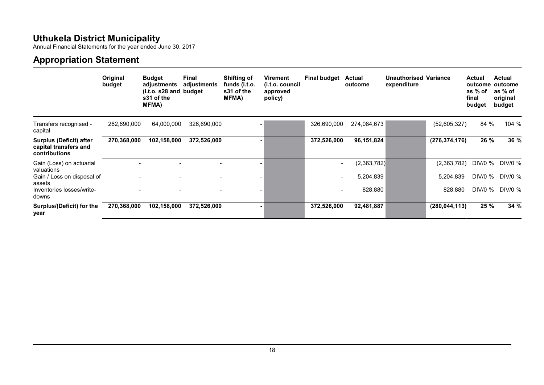Annual Financial Statements for the year ended June 30, 2017

# **Appropriation Statement**

|                                                                          | Original<br>budget | <b>Budget</b><br>adjustments<br>(i.t.o. s28 and budget<br>s31 of the<br><b>MFMA</b> ) | <b>Final</b><br>adjustments | Shifting of<br>funds (i.t.o.<br>s31 of the<br><b>MFMA</b> ) | Virement<br>(i.t.o. council)<br>approved<br>policy) | <b>Final budget</b>      | <b>Actual</b><br>outcome | <b>Unauthorised Variance</b><br>expenditure |                 | Actual<br>outcome<br>as % of<br>final<br>budget | <b>Actual</b><br>outcome<br>as % of<br>original<br>budget |
|--------------------------------------------------------------------------|--------------------|---------------------------------------------------------------------------------------|-----------------------------|-------------------------------------------------------------|-----------------------------------------------------|--------------------------|--------------------------|---------------------------------------------|-----------------|-------------------------------------------------|-----------------------------------------------------------|
| Transfers recognised -<br>capital                                        | 262,690,000        | 64,000,000                                                                            | 326,690,000                 |                                                             |                                                     | 326,690,000              | 274,084,673              |                                             | (52,605,327)    | 84 %                                            | 104 %                                                     |
| <b>Surplus (Deficit) after</b><br>capital transfers and<br>contributions | 270,368,000        | 102,158,000                                                                           | 372,526,000                 |                                                             |                                                     | 372,526,000              | 96,151,824               |                                             | (276, 374, 176) | 26 %                                            | 36 %                                                      |
| Gain (Loss) on actuarial<br>valuations                                   |                    |                                                                                       |                             |                                                             |                                                     | ۰                        | (2,363,782)              |                                             | (2,363,782)     | DIV/0 %                                         | DIV/0 %                                                   |
| Gain / Loss on disposal of<br>assets                                     |                    |                                                                                       |                             |                                                             |                                                     | $\overline{\phantom{a}}$ | 5,204,839                |                                             | 5,204,839       |                                                 | DIV/0 % DIV/0 %                                           |
| Inventories losses/write-<br>downs                                       |                    | $\overline{\phantom{a}}$                                                              |                             |                                                             |                                                     |                          | 828,880                  |                                             | 828,880         | DIV/0 %                                         | DIV/0 %                                                   |
| Surplus/(Deficit) for the<br>year                                        | 270,368,000        | 102,158,000                                                                           | 372,526,000                 |                                                             |                                                     | 372,526,000              | 92,481,887               |                                             | (280, 044, 113) | 25 %                                            | 34%                                                       |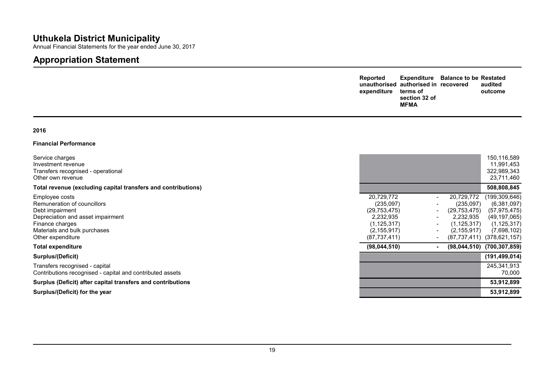Annual Financial Statements for the year ended June 30, 2017

# **Appropriation Statement**

|                      |                                      | Reported Expenditure Balance to be Restated |         |
|----------------------|--------------------------------------|---------------------------------------------|---------|
|                      | unauthorised authorised in recovered |                                             | audited |
| expenditure terms of |                                      |                                             | outcome |
|                      | section 32 of                        |                                             |         |
|                      | <b>MFMA</b>                          |                                             |         |

### **2016**

#### **Financial Performance**

| Service charges<br>Investment revenue<br>Transfers recognised - operational<br>Other own revenue                                                                              |                                                                                                            |                                                                                                         |                                                                                          | 150,116,589<br>11,991,453<br>322,989,343<br>23,711,460                                                                             |
|-------------------------------------------------------------------------------------------------------------------------------------------------------------------------------|------------------------------------------------------------------------------------------------------------|---------------------------------------------------------------------------------------------------------|------------------------------------------------------------------------------------------|------------------------------------------------------------------------------------------------------------------------------------|
| Total revenue (excluding capital transfers and contributions)                                                                                                                 |                                                                                                            |                                                                                                         |                                                                                          | 508,808,845                                                                                                                        |
| Employee costs<br>Remuneration of councillors<br>Debt impairment<br>Depreciation and asset impairment<br>Finance charges<br>Materials and bulk purchases<br>Other expenditure | 20,729,772<br>(235,097)<br>(29, 753, 475)<br>2,232,935<br>(1, 125, 317)<br>(2, 155, 917)<br>(87, 737, 411) | $\overline{\phantom{0}}$<br>$\blacksquare$<br>$\overline{\phantom{0}}$<br>$\overline{\phantom{a}}$<br>۰ | 20,729,772<br>(235,097)<br>(29, 753, 475)<br>2,232,935<br>(1, 125, 317)<br>(2, 155, 917) | (199,309,646)<br>(6,381,097)<br>(57, 975, 475)<br>(49, 197, 065)<br>(1, 125, 317)<br>(7,698,102)<br>$(87,737,411)$ $(378,621,157)$ |
| <b>Total expenditure</b>                                                                                                                                                      | (98,044,510)                                                                                               | $\blacksquare$                                                                                          |                                                                                          | $(98,044,510)$ $(700,307,859)$                                                                                                     |
| Surplus/(Deficit)                                                                                                                                                             |                                                                                                            |                                                                                                         |                                                                                          | (191, 499, 014)                                                                                                                    |
| Transfers recognised - capital<br>Contributions recognised - capital and contributed assets                                                                                   |                                                                                                            |                                                                                                         |                                                                                          | 245,341,913<br>70,000                                                                                                              |
| Surplus (Deficit) after capital transfers and contributions                                                                                                                   |                                                                                                            |                                                                                                         |                                                                                          | 53,912,899                                                                                                                         |
| Surplus/(Deficit) for the year                                                                                                                                                |                                                                                                            |                                                                                                         |                                                                                          | 53,912,899                                                                                                                         |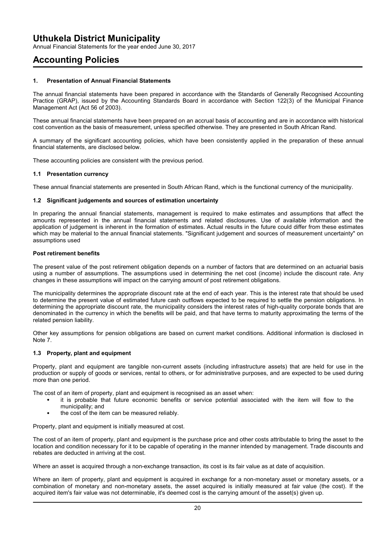Annual Financial Statements for the year ended June 30, 2017

### **Accounting Policies**

#### **1. Presentation of Annual Financial Statements**

The annual financial statements have been prepared in accordance with the Standards of Generally Recognised Accounting Practice (GRAP), issued by the Accounting Standards Board in accordance with Section 122(3) of the Municipal Finance Management Act (Act 56 of 2003).

These annual financial statements have been prepared on an accrual basis of accounting and are in accordance with historical cost convention as the basis of measurement, unless specified otherwise. They are presented in South African Rand.

A summary of the significant accounting policies, which have been consistently applied in the preparation of these annual financial statements, are disclosed below.

These accounting policies are consistent with the previous period.

#### **1.1 Presentation currency**

These annual financial statements are presented in South African Rand, which is the functional currency of the municipality.

#### **1.2 Significant judgements and sources of estimation uncertainty**

In preparing the annual financial statements, management is required to make estimates and assumptions that affect the amounts represented in the annual financial statements and related disclosures. Use of available information and the application of judgement is inherent in the formation of estimates. Actual results in the future could differ from these estimates which may be material to the annual financial statements. "Significant judgement and sources of measurement uncertainty" on assumptions used

#### **Post retirement benefits**

The present value of the post retirement obligation depends on a number of factors that are determined on an actuarial basis using a number of assumptions. The assumptions used in determining the net cost (income) include the discount rate. Any changes in these assumptions will impact on the carrying amount of post retirement obligations.

The municipality determines the appropriate discount rate at the end of each year. This is the interest rate that should be used to determine the present value of estimated future cash outflows expected to be required to settle the pension obligations. In determining the appropriate discount rate, the municipality considers the interest rates of high-quality corporate bonds that are denominated in the currency in which the benefits will be paid, and that have terms to maturity approximating the terms of the related pension liability.

Other key assumptions for pension obligations are based on current market conditions. Additional information is disclosed in Note 7.

#### **1.3 Property, plant and equipment**

Property, plant and equipment are tangible non-current assets (including infrastructure assets) that are held for use in the production or supply of goods or services, rental to others, or for administrative purposes, and are expected to be used during more than one period.

The cost of an item of property, plant and equipment is recognised as an asset when:

- it is probable that future economic benefits or service potential associated with the item will flow to the municipality; and
- the cost of the item can be measured reliably.

Property, plant and equipment is initially measured at cost.

The cost of an item of property, plant and equipment is the purchase price and other costs attributable to bring the asset to the location and condition necessary for it to be capable of operating in the manner intended by management. Trade discounts and rebates are deducted in arriving at the cost.

Where an asset is acquired through a non-exchange transaction, its cost is its fair value as at date of acquisition.

Where an item of property, plant and equipment is acquired in exchange for a non-monetary asset or monetary assets, or a combination of monetary and non-monetary assets, the asset acquired is initially measured at fair value (the cost). If the acquired item's fair value was not determinable, it's deemed cost is the carrying amount of the asset(s) given up.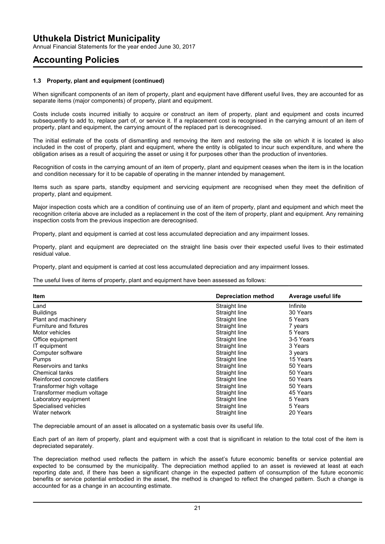Annual Financial Statements for the year ended June 30, 2017

### **Accounting Policies**

#### **1.3 Property, plant and equipment (continued)**

When significant components of an item of property, plant and equipment have different useful lives, they are accounted for as separate items (major components) of property, plant and equipment.

Costs include costs incurred initially to acquire or construct an item of property, plant and equipment and costs incurred subsequently to add to, replace part of, or service it. If a replacement cost is recognised in the carrying amount of an item of property, plant and equipment, the carrying amount of the replaced part is derecognised.

The initial estimate of the costs of dismantling and removing the item and restoring the site on which it is located is also included in the cost of property, plant and equipment, where the entity is obligated to incur such expenditure, and where the obligation arises as a result of acquiring the asset or using it for purposes other than the production of inventories.

Recognition of costs in the carrying amount of an item of property, plant and equipment ceases when the item is in the location and condition necessary for it to be capable of operating in the manner intended by management.

Items such as spare parts, standby equipment and servicing equipment are recognised when they meet the definition of property, plant and equipment.

Major inspection costs which are a condition of continuing use of an item of property, plant and equipment and which meet the recognition criteria above are included as a replacement in the cost of the item of property, plant and equipment. Any remaining inspection costs from the previous inspection are derecognised.

Property, plant and equipment is carried at cost less accumulated depreciation and any impairment losses.

Property, plant and equipment are depreciated on the straight line basis over their expected useful lives to their estimated residual value.

Property, plant and equipment is carried at cost less accumulated depreciation and any impairment losses.

The useful lives of items of property, plant and equipment have been assessed as follows:

| <b>Item</b>                    | <b>Depreciation method</b> | Average useful life |
|--------------------------------|----------------------------|---------------------|
| Land                           | Straight line              | Infinite            |
| <b>Buildings</b>               | Straight line              | 30 Years            |
| Plant and machinery            | Straight line              | 5 Years             |
| Furniture and fixtures         | Straight line              | 7 years             |
| Motor vehicles                 | Straight line              | 5 Years             |
| Office equipment               | Straight line              | 3-5 Years           |
| IT equipment                   | Straight line              | 3 Years             |
| Computer software              | Straight line              | 3 years             |
| <b>Pumps</b>                   | Straight line              | 15 Years            |
| Reservoirs and tanks           | Straight line              | 50 Years            |
| Chemical tanks                 | Straight line              | 50 Years            |
| Reinforced concrete clatifiers | Straight line              | 50 Years            |
| Transformer high voltage       | Straight line              | 50 Years            |
| Transformer medium voltage     | Straight line              | 45 Years            |
| Laboratory equipment           | Straight line              | 5 Years             |
| Specialised vehicles           | Straight line              | 5 Years             |
| Water network                  | Straight line              | 20 Years            |

The depreciable amount of an asset is allocated on a systematic basis over its useful life.

Each part of an item of property, plant and equipment with a cost that is significant in relation to the total cost of the item is depreciated separately.

The depreciation method used reflects the pattern in which the asset's future economic benefits or service potential are expected to be consumed by the municipality. The depreciation method applied to an asset is reviewed at least at each reporting date and, if there has been a significant change in the expected pattern of consumption of the future economic benefits or service potential embodied in the asset, the method is changed to reflect the changed pattern. Such a change is accounted for as a change in an accounting estimate.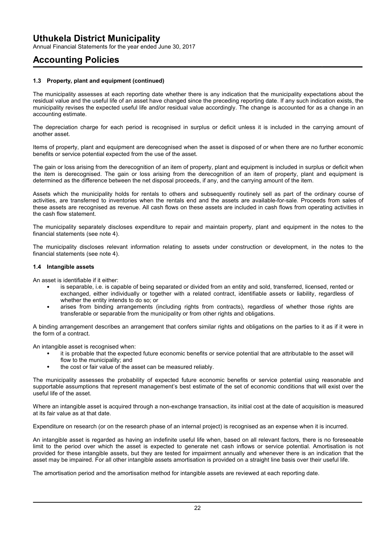Annual Financial Statements for the year ended June 30, 2017

### **Accounting Policies**

#### **1.3 Property, plant and equipment (continued)**

The municipality assesses at each reporting date whether there is any indication that the municipality expectations about the residual value and the useful life of an asset have changed since the preceding reporting date. If any such indication exists, the municipality revises the expected useful life and/or residual value accordingly. The change is accounted for as a change in an accounting estimate.

The depreciation charge for each period is recognised in surplus or deficit unless it is included in the carrying amount of another asset.

Items of property, plant and equipment are derecognised when the asset is disposed of or when there are no further economic benefits or service potential expected from the use of the asset.

The gain or loss arising from the derecognition of an item of property, plant and equipment is included in surplus or deficit when the item is derecognised. The gain or loss arising from the derecognition of an item of property, plant and equipment is determined as the difference between the net disposal proceeds, if any, and the carrying amount of the item.

Assets which the municipality holds for rentals to others and subsequently routinely sell as part of the ordinary course of activities, are transferred to inventories when the rentals end and the assets are available-for-sale. Proceeds from sales of these assets are recognised as revenue. All cash flows on these assets are included in cash flows from operating activities in the cash flow statement.

The municipality separately discloses expenditure to repair and maintain property, plant and equipment in the notes to the financial statements (see note 4).

The municipality discloses relevant information relating to assets under construction or development, in the notes to the financial statements (see note 4).

#### **1.4 Intangible assets**

An asset is identifiable if it either:

- is separable, i.e. is capable of being separated or divided from an entity and sold, transferred, licensed, rented or exchanged, either individually or together with a related contract, identifiable assets or liability, regardless of whether the entity intends to do so; or
- arises from binding arrangements (including rights from contracts), regardless of whether those rights are transferable or separable from the municipality or from other rights and obligations.

A binding arrangement describes an arrangement that confers similar rights and obligations on the parties to it as if it were in the form of a contract.

An intangible asset is recognised when:

- it is probable that the expected future economic benefits or service potential that are attributable to the asset will flow to the municipality; and
- the cost or fair value of the asset can be measured reliably.

The municipality assesses the probability of expected future economic benefits or service potential using reasonable and supportable assumptions that represent management's best estimate of the set of economic conditions that will exist over the useful life of the asset.

Where an intangible asset is acquired through a non-exchange transaction, its initial cost at the date of acquisition is measured at its fair value as at that date.

Expenditure on research (or on the research phase of an internal project) is recognised as an expense when it is incurred.

An intangible asset is regarded as having an indefinite useful life when, based on all relevant factors, there is no foreseeable limit to the period over which the asset is expected to generate net cash inflows or service potential. Amortisation is not provided for these intangible assets, but they are tested for impairment annually and whenever there is an indication that the asset may be impaired. For all other intangible assets amortisation is provided on a straight line basis over their useful life.

The amortisation period and the amortisation method for intangible assets are reviewed at each reporting date.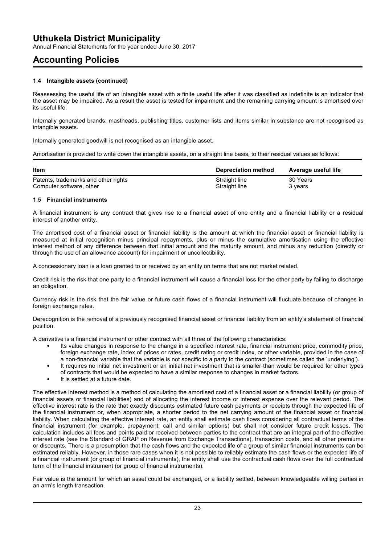Annual Financial Statements for the year ended June 30, 2017

### **Accounting Policies**

#### **1.4 Intangible assets (continued)**

Reassessing the useful life of an intangible asset with a finite useful life after it was classified as indefinite is an indicator that the asset may be impaired. As a result the asset is tested for impairment and the remaining carrying amount is amortised over its useful life.

Internally generated brands, mastheads, publishing titles, customer lists and items similar in substance are not recognised as intangible assets.

Internally generated goodwill is not recognised as an intangible asset.

Amortisation is provided to write down the intangible assets, on a straight line basis, to their residual values as follows:

| Item                                 | <b>Depreciation method</b> | Average useful life |
|--------------------------------------|----------------------------|---------------------|
| Patents, trademarks and other rights | Straight line              | 30 Years            |
| Computer software, other             | Straight line              | 3 vears             |

#### **1.5 Financial instruments**

A financial instrument is any contract that gives rise to a financial asset of one entity and a financial liability or a residual interest of another entity.

The amortised cost of a financial asset or financial liability is the amount at which the financial asset or financial liability is measured at initial recognition minus principal repayments, plus or minus the cumulative amortisation using the effective interest method of any difference between that initial amount and the maturity amount, and minus any reduction (directly or through the use of an allowance account) for impairment or uncollectibility.

A concessionary loan is a loan granted to or received by an entity on terms that are not market related.

Credit risk is the risk that one party to a financial instrument will cause a financial loss for the other party by failing to discharge an obligation.

Currency risk is the risk that the fair value or future cash flows of a financial instrument will fluctuate because of changes in foreign exchange rates.

Derecognition is the removal of a previously recognised financial asset or financial liability from an entity's statement of financial position.

A derivative is a financial instrument or other contract with all three of the following characteristics:

- Its value changes in response to the change in a specified interest rate, financial instrument price, commodity price, foreign exchange rate, index of prices or rates, credit rating or credit index, or other variable, provided in the case of a non-financial variable that the variable is not specific to a party to the contract (sometimes called the 'underlying').
- It requires no initial net investment or an initial net investment that is smaller than would be required for other types of contracts that would be expected to have a similar response to changes in market factors.
- It is settled at a future date.

The effective interest method is a method of calculating the amortised cost of a financial asset or a financial liability (or group of financial assets or financial liabilities) and of allocating the interest income or interest expense over the relevant period. The effective interest rate is the rate that exactly discounts estimated future cash payments or receipts through the expected life of the financial instrument or, when appropriate, a shorter period to the net carrying amount of the financial asset or financial liability. When calculating the effective interest rate, an entity shall estimate cash flows considering all contractual terms of the financial instrument (for example, prepayment, call and similar options) but shall not consider future credit losses. The calculation includes all fees and points paid or received between parties to the contract that are an integral part of the effective interest rate (see the Standard of GRAP on Revenue from Exchange Transactions), transaction costs, and all other premiums or discounts. There is a presumption that the cash flows and the expected life of a group of similar financial instruments can be estimated reliably. However, in those rare cases when it is not possible to reliably estimate the cash flows or the expected life of a financial instrument (or group of financial instruments), the entity shall use the contractual cash flows over the full contractual term of the financial instrument (or group of financial instruments).

Fair value is the amount for which an asset could be exchanged, or a liability settled, between knowledgeable willing parties in an arm's length transaction.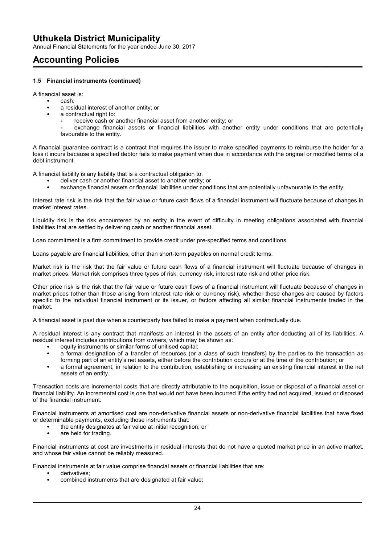Annual Financial Statements for the year ended June 30, 2017

### **Accounting Policies**

#### **1.5 Financial instruments (continued)**

A financial asset is:

- cash;
- a residual interest of another entity; or
- a contractual right to:
	- **-** receive cash or another financial asset from another entity; or
	- **-** exchange financial assets or financial liabilities with another entity under conditions that are potentially favourable to the entity.

A financial guarantee contract is a contract that requires the issuer to make specified payments to reimburse the holder for a loss it incurs because a specified debtor fails to make payment when due in accordance with the original or modified terms of a debt instrument.

A financial liability is any liability that is a contractual obligation to:

- deliver cash or another financial asset to another entity; or
- exchange financial assets or financial liabilities under conditions that are potentially unfavourable to the entity.

Interest rate risk is the risk that the fair value or future cash flows of a financial instrument will fluctuate because of changes in market interest rates.

Liquidity risk is the risk encountered by an entity in the event of difficulty in meeting obligations associated with financial liabilities that are settled by delivering cash or another financial asset.

Loan commitment is a firm commitment to provide credit under pre-specified terms and conditions.

Loans payable are financial liabilities, other than short-term payables on normal credit terms.

Market risk is the risk that the fair value or future cash flows of a financial instrument will fluctuate because of changes in market prices. Market risk comprises three types of risk: currency risk, interest rate risk and other price risk.

Other price risk is the risk that the fair value or future cash flows of a financial instrument will fluctuate because of changes in market prices (other than those arising from interest rate risk or currency risk), whether those changes are caused by factors specific to the individual financial instrument or its issuer, or factors affecting all similar financial instruments traded in the market.

A financial asset is past due when a counterparty has failed to make a payment when contractually due.

A residual interest is any contract that manifests an interest in the assets of an entity after deducting all of its liabilities. A residual interest includes contributions from owners, which may be shown as:

- equity instruments or similar forms of unitised capital;
- a formal designation of a transfer of resources (or a class of such transfers) by the parties to the transaction as forming part of an entity's net assets, either before the contribution occurs or at the time of the contribution; or
- a formal agreement, in relation to the contribution, establishing or increasing an existing financial interest in the net assets of an entity.

Transaction costs are incremental costs that are directly attributable to the acquisition, issue or disposal of a financial asset or financial liability. An incremental cost is one that would not have been incurred if the entity had not acquired, issued or disposed of the financial instrument.

Financial instruments at amortised cost are non-derivative financial assets or non-derivative financial liabilities that have fixed or determinable payments, excluding those instruments that:

- the entity designates at fair value at initial recognition; or
- are held for trading.

Financial instruments at cost are investments in residual interests that do not have a quoted market price in an active market, and whose fair value cannot be reliably measured.

Financial instruments at fair value comprise financial assets or financial liabilities that are:

- derivatives;
- combined instruments that are designated at fair value;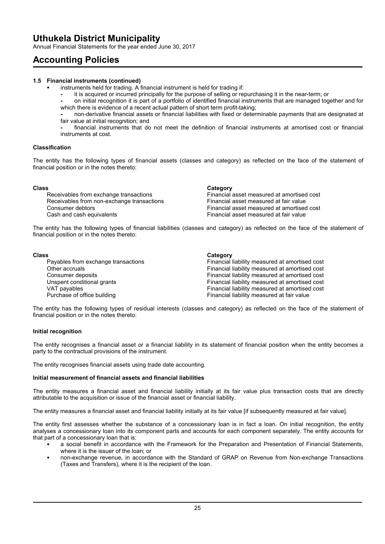Annual Financial Statements for the year ended June 30, 2017

### **Accounting Policies**

#### **1.5 Financial instruments (continued)**

instruments held for trading. A financial instrument is held for trading if:

- **-** it is acquired or incurred principally for the purpose of selling or repurchasing it in the near-term; or
- **-** on initial recognition it is part of a portfolio of identified financial instruments that are managed together and for which there is evidence of a recent actual pattern of short term profit-taking:

**-** non-derivative financial assets or financial liabilities with fixed or determinable payments that are designated at fair value at initial recognition; and

**-** financial instruments that do not meet the definition of financial instruments at amortised cost or financial instruments at cost.

#### **Classification**

The entity has the following types of financial assets (classes and category) as reflected on the face of the statement of financial position or in the notes thereto:

Receivables from exchange transactions Financial asset measured at amortised cost<br>Receivables from non-exchange transactions Financial asset measured at fair value Receivables from non-exchange transactions Consumer debtors Financial asset measured at amortised cost<br>Cash and cash equivalents **Financial** asset measured at fair value

#### **Class Category**

Financial asset measured at fair value

The entity has the following types of financial liabilities (classes and category) as reflected on the face of the statement of financial position or in the notes thereto:

#### **Class Category**

#### Payables from exchange transactions Financial liability measured at amortised cost Other accruals Financial liability measured at amortised cost Consumer deposits Financial liability measured at amortised cost Unspent conditional grants Financial liability measured at amortised cost VAT payables Financial liability measured at amortised cost

Purchase of office building Financial liability measured at fair value

The entity has the following types of residual interests (classes and category) as reflected on the face of the statement of financial position or in the notes thereto:

#### **Initial recognition**

The entity recognises a financial asset or a financial liability in its statement of financial position when the entity becomes a party to the contractual provisions of the instrument.

The entity recognises financial assets using trade date accounting.

#### **Initial measurement of financial assets and financial liabilities**

The entity measures a financial asset and financial liability initially at its fair value plus transaction costs that are directly attributable to the acquisition or issue of the financial asset or financial liability.

The entity measures a financial asset and financial liability initially at its fair value [if subsequently measured at fair value].

The entity first assesses whether the substance of a concessionary loan is in fact a loan. On initial recognition, the entity analyses a concessionary loan into its component parts and accounts for each component separately. The entity accounts for that part of a concessionary loan that is:

- a social benefit in accordance with the Framework for the Preparation and Presentation of Financial Statements, where it is the issuer of the loan; or
- non-exchange revenue, in accordance with the Standard of GRAP on Revenue from Non-exchange Transactions (Taxes and Transfers), where it is the recipient of the loan.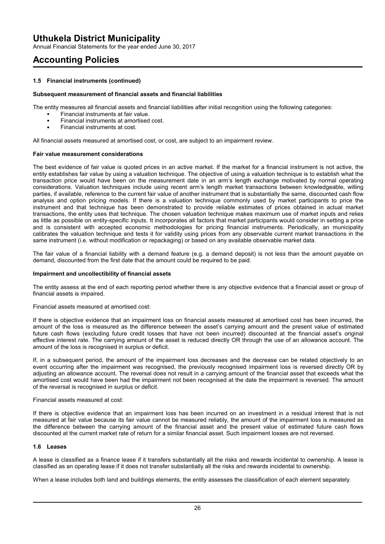Annual Financial Statements for the year ended June 30, 2017

### **Accounting Policies**

#### **1.5 Financial instruments (continued)**

#### **Subsequent measurement of financial assets and financial liabilities**

The entity measures all financial assets and financial liabilities after initial recognition using the following categories:

- Financial instruments at fair value.
- Financial instruments at amortised cost.
- Financial instruments at cost.

All financial assets measured at amortised cost, or cost, are subject to an impairment review.

#### **Fair value measurement considerations**

The best evidence of fair value is quoted prices in an active market. If the market for a financial instrument is not active, the entity establishes fair value by using a valuation technique. The objective of using a valuation technique is to establish what the transaction price would have been on the measurement date in an arm's length exchange motivated by normal operating considerations. Valuation techniques include using recent arm's length market transactions between knowledgeable, willing parties, if available, reference to the current fair value of another instrument that is substantially the same, discounted cash flow analysis and option pricing models. If there is a valuation technique commonly used by market participants to price the instrument and that technique has been demonstrated to provide reliable estimates of prices obtained in actual market transactions, the entity uses that technique. The chosen valuation technique makes maximum use of market inputs and relies as little as possible on entity-specific inputs. It incorporates all factors that market participants would consider in setting a price and is consistent with accepted economic methodologies for pricing financial instruments. Periodically, an municipality calibrates the valuation technique and tests it for validity using prices from any observable current market transactions in the same instrument (i.e. without modification or repackaging) or based on any available observable market data.

The fair value of a financial liability with a demand feature (e.g. a demand deposit) is not less than the amount payable on demand, discounted from the first date that the amount could be required to be paid.

#### **Impairment and uncollectibility of financial assets**

The entity assess at the end of each reporting period whether there is any objective evidence that a financial asset or group of financial assets is impaired.

#### Financial assets measured at amortised cost:

If there is objective evidence that an impairment loss on financial assets measured at amortised cost has been incurred, the amount of the loss is measured as the difference between the asset's carrying amount and the present value of estimated future cash flows (excluding future credit losses that have not been incurred) discounted at the financial asset's original effective interest rate. The carrying amount of the asset is reduced directly OR through the use of an allowance account. The amount of the loss is recognised in surplus or deficit.

If, in a subsequent period, the amount of the impairment loss decreases and the decrease can be related objectively to an event occurring after the impairment was recognised, the previously recognised impairment loss is reversed directly OR by adjusting an allowance account. The reversal does not result in a carrying amount of the financial asset that exceeds what the amortised cost would have been had the impairment not been recognised at the date the impairment is reversed. The amount of the reversal is recognised in surplus or deficit.

Financial assets measured at cost:

If there is objective evidence that an impairment loss has been incurred on an investment in a residual interest that is not measured at fair value because its fair value cannot be measured reliably, the amount of the impairment loss is measured as the difference between the carrying amount of the financial asset and the present value of estimated future cash flows discounted at the current market rate of return for a similar financial asset. Such impairment losses are not reversed.

#### **1.6 Leases**

A lease is classified as a finance lease if it transfers substantially all the risks and rewards incidental to ownership. A lease is classified as an operating lease if it does not transfer substantially all the risks and rewards incidental to ownership.

When a lease includes both land and buildings elements, the entity assesses the classification of each element separately.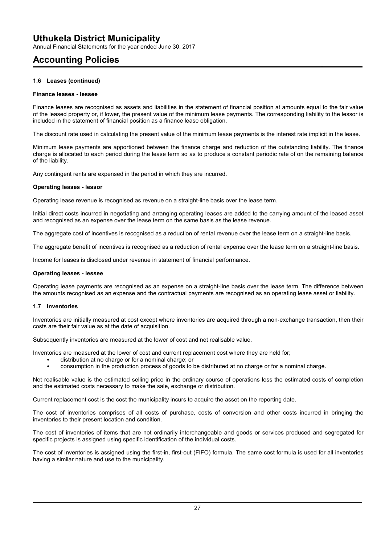Annual Financial Statements for the year ended June 30, 2017

### **Accounting Policies**

#### **1.6 Leases (continued)**

#### **Finance leases - lessee**

Finance leases are recognised as assets and liabilities in the statement of financial position at amounts equal to the fair value of the leased property or, if lower, the present value of the minimum lease payments. The corresponding liability to the lessor is included in the statement of financial position as a finance lease obligation.

The discount rate used in calculating the present value of the minimum lease payments is the interest rate implicit in the lease.

Minimum lease payments are apportioned between the finance charge and reduction of the outstanding liability. The finance charge is allocated to each period during the lease term so as to produce a constant periodic rate of on the remaining balance of the liability.

Any contingent rents are expensed in the period in which they are incurred.

#### **Operating leases - lessor**

Operating lease revenue is recognised as revenue on a straight-line basis over the lease term.

Initial direct costs incurred in negotiating and arranging operating leases are added to the carrying amount of the leased asset and recognised as an expense over the lease term on the same basis as the lease revenue.

The aggregate cost of incentives is recognised as a reduction of rental revenue over the lease term on a straight-line basis.

The aggregate benefit of incentives is recognised as a reduction of rental expense over the lease term on a straight-line basis.

Income for leases is disclosed under revenue in statement of financial performance.

#### **Operating leases - lessee**

Operating lease payments are recognised as an expense on a straight-line basis over the lease term. The difference between the amounts recognised as an expense and the contractual payments are recognised as an operating lease asset or liability.

#### **1.7 Inventories**

Inventories are initially measured at cost except where inventories are acquired through a non-exchange transaction, then their costs are their fair value as at the date of acquisition.

Subsequently inventories are measured at the lower of cost and net realisable value.

Inventories are measured at the lower of cost and current replacement cost where they are held for;

- distribution at no charge or for a nominal charge; or
- consumption in the production process of goods to be distributed at no charge or for a nominal charge.

Net realisable value is the estimated selling price in the ordinary course of operations less the estimated costs of completion and the estimated costs necessary to make the sale, exchange or distribution.

Current replacement cost is the cost the municipality incurs to acquire the asset on the reporting date.

The cost of inventories comprises of all costs of purchase, costs of conversion and other costs incurred in bringing the inventories to their present location and condition.

The cost of inventories of items that are not ordinarily interchangeable and goods or services produced and segregated for specific projects is assigned using specific identification of the individual costs.

The cost of inventories is assigned using the first-in, first-out (FIFO) formula. The same cost formula is used for all inventories having a similar nature and use to the municipality.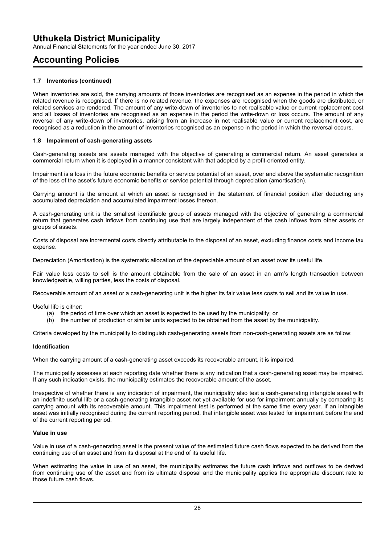Annual Financial Statements for the year ended June 30, 2017

### **Accounting Policies**

#### **1.7 Inventories (continued)**

When inventories are sold, the carrying amounts of those inventories are recognised as an expense in the period in which the related revenue is recognised. If there is no related revenue, the expenses are recognised when the goods are distributed, or related services are rendered. The amount of any write-down of inventories to net realisable value or current replacement cost and all losses of inventories are recognised as an expense in the period the write-down or loss occurs. The amount of any reversal of any write-down of inventories, arising from an increase in net realisable value or current replacement cost, are recognised as a reduction in the amount of inventories recognised as an expense in the period in which the reversal occurs.

#### **1.8 Impairment of cash-generating assets**

Cash-generating assets are assets managed with the objective of generating a commercial return. An asset generates a commercial return when it is deployed in a manner consistent with that adopted by a profit-oriented entity.

Impairment is a loss in the future economic benefits or service potential of an asset, over and above the systematic recognition of the loss of the asset's future economic benefits or service potential through depreciation (amortisation).

Carrying amount is the amount at which an asset is recognised in the statement of financial position after deducting any accumulated depreciation and accumulated impairment losses thereon.

A cash-generating unit is the smallest identifiable group of assets managed with the objective of generating a commercial return that generates cash inflows from continuing use that are largely independent of the cash inflows from other assets or groups of assets.

Costs of disposal are incremental costs directly attributable to the disposal of an asset, excluding finance costs and income tax expense.

Depreciation (Amortisation) is the systematic allocation of the depreciable amount of an asset over its useful life.

Fair value less costs to sell is the amount obtainable from the sale of an asset in an arm's length transaction between knowledgeable, willing parties, less the costs of disposal.

Recoverable amount of an asset or a cash-generating unit is the higher its fair value less costs to sell and its value in use.

Useful life is either:

- (a) the period of time over which an asset is expected to be used by the municipality; or
- (b) the number of production or similar units expected to be obtained from the asset by the municipality.

Criteria developed by the municipality to distinguish cash-generating assets from non-cash-generating assets are as follow:

#### **Identification**

When the carrying amount of a cash-generating asset exceeds its recoverable amount, it is impaired.

The municipality assesses at each reporting date whether there is any indication that a cash-generating asset may be impaired. If any such indication exists, the municipality estimates the recoverable amount of the asset.

Irrespective of whether there is any indication of impairment, the municipality also test a cash-generating intangible asset with an indefinite useful life or a cash-generating intangible asset not yet available for use for impairment annually by comparing its carrying amount with its recoverable amount. This impairment test is performed at the same time every year. If an intangible asset was initially recognised during the current reporting period, that intangible asset was tested for impairment before the end of the current reporting period.

#### **Value in use**

Value in use of a cash-generating asset is the present value of the estimated future cash flows expected to be derived from the continuing use of an asset and from its disposal at the end of its useful life.

When estimating the value in use of an asset, the municipality estimates the future cash inflows and outflows to be derived from continuing use of the asset and from its ultimate disposal and the municipality applies the appropriate discount rate to those future cash flows.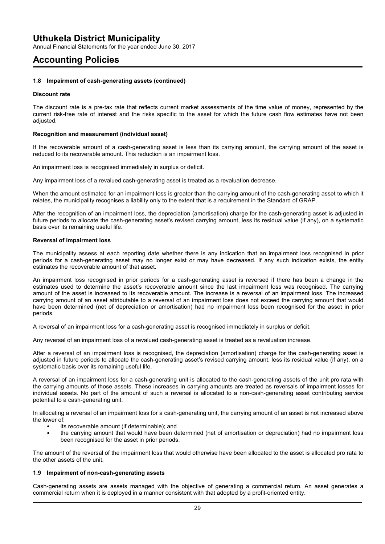Annual Financial Statements for the year ended June 30, 2017

### **Accounting Policies**

#### **1.8 Impairment of cash-generating assets (continued)**

#### **Discount rate**

The discount rate is a pre-tax rate that reflects current market assessments of the time value of money, represented by the current risk-free rate of interest and the risks specific to the asset for which the future cash flow estimates have not been adjusted.

#### **Recognition and measurement (individual asset)**

If the recoverable amount of a cash-generating asset is less than its carrying amount, the carrying amount of the asset is reduced to its recoverable amount. This reduction is an impairment loss.

An impairment loss is recognised immediately in surplus or deficit.

Any impairment loss of a revalued cash-generating asset is treated as a revaluation decrease.

When the amount estimated for an impairment loss is greater than the carrying amount of the cash-generating asset to which it relates, the municipality recognises a liability only to the extent that is a requirement in the Standard of GRAP.

After the recognition of an impairment loss, the depreciation (amortisation) charge for the cash-generating asset is adjusted in future periods to allocate the cash-generating asset's revised carrying amount, less its residual value (if any), on a systematic basis over its remaining useful life.

#### **Reversal of impairment loss**

The municipality assess at each reporting date whether there is any indication that an impairment loss recognised in prior periods for a cash-generating asset may no longer exist or may have decreased. If any such indication exists, the entity estimates the recoverable amount of that asset.

An impairment loss recognised in prior periods for a cash-generating asset is reversed if there has been a change in the estimates used to determine the asset's recoverable amount since the last impairment loss was recognised. The carrying amount of the asset is increased to its recoverable amount. The increase is a reversal of an impairment loss. The increased carrying amount of an asset attributable to a reversal of an impairment loss does not exceed the carrying amount that would have been determined (net of depreciation or amortisation) had no impairment loss been recognised for the asset in prior periods.

A reversal of an impairment loss for a cash-generating asset is recognised immediately in surplus or deficit.

Any reversal of an impairment loss of a revalued cash-generating asset is treated as a revaluation increase.

After a reversal of an impairment loss is recognised, the depreciation (amortisation) charge for the cash-generating asset is adjusted in future periods to allocate the cash-generating asset's revised carrying amount, less its residual value (if any), on a systematic basis over its remaining useful life.

A reversal of an impairment loss for a cash-generating unit is allocated to the cash-generating assets of the unit pro rata with the carrying amounts of those assets. These increases in carrying amounts are treated as reversals of impairment losses for individual assets. No part of the amount of such a reversal is allocated to a non-cash-generating asset contributing service potential to a cash-generating unit.

In allocating a reversal of an impairment loss for a cash-generating unit, the carrying amount of an asset is not increased above the lower of:

- its recoverable amount (if determinable); and
- the carrying amount that would have been determined (net of amortisation or depreciation) had no impairment loss been recognised for the asset in prior periods.

The amount of the reversal of the impairment loss that would otherwise have been allocated to the asset is allocated pro rata to the other assets of the unit.

#### **1.9 Impairment of non-cash-generating assets**

Cash-generating assets are assets managed with the objective of generating a commercial return. An asset generates a commercial return when it is deployed in a manner consistent with that adopted by a profit-oriented entity.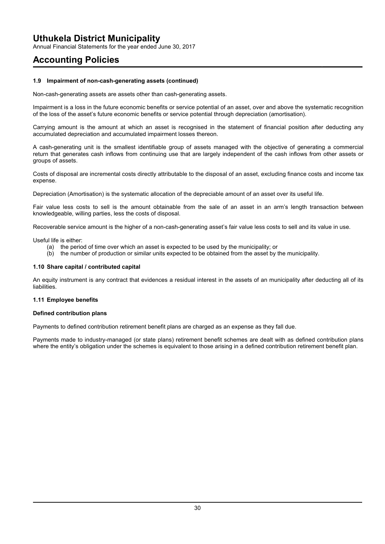Annual Financial Statements for the year ended June 30, 2017

### **Accounting Policies**

#### **1.9 Impairment of non-cash-generating assets (continued)**

Non-cash-generating assets are assets other than cash-generating assets.

Impairment is a loss in the future economic benefits or service potential of an asset, over and above the systematic recognition of the loss of the asset's future economic benefits or service potential through depreciation (amortisation).

Carrying amount is the amount at which an asset is recognised in the statement of financial position after deducting any accumulated depreciation and accumulated impairment losses thereon.

A cash-generating unit is the smallest identifiable group of assets managed with the objective of generating a commercial return that generates cash inflows from continuing use that are largely independent of the cash inflows from other assets or groups of assets.

Costs of disposal are incremental costs directly attributable to the disposal of an asset, excluding finance costs and income tax expense.

Depreciation (Amortisation) is the systematic allocation of the depreciable amount of an asset over its useful life.

Fair value less costs to sell is the amount obtainable from the sale of an asset in an arm's length transaction between knowledgeable, willing parties, less the costs of disposal.

Recoverable service amount is the higher of a non-cash-generating asset's fair value less costs to sell and its value in use.

Useful life is either:

- (a) the period of time over which an asset is expected to be used by the municipality; or
- (b) the number of production or similar units expected to be obtained from the asset by the municipality.

#### **1.10 Share capital / contributed capital**

An equity instrument is any contract that evidences a residual interest in the assets of an municipality after deducting all of its liabilities.

#### **1.11 Employee benefits**

#### **Defined contribution plans**

Payments to defined contribution retirement benefit plans are charged as an expense as they fall due.

Payments made to industry-managed (or state plans) retirement benefit schemes are dealt with as defined contribution plans where the entity's obligation under the schemes is equivalent to those arising in a defined contribution retirement benefit plan.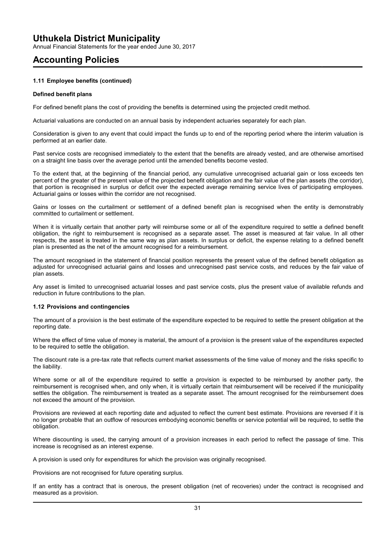Annual Financial Statements for the year ended June 30, 2017

### **Accounting Policies**

#### **1.11 Employee benefits (continued)**

#### **Defined benefit plans**

For defined benefit plans the cost of providing the benefits is determined using the projected credit method.

Actuarial valuations are conducted on an annual basis by independent actuaries separately for each plan.

Consideration is given to any event that could impact the funds up to end of the reporting period where the interim valuation is performed at an earlier date.

Past service costs are recognised immediately to the extent that the benefits are already vested, and are otherwise amortised on a straight line basis over the average period until the amended benefits become vested.

To the extent that, at the beginning of the financial period, any cumulative unrecognised actuarial gain or loss exceeds ten percent of the greater of the present value of the projected benefit obligation and the fair value of the plan assets (the corridor), that portion is recognised in surplus or deficit over the expected average remaining service lives of participating employees. Actuarial gains or losses within the corridor are not recognised.

Gains or losses on the curtailment or settlement of a defined benefit plan is recognised when the entity is demonstrably committed to curtailment or settlement.

When it is virtually certain that another party will reimburse some or all of the expenditure required to settle a defined benefit obligation, the right to reimbursement is recognised as a separate asset. The asset is measured at fair value. In all other respects, the asset is treated in the same way as plan assets. In surplus or deficit, the expense relating to a defined benefit plan is presented as the net of the amount recognised for a reimbursement.

The amount recognised in the statement of financial position represents the present value of the defined benefit obligation as adjusted for unrecognised actuarial gains and losses and unrecognised past service costs, and reduces by the fair value of plan assets.

Any asset is limited to unrecognised actuarial losses and past service costs, plus the present value of available refunds and reduction in future contributions to the plan.

#### **1.12 Provisions and contingencies**

The amount of a provision is the best estimate of the expenditure expected to be required to settle the present obligation at the reporting date.

Where the effect of time value of money is material, the amount of a provision is the present value of the expenditures expected to be required to settle the obligation.

The discount rate is a pre-tax rate that reflects current market assessments of the time value of money and the risks specific to the liability.

Where some or all of the expenditure required to settle a provision is expected to be reimbursed by another party, the reimbursement is recognised when, and only when, it is virtually certain that reimbursement will be received if the municipality settles the obligation. The reimbursement is treated as a separate asset. The amount recognised for the reimbursement does not exceed the amount of the provision.

Provisions are reviewed at each reporting date and adjusted to reflect the current best estimate. Provisions are reversed if it is no longer probable that an outflow of resources embodying economic benefits or service potential will be required, to settle the obligation.

Where discounting is used, the carrying amount of a provision increases in each period to reflect the passage of time. This increase is recognised as an interest expense.

A provision is used only for expenditures for which the provision was originally recognised.

Provisions are not recognised for future operating surplus.

If an entity has a contract that is onerous, the present obligation (net of recoveries) under the contract is recognised and measured as a provision.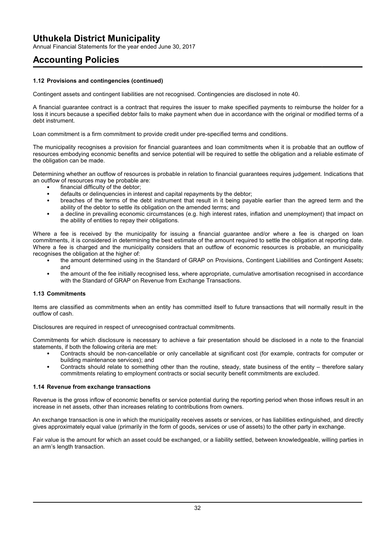Annual Financial Statements for the year ended June 30, 2017

### **Accounting Policies**

#### **1.12 Provisions and contingencies (continued)**

Contingent assets and contingent liabilities are not recognised. Contingencies are disclosed in note 40.

A financial guarantee contract is a contract that requires the issuer to make specified payments to reimburse the holder for a loss it incurs because a specified debtor fails to make payment when due in accordance with the original or modified terms of a debt instrument.

Loan commitment is a firm commitment to provide credit under pre-specified terms and conditions.

The municipality recognises a provision for financial guarantees and loan commitments when it is probable that an outflow of resources embodying economic benefits and service potential will be required to settle the obligation and a reliable estimate of the obligation can be made.

Determining whether an outflow of resources is probable in relation to financial guarantees requires judgement. Indications that an outflow of resources may be probable are:

- financial difficulty of the debtor;
- defaults or delinquencies in interest and capital repayments by the debtor;
- breaches of the terms of the debt instrument that result in it being payable earlier than the agreed term and the ability of the debtor to settle its obligation on the amended terms; and
- a decline in prevailing economic circumstances (e.g. high interest rates, inflation and unemployment) that impact on the ability of entities to repay their obligations.

Where a fee is received by the municipality for issuing a financial guarantee and/or where a fee is charged on loan commitments, it is considered in determining the best estimate of the amount required to settle the obligation at reporting date. Where a fee is charged and the municipality considers that an outflow of economic resources is probable, an municipality recognises the obligation at the higher of:

- the amount determined using in the Standard of GRAP on Provisions, Contingent Liabilities and Contingent Assets; and
- the amount of the fee initially recognised less, where appropriate, cumulative amortisation recognised in accordance with the Standard of GRAP on Revenue from Exchange Transactions.

#### **1.13 Commitments**

Items are classified as commitments when an entity has committed itself to future transactions that will normally result in the outflow of cash.

Disclosures are required in respect of unrecognised contractual commitments.

Commitments for which disclosure is necessary to achieve a fair presentation should be disclosed in a note to the financial statements, if both the following criteria are met:

- Contracts should be non-cancellable or only cancellable at significant cost (for example, contracts for computer or building maintenance services); and
- Contracts should relate to something other than the routine, steady, state business of the entity therefore salary commitments relating to employment contracts or social security benefit commitments are excluded.

#### **1.14 Revenue from exchange transactions**

Revenue is the gross inflow of economic benefits or service potential during the reporting period when those inflows result in an increase in net assets, other than increases relating to contributions from owners.

An exchange transaction is one in which the municipality receives assets or services, or has liabilities extinguished, and directly gives approximately equal value (primarily in the form of goods, services or use of assets) to the other party in exchange.

Fair value is the amount for which an asset could be exchanged, or a liability settled, between knowledgeable, willing parties in an arm's length transaction.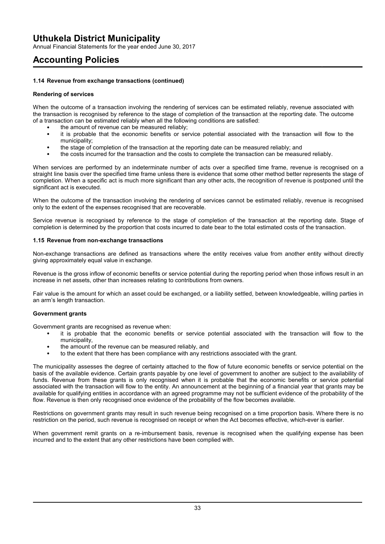Annual Financial Statements for the year ended June 30, 2017

### **Accounting Policies**

#### **1.14 Revenue from exchange transactions (continued)**

#### **Rendering of services**

When the outcome of a transaction involving the rendering of services can be estimated reliably, revenue associated with the transaction is recognised by reference to the stage of completion of the transaction at the reporting date. The outcome of a transaction can be estimated reliably when all the following conditions are satisfied:

- the amount of revenue can be measured reliably;
- it is probable that the economic benefits or service potential associated with the transaction will flow to the municipality;
- the stage of completion of the transaction at the reporting date can be measured reliably; and
- the costs incurred for the transaction and the costs to complete the transaction can be measured reliably.

When services are performed by an indeterminate number of acts over a specified time frame, revenue is recognised on a straight line basis over the specified time frame unless there is evidence that some other method better represents the stage of completion. When a specific act is much more significant than any other acts, the recognition of revenue is postponed until the significant act is executed.

When the outcome of the transaction involving the rendering of services cannot be estimated reliably, revenue is recognised only to the extent of the expenses recognised that are recoverable.

Service revenue is recognised by reference to the stage of completion of the transaction at the reporting date. Stage of completion is determined by the proportion that costs incurred to date bear to the total estimated costs of the transaction.

#### **1.15 Revenue from non-exchange transactions**

Non-exchange transactions are defined as transactions where the entity receives value from another entity without directly giving approximately equal value in exchange.

Revenue is the gross inflow of economic benefits or service potential during the reporting period when those inflows result in an increase in net assets, other than increases relating to contributions from owners.

Fair value is the amount for which an asset could be exchanged, or a liability settled, between knowledgeable, willing parties in an arm's length transaction.

#### **Government grants**

Government grants are recognised as revenue when:

- it is probable that the economic benefits or service potential associated with the transaction will flow to the municipality,
- the amount of the revenue can be measured reliably, and
- to the extent that there has been compliance with any restrictions associated with the grant.

The municipality assesses the degree of certainty attached to the flow of future economic benefits or service potential on the basis of the available evidence. Certain grants payable by one level of government to another are subject to the availability of funds. Revenue from these grants is only recognised when it is probable that the economic benefits or service potential associated with the transaction will flow to the entity. An announcement at the beginning of a financial year that grants may be available for qualifying entities in accordance with an agreed programme may not be sufficient evidence of the probability of the flow. Revenue is then only recognised once evidence of the probability of the flow becomes available.

Restrictions on government grants may result in such revenue being recognised on a time proportion basis. Where there is no restriction on the period, such revenue is recognised on receipt or when the Act becomes effective, which-ever is earlier.

When government remit grants on a re-imbursement basis, revenue is recognised when the qualifying expense has been incurred and to the extent that any other restrictions have been complied with.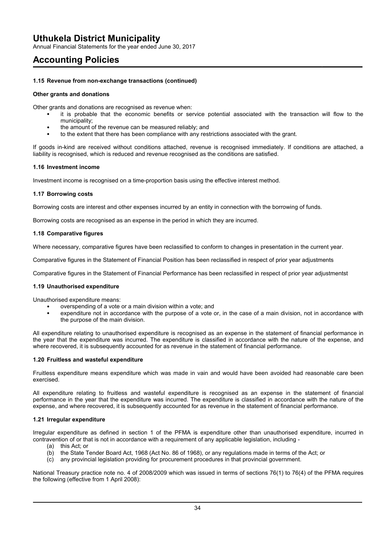Annual Financial Statements for the year ended June 30, 2017

### **Accounting Policies**

#### **1.15 Revenue from non-exchange transactions (continued)**

#### **Other grants and donations**

Other grants and donations are recognised as revenue when:

- it is probable that the economic benefits or service potential associated with the transaction will flow to the municipality;
- the amount of the revenue can be measured reliably; and
- to the extent that there has been compliance with any restrictions associated with the grant.

If goods in-kind are received without conditions attached, revenue is recognised immediately. If conditions are attached, a liability is recognised, which is reduced and revenue recognised as the conditions are satisfied.

#### **1.16 Investment income**

Investment income is recognised on a time-proportion basis using the effective interest method.

#### **1.17 Borrowing costs**

Borrowing costs are interest and other expenses incurred by an entity in connection with the borrowing of funds.

Borrowing costs are recognised as an expense in the period in which they are incurred.

#### **1.18 Comparative figures**

Where necessary, comparative figures have been reclassified to conform to changes in presentation in the current year.

Comparative figures in the Statement of Financial Position has been reclassified in respect of prior year adjustments

Comparative figures in the Statement of Financial Performance has been reclassified in respect of prior year adjustmentst

#### **1.19 Unauthorised expenditure**

Unauthorised expenditure means:

- overspending of a vote or a main division within a vote; and
- expenditure not in accordance with the purpose of a vote or, in the case of a main division, not in accordance with the purpose of the main division.

All expenditure relating to unauthorised expenditure is recognised as an expense in the statement of financial performance in the year that the expenditure was incurred. The expenditure is classified in accordance with the nature of the expense, and where recovered, it is subsequently accounted for as revenue in the statement of financial performance.

#### **1.20 Fruitless and wasteful expenditure**

Fruitless expenditure means expenditure which was made in vain and would have been avoided had reasonable care been exercised.

All expenditure relating to fruitless and wasteful expenditure is recognised as an expense in the statement of financial performance in the year that the expenditure was incurred. The expenditure is classified in accordance with the nature of the expense, and where recovered, it is subsequently accounted for as revenue in the statement of financial performance.

#### **1.21 Irregular expenditure**

Irregular expenditure as defined in section 1 of the PFMA is expenditure other than unauthorised expenditure, incurred in contravention of or that is not in accordance with a requirement of any applicable legislation, including -

- (a) this Act; or
- (b) the State Tender Board Act, 1968 (Act No. 86 of 1968), or any regulations made in terms of the Act; or
- (c) any provincial legislation providing for procurement procedures in that provincial government.

National Treasury practice note no. 4 of 2008/2009 which was issued in terms of sections 76(1) to 76(4) of the PFMA requires the following (effective from 1 April 2008):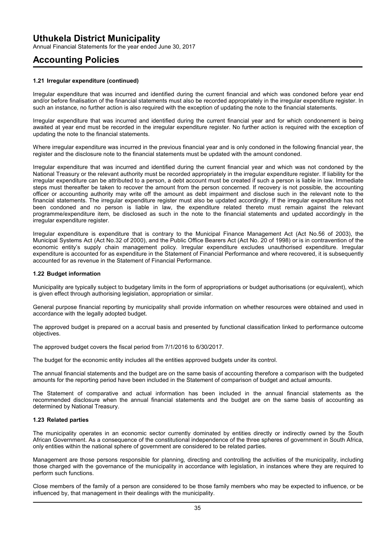Annual Financial Statements for the year ended June 30, 2017

### **Accounting Policies**

#### **1.21 Irregular expenditure (continued)**

Irregular expenditure that was incurred and identified during the current financial and which was condoned before year end and/or before finalisation of the financial statements must also be recorded appropriately in the irregular expenditure register. In such an instance, no further action is also required with the exception of updating the note to the financial statements.

Irregular expenditure that was incurred and identified during the current financial year and for which condonement is being awaited at year end must be recorded in the irregular expenditure register. No further action is required with the exception of updating the note to the financial statements.

Where irregular expenditure was incurred in the previous financial year and is only condoned in the following financial year, the register and the disclosure note to the financial statements must be updated with the amount condoned.

Irregular expenditure that was incurred and identified during the current financial year and which was not condoned by the National Treasury or the relevant authority must be recorded appropriately in the irregular expenditure register. If liability for the irregular expenditure can be attributed to a person, a debt account must be created if such a person is liable in law. Immediate steps must thereafter be taken to recover the amount from the person concerned. If recovery is not possible, the accounting officer or accounting authority may write off the amount as debt impairment and disclose such in the relevant note to the financial statements. The irregular expenditure register must also be updated accordingly. If the irregular expenditure has not been condoned and no person is liable in law, the expenditure related thereto must remain against the relevant programme/expenditure item, be disclosed as such in the note to the financial statements and updated accordingly in the irregular expenditure register.

Irregular expenditure is expenditure that is contrary to the Municipal Finance Management Act (Act No.56 of 2003), the Municipal Systems Act (Act No.32 of 2000), and the Public Office Bearers Act (Act No. 20 of 1998) or is in contravention of the economic entity's supply chain management policy. Irregular expenditure excludes unauthorised expenditure. Irregular expenditure is accounted for as expenditure in the Statement of Financial Performance and where recovered, it is subsequently accounted for as revenue in the Statement of Financial Performance.

#### **1.22 Budget information**

Municipality are typically subject to budgetary limits in the form of appropriations or budget authorisations (or equivalent), which is given effect through authorising legislation, appropriation or similar.

General purpose financial reporting by municipality shall provide information on whether resources were obtained and used in accordance with the legally adopted budget.

The approved budget is prepared on a accrual basis and presented by functional classification linked to performance outcome objectives.

The approved budget covers the fiscal period from 7/1/2016 to 6/30/2017.

The budget for the economic entity includes all the entities approved budgets under its control.

The annual financial statements and the budget are on the same basis of accounting therefore a comparison with the budgeted amounts for the reporting period have been included in the Statement of comparison of budget and actual amounts.

The Statement of comparative and actual information has been included in the annual financial statements as the recommended disclosure when the annual financial statements and the budget are on the same basis of accounting as determined by National Treasury.

#### **1.23 Related parties**

The municipality operates in an economic sector currently dominated by entities directly or indirectly owned by the South African Government. As a consequence of the constitutional independence of the three spheres of government in South Africa, only entities within the national sphere of government are considered to be related parties.

Management are those persons responsible for planning, directing and controlling the activities of the municipality, including those charged with the governance of the municipality in accordance with legislation, in instances where they are required to perform such functions.

Close members of the family of a person are considered to be those family members who may be expected to influence, or be influenced by, that management in their dealings with the municipality.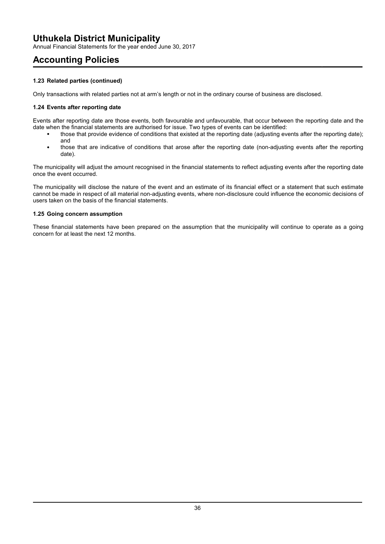Annual Financial Statements for the year ended June 30, 2017

# **Accounting Policies**

#### **1.23 Related parties (continued)**

Only transactions with related parties not at arm's length or not in the ordinary course of business are disclosed.

#### **1.24 Events after reporting date**

Events after reporting date are those events, both favourable and unfavourable, that occur between the reporting date and the date when the financial statements are authorised for issue. Two types of events can be identified:

- those that provide evidence of conditions that existed at the reporting date (adjusting events after the reporting date); and
- those that are indicative of conditions that arose after the reporting date (non-adjusting events after the reporting date).

The municipality will adjust the amount recognised in the financial statements to reflect adjusting events after the reporting date once the event occurred.

The municipality will disclose the nature of the event and an estimate of its financial effect or a statement that such estimate cannot be made in respect of all material non-adjusting events, where non-disclosure could influence the economic decisions of users taken on the basis of the financial statements.

#### **1.25 Going concern assumption**

These financial statements have been prepared on the assumption that the municipality will continue to operate as a going concern for at least the next 12 months.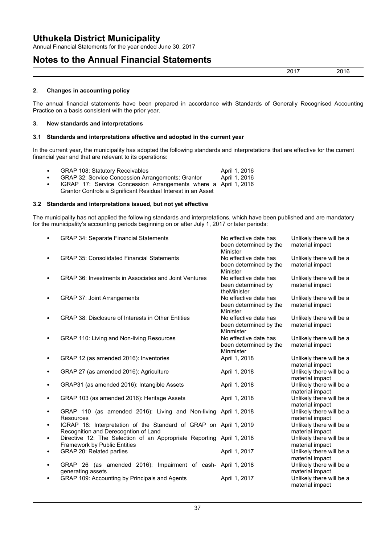Annual Financial Statements for the year ended June 30, 2017

# **Notes to the Annual Financial Statements**

| 2017<br>ຼບ.<br>. | ንስ16<br>$\sim$ $\sim$<br>— V · |
|------------------|--------------------------------|

#### **2. Changes in accounting policy**

The annual financial statements have been prepared in accordance with Standards of Generally Recognised Accounting Practice on a basis consistent with the prior year.

#### **3. New standards and interpretations**

#### **3.1 Standards and interpretations effective and adopted in the current year**

In the current year, the municipality has adopted the following standards and interpretations that are effective for the current financial year and that are relevant to its operations:

- GRAP 108: Statutory Receivables **April 1, 2016**
- GRAP 32: Service Concession Arrangements: Grantor April 1, 2016
- IGRAP 17: Service Concession Arrangements where a Grantor Controls a Significant Residual Interest in an Asset April 1, 2016

#### **3.2 Standards and interpretations issued, but not yet effective**

The municipality has not applied the following standards and interpretations, which have been published and are mandatory for the municipality's accounting periods beginning on or after July 1, 2017 or later periods:

|   | <b>GRAP 34: Separate Financial Statements</b>                                                             | No effective date has<br>been determined by the<br>Minister  | Unlikely there will be a<br>material impact |
|---|-----------------------------------------------------------------------------------------------------------|--------------------------------------------------------------|---------------------------------------------|
|   | <b>GRAP 35: Consolidated Financial Statements</b>                                                         | No effective date has<br>been determined by the<br>Minister  | Unlikely there will be a<br>material impact |
|   | <b>GRAP 36: Investments in Associates and Joint Ventures</b>                                              | No effective date has<br>been determined by<br>theMinister   | Unlikely there will be a<br>material impact |
|   | <b>GRAP 37: Joint Arrangements</b>                                                                        | No effective date has<br>been determined by the<br>Minister  | Unlikely there will be a<br>material impact |
|   | GRAP 38: Disclosure of Interests in Other Entities                                                        | No effective date has<br>been determined by the<br>Minmister | Unlikely there will be a<br>material impact |
|   | GRAP 110: Living and Non-living Resources                                                                 | No effective date has<br>been determined by the<br>Minmister | Unlikely there will be a<br>material impact |
|   | GRAP 12 (as amended 2016): Inventories                                                                    | April 1, 2018                                                | Unlikely there will be a<br>material impact |
|   | GRAP 27 (as amended 2016): Agriculture                                                                    | April 1, 2018                                                | Unlikely there will be a<br>material impact |
|   | GRAP31 (as amended 2016): Intangible Assets                                                               | April 1, 2018                                                | Unlikely there will be a<br>material impact |
|   | GRAP 103 (as amended 2016): Heritage Assets                                                               | April 1, 2018                                                | Unlikely there will be a<br>material impact |
| ٠ | GRAP 110 (as amended 2016): Living and Non-living April 1, 2018<br><b>Resources</b>                       |                                                              | Unlikely there will be a<br>material impact |
| ٠ | IGRAP 18: Interpretation of the Standard of GRAP on April 1, 2019<br>Recognition and Derecogntion of Land |                                                              | Unlikely there will be a<br>material impact |
| ٠ | Directive 12: The Selection of an Appropriate Reporting April 1, 2018<br>Framework by Public Entities     |                                                              | Unlikely there will be a<br>material impact |
|   | GRAP 20: Related parties                                                                                  | April 1, 2017                                                | Unlikely there will be a<br>material impact |
|   | GRAP 26 (as amended 2016): Impairment of cash- April 1, 2018<br>generating assets                         |                                                              | Unlikely there will be a<br>material impact |
|   | GRAP 109: Accounting by Principals and Agents                                                             | April 1, 2017                                                | Unlikely there will be a<br>material impact |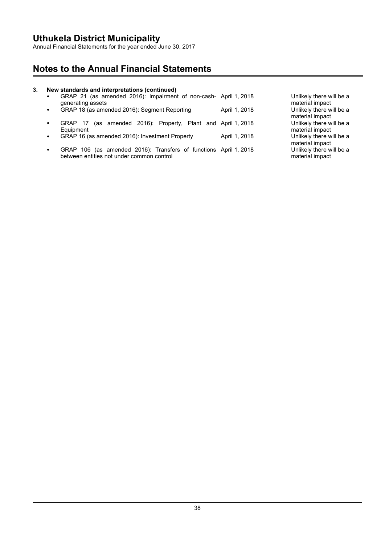Annual Financial Statements for the year ended June 30, 2017

# **Notes to the Annual Financial Statements**

#### **3. New standards and interpretations (continued)**

| $\bullet$ | GRAP 21 (as amended 2016): Impairment of non-cash- April 1, 2018<br>generating assets                         |               | Unlikely there will be a<br>material impact |
|-----------|---------------------------------------------------------------------------------------------------------------|---------------|---------------------------------------------|
| $\bullet$ | GRAP 18 (as amended 2016): Segment Reporting                                                                  | April 1, 2018 | Unlikely there will be a<br>material impact |
|           | (as amended 2016): Property, Plant and April 1, 2018<br>GRAP 17<br>Equipment                                  |               | Unlikely there will be a<br>material impact |
|           | GRAP 16 (as amended 2016): Investment Property                                                                | April 1, 2018 | Unlikely there will be a<br>material impact |
|           | GRAP 106 (as amended 2016): Transfers of functions April 1, 2018<br>between entities not under common control |               | Unlikely there will be a<br>material impact |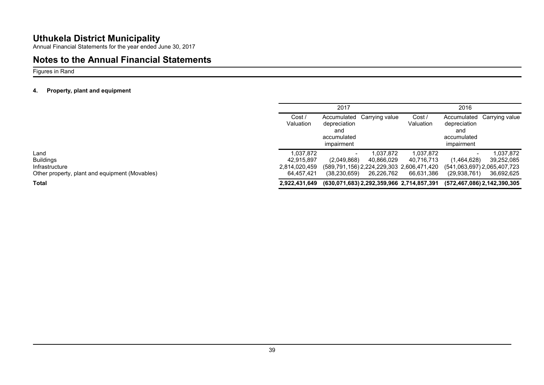Annual Financial Statements for the year ended June 30, 2017

### **Notes to the Annual Financial Statements**

Figures in Rand

#### **4. Property, plant and equipment**

|                                                |                     | 2017                                                                           |                        | 2016                                                                           |  |  |
|------------------------------------------------|---------------------|--------------------------------------------------------------------------------|------------------------|--------------------------------------------------------------------------------|--|--|
|                                                | Cost /<br>Valuation | Accumulated Carrying value<br>depreciation<br>and<br>accumulated<br>impairment | Cost /<br>Valuation    | Accumulated Carrying value<br>depreciation<br>and<br>accumulated<br>impairment |  |  |
|                                                | 1.037.872           |                                                                                | 1.037.872<br>1,037,872 | 1,037,872                                                                      |  |  |
|                                                | 42.915.897          | (2,049,868)<br>40.866.029                                                      | 40,716,713             | (1,464,628)<br>39,252,085                                                      |  |  |
|                                                | 2,814,020,459       | (589,791,156) 2,224,229,303 2,606,471,420                                      |                        | (541,063,697) 2,065,407,723                                                    |  |  |
| Other property, plant and equipment (Movables) | 64,457,421          | 26,226,762<br>(38,230,659)                                                     | 66,631,386             | (29,938,761)<br>36,692,625                                                     |  |  |
|                                                | 2.922.431.649       | (630,071,683) 2,292,359,966 2,714,857,391                                      |                        | (572,467,086) 2,142,390,305                                                    |  |  |
|                                                |                     |                                                                                |                        |                                                                                |  |  |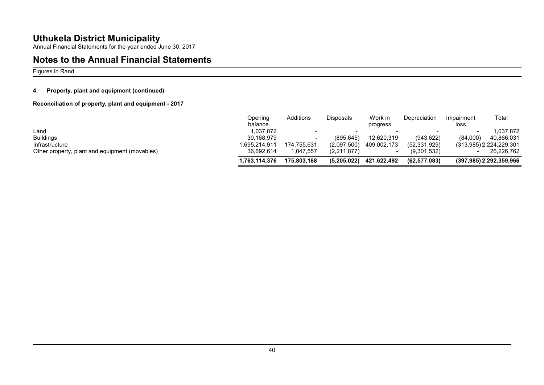Annual Financial Statements for the year ended June 30, 2017

### **Notes to the Annual Financial Statements**

Figures in Rand

#### **4. Property, plant and equipment (continued)**

**Reconciliation of property, plant and equipment - 2017**

|                                                | Openina       | Additions   | Disposals   | Work in     | Depreciation   | Impairment               | Total                     |
|------------------------------------------------|---------------|-------------|-------------|-------------|----------------|--------------------------|---------------------------|
|                                                | balance       |             |             | progress    |                | loss                     |                           |
| Land                                           | 1.037.872     | $\sim$      |             |             |                | $\overline{\phantom{0}}$ | 1.037.872                 |
| <b>Buildings</b>                               | 30.168.979    |             | (895.645)   | 12.620.319  | (943, 622)     | (84.000)                 | 40.866.031                |
| Infrastructure                                 | 1.695.214.911 | 174.755.631 | (2,097,500) | 409.002.173 | (52, 331, 929) |                          | $(313.985)$ 2,224,229,301 |
| Other property, plant and equipment (movables) | 36.692.614    | 1.047.557   | (2,211,877) |             | (9,301,532)    |                          | 26,226,762                |
|                                                | 1,763,114,376 | 175.803.188 | (5,205,022) | 421.622.492 | (62, 577, 083) |                          | (397,985) 2,292,359,966   |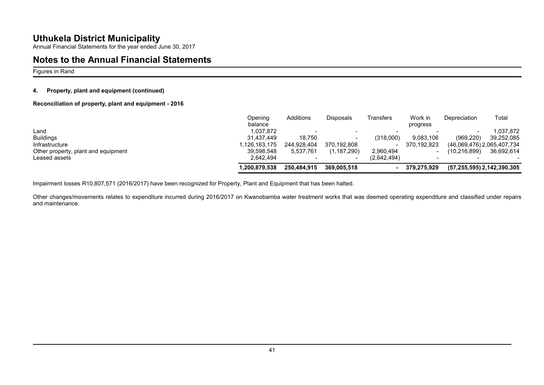Annual Financial Statements for the year ended June 30, 2017

### **Notes to the Annual Financial Statements**

Figures in Rand

#### **4. Property, plant and equipment (continued)**

**Reconciliation of property, plant and equipment - 2016**

|                                     | Opening<br>balance | Additions   | <b>Disposals</b>         | Transfers   | Work in<br>progress | Depreciation               | Total      |
|-------------------------------------|--------------------|-------------|--------------------------|-------------|---------------------|----------------------------|------------|
| Land                                | 1.037.872          |             | $\overline{\phantom{0}}$ |             |                     |                            | 1,037,872  |
| <b>Buildings</b>                    | 31.437.449         | 18.750      | $\overline{\phantom{0}}$ | (318,000)   | 9.083.106           | (969.220)                  | 39,252,085 |
| Infrastructure                      | 1,126,163,175      | 244.928.404 | 370.192.808              |             | 370,192,823         | (46,069,476) 2,065,407,734 |            |
| Other property, plant and equipment | 39,598,548         | 5,537,761   | (1, 187, 290)            | 2.960.494   |                     | (10.216.899)               | 36,692,614 |
| Leased assets                       | 2,642,494          |             | $\overline{\phantom{0}}$ | (2,642,494) |                     | $\overline{\phantom{a}}$   |            |
|                                     | 1,200,879,538      | 250,484,915 | 369.005.518              |             | 379.275.929         | (57,255,595) 2,142,390,305 |            |

Impairment losses R10,807,571 (2016/2017) have been recognized for Property, Plant and Equipment that has been halted.

Other changes/movements relates to expenditure incurred during 2016/2017 on Kwanobamba water treatment works that was deemed operating expenditure and classified under repairs and maintenance.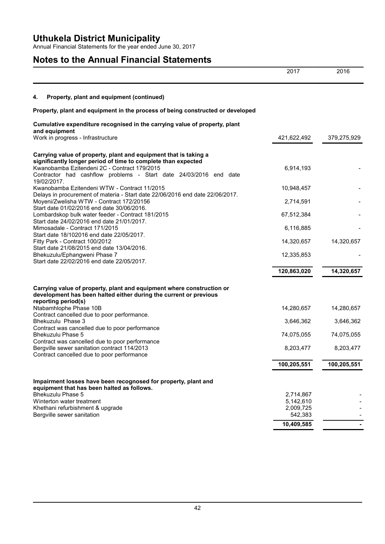Annual Financial Statements for the year ended June 30, 2017

# **Notes to the Annual Financial Statements**

|                                                                                                                                              | 2017                 | 2016        |
|----------------------------------------------------------------------------------------------------------------------------------------------|----------------------|-------------|
| Property, plant and equipment (continued)<br>4.                                                                                              |                      |             |
| Property, plant and equipment in the process of being constructed or developed                                                               |                      |             |
| Cumulative expenditure recognised in the carrying value of property, plant<br>and equipment                                                  |                      |             |
| Work in progress - Infrastructure                                                                                                            | 421,622,492          | 379,275,929 |
| Carrying value of property, plant and equipment that is taking a<br>significantly longer period of time to complete than expected            |                      |             |
| Kwanobamba Ezitendeni 2C - Contract 179/2015<br>Contractor had cashflow problems - Start date 24/03/2016 end date<br>19/02/2017.             | 6,914,193            |             |
| Kwanobamba Ezitendeni WTW - Contract 11/2015<br>Delays in procurement of materia - Start date 22/06/2016 end date 22/06/2017.                | 10,948,457           |             |
| Moyeni/Zwelisha WTW - Contract 172/20156<br>Start date 01/02/2016 end date 30/06/2016.                                                       | 2,714,591            |             |
| Lombardskop bulk water feeder - Contract 181/2015<br>Start date 24/02/2016 end date 21/01/2017.                                              | 67,512,384           |             |
| Mimosadale - Contract 171/2015<br>Start date 18/102016 end date 22/05/2017.                                                                  | 6,116,885            |             |
| Fitty Park - Contract 100/2012<br>Start date 21/08/2015 end date 13/04/2016.                                                                 | 14,320,657           | 14,320,657  |
| Bhekuzulu/Ephangweni Phase 7<br>Start date 22/02/2016 end date 22/05/2017.                                                                   | 12,335,853           |             |
|                                                                                                                                              | 120,863,020          | 14,320,657  |
| Carrying value of property, plant and equipment where construction or<br>development has been halted either during the current or previous   |                      |             |
| reporting period(s)<br>Ntabamhlophe Phase 10B                                                                                                | 14,280,657           | 14,280,657  |
| Contract cancelled due to poor performance.<br>Bhekuzulu Phase 3                                                                             | 3,646,362            | 3,646,362   |
| Contract was cancelled due to poor performance<br>Bhekuzulu Phase 5                                                                          | 74,075,055           | 74,075,055  |
| Contract was cancelled due to poor performance<br>Bergville sewer sanitation contract 114/2013<br>Contract cancelled due to poor performance | 8,203,477            | 8,203,477   |
|                                                                                                                                              | 100,205,551          | 100,205,551 |
| Impairment losses have been recognosed for property, plant and<br>equipment that has been halted as follows.                                 |                      |             |
| Bhekuzulu Phase 5                                                                                                                            | 2,714,867            |             |
| Winterton water treatment                                                                                                                    | 5,142,610            |             |
| Khethani refurbishment & upgrade<br>Bergville sewer sanitation                                                                               | 2,009,725<br>542,383 |             |
|                                                                                                                                              | 10,409,585           |             |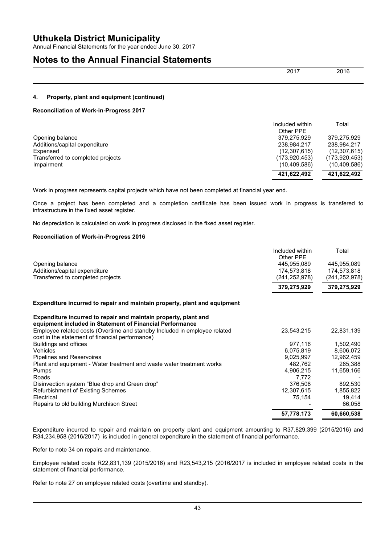Annual Financial Statements for the year ended June 30, 2017

### **Notes to the Annual Financial Statements**

| .<br>ററ<br>∠∪<br>. .<br>______ | . |
|--------------------------------|---|
|                                |   |

#### **4. Property, plant and equipment (continued)**

#### **Reconciliation of Work-in-Progress 2017**

| 379.275.929     |
|-----------------|
| 238,984,217     |
| (12, 307, 615)  |
| (173, 920, 453) |
| (10, 409, 586)  |
| 421,622,492     |
|                 |

Work in progress represents capital projects which have not been completed at financial year end.

Once a project has been completed and a completion certificate has been issued work in progress is transfered to infrastructure in the fixed asset register.

No depreciation is calculated on work in progress disclosed in the fixed asset register.

#### **Reconciliation of Work-in-Progress 2016**

|                                                                                                                              | Included within<br>Other PPE | Total           |
|------------------------------------------------------------------------------------------------------------------------------|------------------------------|-----------------|
| Opening balance                                                                                                              | 445,955,089                  | 445,955,089     |
| Additions/capital expenditure                                                                                                | 174,573,818                  | 174,573,818     |
| Transferred to completed projects                                                                                            | (241,252,978)                | (241, 252, 978) |
|                                                                                                                              | 379,275,929                  | 379,275,929     |
| Expenditure incurred to repair and maintain property, plant and equipment                                                    |                              |                 |
| Expenditure incurred to repair and maintain property, plant and<br>equipment included in Statement of Financial Performance  |                              |                 |
| Employee related costs (Overtime and standby Included in employee related<br>cost in the statement of financial performance) | 23,543,215                   | 22,831,139      |
| Buildings and offices                                                                                                        | 977.116                      | 1,502,490       |
| <b>Vehicles</b>                                                                                                              | 6,075,819                    | 8,606,072       |
| Pipelines and Reservoires                                                                                                    | 9,025,997                    | 12,962,459      |
| Plant and equipment - Water treatment and waste water treatment works                                                        | 482,762                      | 265,388         |
| Pumps                                                                                                                        | 4,906,215                    | 11,659,166      |
| Roads                                                                                                                        | 7,772                        |                 |
| Disinvection system "Blue drop and Green drop"                                                                               | 376,508                      | 892,530         |
| Refurbishment of Existing Schemes                                                                                            | 12,307,615                   | 1,855,822       |
| Electrical                                                                                                                   | 75,154                       | 19,414          |
| Repairs to old building Murchison Street                                                                                     |                              | 66,058          |
|                                                                                                                              | 57,778,173                   | 60,660,538      |

Expenditure incurred to repair and maintain on property plant and equipment amounting to R37,829,399 (2015/2016) and R34,234,958 (2016/2017) is included in general expenditure in the statement of financial performance.

Refer to note 34 on repairs and maintenance.

Employee related costs R22,831,139 (2015/2016) and R23,543,215 (2016/2017 is included in employee related costs in the statement of financial performance.

Refer to note 27 on employee related costs (overtime and standby).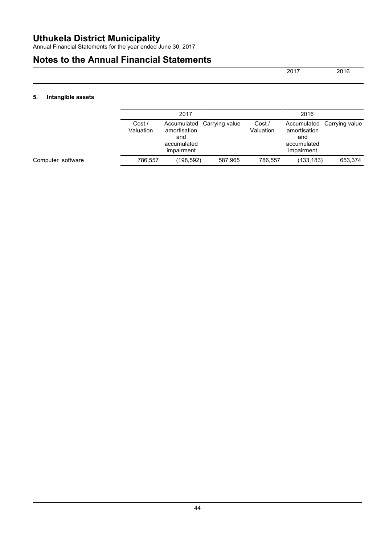Annual Financial Statements for the year ended June 30, 2017

# **Notes to the Annual Financial Statements**

2017 2016

#### **5. Intangible assets**

|                   | 2017                |                                                  |                            | 2016                |                                                  |                            |  |
|-------------------|---------------------|--------------------------------------------------|----------------------------|---------------------|--------------------------------------------------|----------------------------|--|
|                   | Cost /<br>Valuation | amortisation<br>and<br>accumulated<br>impairment | Accumulated Carrying value | Cost /<br>Valuation | amortisation<br>and<br>accumulated<br>impairment | Accumulated Carrying value |  |
| Computer software | 786.557             | (198,592)                                        | 587,965                    | 786.557             | (133, 183)                                       | 653,374                    |  |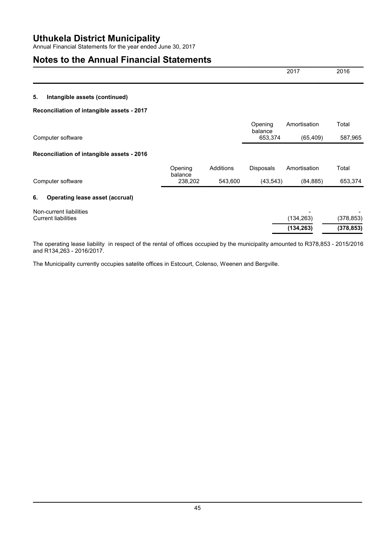Annual Financial Statements for the year ended June 30, 2017

### **Notes to the Annual Financial Statements**

| 201 |  |
|-----|--|
|     |  |

#### **5. Intangible assets (continued)**

#### **Reconciliation of intangible assets - 2017**

|                                            |                    |           | Opening<br>balance | Amortisation | Total      |
|--------------------------------------------|--------------------|-----------|--------------------|--------------|------------|
| Computer software                          |                    |           | 653,374            | (65, 409)    | 587,965    |
| Reconciliation of intangible assets - 2016 |                    |           |                    |              |            |
|                                            | Opening<br>balance | Additions | <b>Disposals</b>   | Amortisation | Total      |
| Computer software                          | 238,202            | 543.600   | (43, 543)          | (84, 885)    | 653,374    |
| 6.<br>Operating lease asset (accrual)      |                    |           |                    |              |            |
| Non-current liabilities                    |                    |           |                    |              |            |
| <b>Current liabilities</b>                 |                    |           |                    | (134, 263)   | (378, 853) |
|                                            |                    |           |                    | (134, 263)   | (378, 853) |

The operating lease liability in respect of the rental of offices occupied by the municipality amounted to R378,853 - 2015/2016 and R134,263 - 2016/2017.

The Municipality currently occupies satelite offices in Estcourt, Colenso, Weenen and Bergville.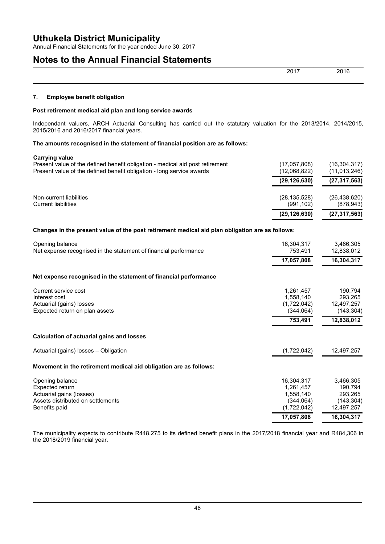Annual Financial Statements for the year ended June 30, 2017

### **Notes to the Annual Financial Statements**

| $\rightarrow$<br>201<br>- -<br>. .<br>______ | n r<br>2010 |
|----------------------------------------------|-------------|
|                                              |             |

#### **7. Employee benefit obligation**

#### **Post retirement medical aid plan and long service awards**

Independant valuers, ARCH Actuarial Consulting has carried out the statutary valuation for the 2013/2014, 2014/2015, 2015/2016 and 2016/2017 financial years.

#### **The amounts recognised in the statement of financial position are as follows:**

#### **Carrying value**

|                                                                                                                                                        | (991.102)                    |                                  |
|--------------------------------------------------------------------------------------------------------------------------------------------------------|------------------------------|----------------------------------|
| Non-current liabilities<br><b>Current liabilities</b>                                                                                                  | (28, 135, 528)               | (26, 438, 620)<br>(878, 943)     |
|                                                                                                                                                        | (29, 126, 630)               | (27, 317, 563)                   |
| Present value of the defined benefit obligation - medical aid post retirement<br>Present value of the defined benefit obligation - long service awards | (17.057.808)<br>(12,068,822) | (16, 304, 317)<br>(11, 013, 246) |

#### **Changes in the present value of the post retirement medical aid plan obligation are as follows:**

| Opening balance<br>Net expense recognised in the statement of financial performance                                  | 16,304,317<br>753,491                                                           | 3,466,305<br>12,838,012                                                   |
|----------------------------------------------------------------------------------------------------------------------|---------------------------------------------------------------------------------|---------------------------------------------------------------------------|
|                                                                                                                      | 17,057,808                                                                      | 16,304,317                                                                |
| Net expense recognised in the statement of financial performance                                                     |                                                                                 |                                                                           |
| Current service cost<br>Interest cost<br>Actuarial (gains) losses<br>Expected return on plan assets                  | 1,261,457<br>1,558,140<br>(1,722,042)<br>(344, 064)                             | 190,794<br>293,265<br>12,497,257<br>(143, 304)                            |
|                                                                                                                      | 753,491                                                                         | 12,838,012                                                                |
| Calculation of actuarial gains and losses                                                                            |                                                                                 |                                                                           |
| Actuarial (gains) losses - Obligation                                                                                | (1,722,042)                                                                     | 12,497,257                                                                |
| Movement in the retirement medical aid obligation are as follows:                                                    |                                                                                 |                                                                           |
| Opening balance<br>Expected return<br>Actuarial gains (losses)<br>Assets distributed on settlements<br>Benefits paid | 16,304,317<br>1,261,457<br>1,558,140<br>(344, 064)<br>(1,722,042)<br>17,057,808 | 3,466,305<br>190,794<br>293,265<br>(143, 304)<br>12,497,257<br>16,304,317 |

The municipality expects to contribute R448,275 to its defined benefit plans in the 2017/2018 financial year and R484,306 in the 2018/2019 financial year.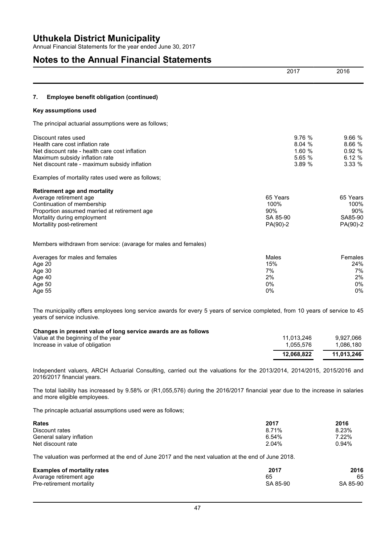Annual Financial Statements for the year ended June 30, 2017

### **Notes to the Annual Financial Statements**

|                                                                                                                                                                                                          | 2017                                              | 2016                                           |
|----------------------------------------------------------------------------------------------------------------------------------------------------------------------------------------------------------|---------------------------------------------------|------------------------------------------------|
| Employee benefit obligation (continued)<br>7.                                                                                                                                                            |                                                   |                                                |
| Key assumptions used                                                                                                                                                                                     |                                                   |                                                |
| The principal actuarial assumptions were as follows;                                                                                                                                                     |                                                   |                                                |
| Discount rates used<br>Health care cost inflation rate<br>Net discount rate - health care cost inflation<br>Maximum subsidy inflation rate<br>Net discount rate - maximum subsidy inflation              | 9.76%<br>8.04%<br>1.60 %<br>5.65 %<br>3.89%       | 9.66 %<br>8.66 %<br>0.92 %<br>6.12 %<br>3.33 % |
| Examples of mortality rates used were as follows;                                                                                                                                                        |                                                   |                                                |
| <b>Retirement age and mortality</b><br>Average retirement age<br>Continuation of membership<br>Proportion assumed married at retirement age<br>Mortality during employment<br>Mortallity post-retirement | 65 Years<br>100%<br>90%<br>SA 85-90<br>$PA(90)-2$ | 65 Years<br>100%<br>90%<br>SA85-90<br>PA(90)-2 |
| Members withdrawn from service: (avarage for males and females)                                                                                                                                          |                                                   |                                                |
| Averages for males and females<br>Age 20<br>Age 30<br>Age 40<br>Age 50<br>Age 55                                                                                                                         | Males<br>15%<br>7%<br>2%<br>0%<br>0%              | Females<br>24%<br>7%<br>2%<br>0%<br>0%         |

The municipality offers employees long service awards for every 5 years of service completed, from 10 years of service to 45 years of service inclusive.

| Changes in present value of long service awards are as follows |            |            |
|----------------------------------------------------------------|------------|------------|
| Value at the beginning of the year                             | 11.013.246 | 9.927.066  |
| Increase in value of obligation                                | 1.055.576  | 1.086.180  |
|                                                                | 12.068.822 | 11.013.246 |

Independent valuers, ARCH Actuarial Consulting, carried out the valuations for the 2013/2014, 2014/2015, 2015/2016 and 2016/2017 financial years.

The total liability has increased by 9.58% or (R1,055,576) during the 2016/2017 financial year due to the increase in salaries and more eligible employees.

The princaple actuarial assumptions used were as follows;

| <b>Rates</b>             | 2017  | 2016  |
|--------------------------|-------|-------|
| Discount rates           | 8.71% | 8.23% |
| General salary inflation | 6.54% | 7.22% |
| Net discount rate        | 2.04% | 0.94% |

The valuation was performed at the end of June 2017 and the next valuation at the end of June 2018.

| <b>Examples of mortality rates</b> | 2017     | 2016     |
|------------------------------------|----------|----------|
| Avarage retirement age             | 65       | 65       |
| Pre-retirement mortality           | SA 85-90 | SA 85-90 |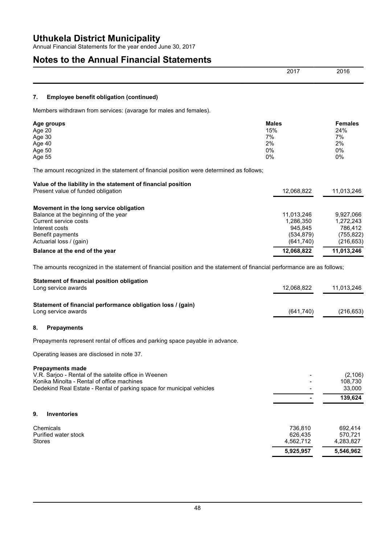Annual Financial Statements for the year ended June 30, 2017

# **Notes to the Annual Financial Statements**

|                                                                                                                                                                                                         | 2017                                                           | 2016                                                          |
|---------------------------------------------------------------------------------------------------------------------------------------------------------------------------------------------------------|----------------------------------------------------------------|---------------------------------------------------------------|
| <b>Employee benefit obligation (continued)</b><br>7.                                                                                                                                                    |                                                                |                                                               |
| Members withdrawn from services: (avarage for males and females).                                                                                                                                       |                                                                |                                                               |
| Age groups<br>Age 20<br>Age 30<br>Age 40<br>Age 50<br>Age 55                                                                                                                                            | <b>Males</b><br>15%<br>7%<br>2%<br>0%<br>0%                    | <b>Females</b><br>24%<br>7%<br>2%<br>0%<br>0%                 |
| The amount recognized in the statement of financial position were determined as follows;                                                                                                                |                                                                |                                                               |
| Value of the liability in the statement of financial position<br>Present value of funded obligation                                                                                                     | 12,068,822                                                     | 11,013,246                                                    |
| Movement in the long service obligation<br>Balance at the beginning of the year<br>Current service costs<br>Interest costs<br>Benefit payments<br>Actuarial loss / (gain)                               | 11,013,246<br>1,286,350<br>945.845<br>(534, 879)<br>(641, 740) | 9,927,066<br>1,272,243<br>786,412<br>(755, 822)<br>(216, 653) |
| Balance at the end of the year                                                                                                                                                                          | 12,068,822                                                     | 11,013,246                                                    |
| The amounts recognized in the statement of financial position and the statement of financial performance are as follows;                                                                                |                                                                |                                                               |
| <b>Statement of financial position obligation</b><br>Long service awards                                                                                                                                | 12,068,822                                                     | 11,013,246                                                    |
| Statement of financial performance obligation loss / (gain)<br>Long service awards                                                                                                                      | (641, 740)                                                     | (216, 653)                                                    |
| 8.<br><b>Prepayments</b>                                                                                                                                                                                |                                                                |                                                               |
| Prepayments represent rental of offices and parking space payable in advance.                                                                                                                           |                                                                |                                                               |
| Operating leases are disclosed in note 37.                                                                                                                                                              |                                                                |                                                               |
| <b>Prepayments made</b><br>V.R. Sarjoo - Rental of the satelite office in Weenen<br>Konika Minolta - Rental of office machines<br>Dedekind Real Estate - Rental of parking space for municipal vehicles |                                                                | (2, 106)<br>108,730<br>33,000<br>139,624                      |
| <b>Inventories</b><br>9.                                                                                                                                                                                |                                                                |                                                               |
| Chemicals<br>Purified water stock<br><b>Stores</b>                                                                                                                                                      | 736,810<br>626,435<br>4,562,712                                | 692,414<br>570,721<br>4,283,827                               |
|                                                                                                                                                                                                         | 5,925,957                                                      | 5,546,962                                                     |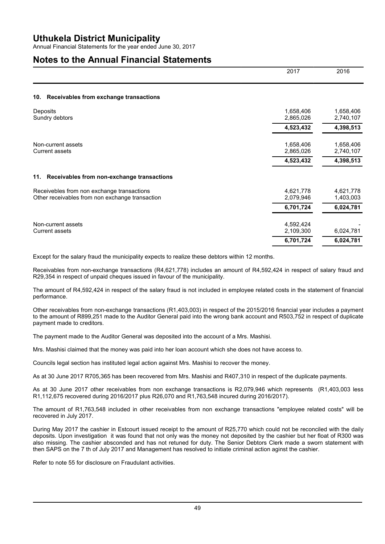Annual Financial Statements for the year ended June 30, 2017

### **Notes to the Annual Financial Statements**

|                                                                                               | 2017                   | 2016                   |
|-----------------------------------------------------------------------------------------------|------------------------|------------------------|
| Receivables from exchange transactions<br>10.                                                 |                        |                        |
| Deposits<br>Sundry debtors                                                                    | 1,658,406<br>2,865,026 | 1,658,406<br>2,740,107 |
|                                                                                               | 4,523,432              | 4,398,513              |
| Non-current assets<br>Current assets                                                          | 1,658,406<br>2,865,026 | 1,658,406<br>2,740,107 |
|                                                                                               | 4,523,432              | 4,398,513              |
| Receivables from non-exchange transactions<br>11.                                             |                        |                        |
| Receivebles from non exchange transactions<br>Other receivables from non exchange transaction | 4,621,778<br>2,079,946 | 4,621,778<br>1,403,003 |
|                                                                                               | 6,701,724              | 6,024,781              |
| Non-current assets<br><b>Current assets</b>                                                   | 4,592,424<br>2,109,300 | 6,024,781              |
|                                                                                               | 6,701,724              | 6,024,781              |

Except for the salary fraud the municipality expects to realize these debtors within 12 months.

Receivables from non-exchange transactions (R4,621,778) includes an amount of R4,592,424 in respect of salary fraud and R29,354 in respect of unpaid cheques issued in favour of the municipality.

The amount of R4,592,424 in respect of the salary fraud is not included in employee related costs in the statement of financial performance.

Other receivables from non-exchange transactions (R1,403,003) in respect of the 2015/2016 financial year includes a payment to the amount of R899,251 made to the Auditor General paid into the wrong bank account and R503,752 in respect of duplicate payment made to creditors.

The payment made to the Auditor General was deposited into the account of a Mrs. Mashisi.

Mrs. Mashisi claimed that the money was paid into her loan account which she does not have access to.

Councils legal section has instituted legal action against Mrs. Mashisi to recover the money.

As at 30 June 2017 R705,365 has been recovered from Mrs. Mashisi and R407,310 in respect of the duplicate payments.

As at 30 June 2017 other receivables from non exchange transactions is R2,079,946 which represents (R1,403,003 less R1,112,675 recovered during 2016/2017 plus R26,070 and R1,763,548 incured during 2016/2017).

The amount of R1,763,548 included in other receivables from non exchange transactions "employee related costs" will be recovered in July 2017.

During May 2017 the cashier in Estcourt issued receipt to the amount of R25,770 which could not be reconciled with the daily deposits. Upon investigation it was found that not only was the money not deposited by the cashier but her float of R300 was also missing. The cashier absconded and has not retuned for duty. The Senior Debtors Clerk made a sworn statement with then SAPS on the 7 th of July 2017 and Management has resolved to initiate criminal action aginst the cashier.

Refer to note 55 for disclosure on Fraudulant activities.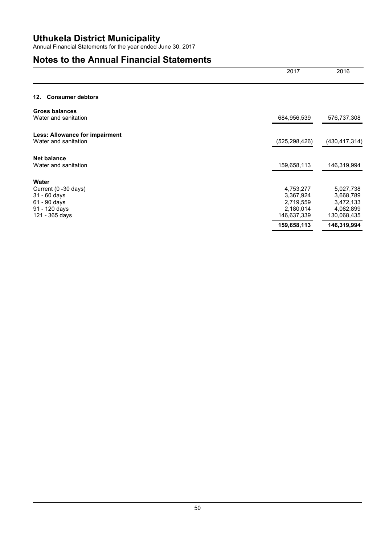Annual Financial Statements for the year ended June 30, 2017

# **Notes to the Annual Financial Statements**

|                                                                                                    | 2017                                                                           | 2016                                                                           |
|----------------------------------------------------------------------------------------------------|--------------------------------------------------------------------------------|--------------------------------------------------------------------------------|
| <b>Consumer debtors</b><br>12.                                                                     |                                                                                |                                                                                |
| <b>Gross balances</b><br>Water and sanitation                                                      | 684,956,539                                                                    | 576,737,308                                                                    |
| Less: Allowance for impairment<br>Water and sanitation                                             | (525, 298, 426)                                                                | (430, 417, 314)                                                                |
| <b>Net balance</b><br>Water and sanitation                                                         | 159,658,113                                                                    | 146,319,994                                                                    |
| Water<br>Current (0 -30 days)<br>$31 - 60$ days<br>61 - 90 days<br>91 - 120 days<br>121 - 365 days | 4,753,277<br>3,367,924<br>2,719,559<br>2,180,014<br>146,637,339<br>159,658,113 | 5,027,738<br>3,668,789<br>3,472,133<br>4,082,899<br>130,068,435<br>146,319,994 |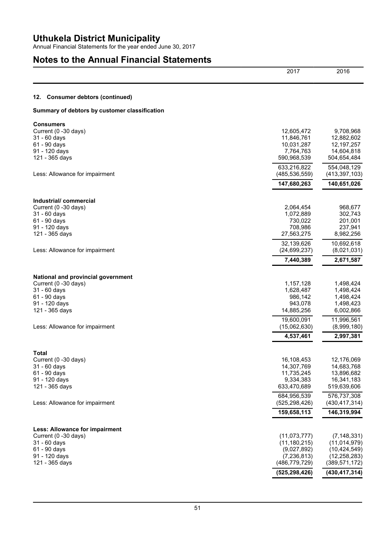Annual Financial Statements for the year ended June 30, 2017

# **Notes to the Annual Financial Statements**

|                                               | 2017                           | 2016                             |
|-----------------------------------------------|--------------------------------|----------------------------------|
| <b>Consumer debtors (continued)</b><br>12.    |                                |                                  |
| Summary of debtors by customer classification |                                |                                  |
| <b>Consumers</b>                              |                                |                                  |
| Current (0 -30 days)                          | 12,605,472                     | 9,708,968                        |
| 31 - 60 days<br>61 - 90 days                  | 11,846,761<br>10,031,287       | 12,882,602<br>12, 197, 257       |
| 91 - 120 days                                 | 7,764,763                      | 14,604,818                       |
| 121 - 365 days                                | 590,968,539                    | 504,654,484                      |
| Less: Allowance for impairment                | 633,216,822<br>(485, 536, 559) | 554,048,129<br>(413, 397, 103)   |
|                                               | 147,680,263                    | 140,651,026                      |
|                                               |                                |                                  |
| Industrial/commercial<br>Current (0 -30 days) | 2,064,454                      | 968,677                          |
| 31 - 60 days                                  | 1,072,889                      | 302,743                          |
| 61 - 90 days                                  | 730,022                        | 201,001                          |
| 91 - 120 days                                 | 708,986                        | 237,941                          |
| 121 - 365 days                                | 27,563,275                     | 8,982,256                        |
| Less: Allowance for impairment                | 32,139,626<br>(24, 699, 237)   | 10,692,618<br>(8,021,031)        |
|                                               | 7,440,389                      | 2,671,587                        |
| National and provincial government            |                                |                                  |
| Current (0 -30 days)                          | 1,157,128                      | 1,498,424                        |
| 31 - 60 days                                  | 1,628,487                      | 1,498,424                        |
| 61 - 90 days                                  | 986,142                        | 1,498,424                        |
| 91 - 120 days<br>121 - 365 days               | 943,078<br>14,885,256          | 1,498,423<br>6,002,866           |
|                                               | 19,600,091                     | 11,996,561                       |
| Less: Allowance for impairment                | (15,062,630)                   | (8,999,180)                      |
|                                               | 4,537,461                      | 2,997,381                        |
| Total                                         |                                |                                  |
| Current (0 -30 days)                          | 16,108,453                     | 12,176,069                       |
| $31 - 60$ days                                | 14,307,769                     | 14,683,768                       |
| 61 - 90 days                                  | 11,735,245                     | 13,896,682                       |
| 91 - 120 days<br>121 - 365 days               | 9,334,383<br>633,470,689       | 16,341,183<br>519,639,606        |
|                                               | 684,956,539                    | 576,737,308                      |
| Less: Allowance for impairment                | (525, 298, 426)                | (430, 417, 314)                  |
|                                               | 159,658,113                    | 146,319,994                      |
| Less: Allowance for impairment                |                                |                                  |
| Current (0 -30 days)                          | (11, 073, 777)                 | (7, 148, 331)                    |
| 31 - 60 days                                  | (11, 180, 215)                 | (11, 014, 979)                   |
| 61 - 90 days<br>91 - 120 days                 | (9,027,892)<br>(7, 236, 813)   | (10, 424, 549)<br>(12, 258, 283) |
| 121 - 365 days                                | (486, 779, 729)                | (389, 571, 172)                  |
|                                               | (525, 298, 426)                | (430, 417, 314)                  |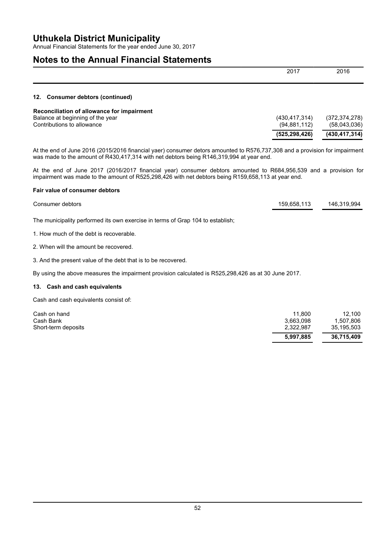Annual Financial Statements for the year ended June 30, 2017

### **Notes to the Annual Financial Statements**

|  | $\sim$ |
|--|--------|
|  |        |

#### **12. Consumer debtors (continued)**

#### **Reconciliation of allowance for impairment**

|                                  | (525.298.426) | (430.417.314) |
|----------------------------------|---------------|---------------|
| Contributions to allowance       | (94.881.112)  | (58,043,036)  |
| Balance at beginning of the year | (430.417.314) | (372.374.278) |
|                                  |               |               |

At the end of June 2016 (2015/2016 financial yaer) consumer detors amounted to R576,737,308 and a provision for impairment was made to the amount of R430,417,314 with net debtors being R146,319,994 at year end.

At the end of June 2017 (2016/2017 financial year) consumer debtors amounted to R684,956,539 and a provision for impairment was made to the amount of R525,298,426 with net debtors being R159,658,113 at year end.

#### **Fair value of consumer debtors**

| Consumer debtors                                                                                      | 159,658,113 | 146.319.994 |
|-------------------------------------------------------------------------------------------------------|-------------|-------------|
| The municipality performed its own exercise in terms of Grap 104 to establish;                        |             |             |
| 1. How much of the debt is recoverable.                                                               |             |             |
| 2. When will the amount be recovered.                                                                 |             |             |
| 3. And the present value of the debt that is to be recovered.                                         |             |             |
| By using the above measures the impairment provision calculated is R525, 298, 426 as at 30 June 2017. |             |             |
| 13. Cash and cash equivalents                                                                         |             |             |

Cash and cash equivalents consist of:

|                     | 5,997,885 | 36,715,409 |
|---------------------|-----------|------------|
| Short-term deposits | 2,322,987 | 35,195,503 |
|                     | 3,663,098 | 1.507.806  |
| Cash on hand        | 11.800    | 12.100     |
|                     |           |            |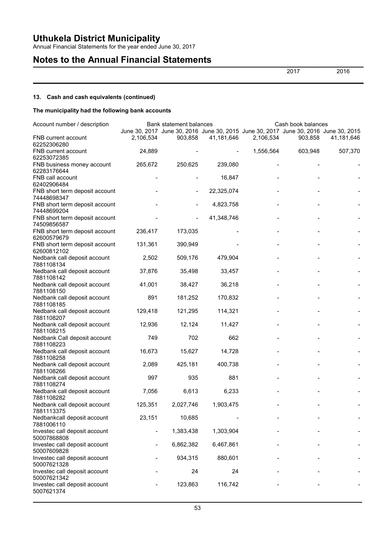Annual Financial Statements for the year ended June 30, 2017

# **Notes to the Annual Financial Statements**

2017 2016

#### **13. Cash and cash equivalents (continued)**

#### **The municipality had the following bank accounts**

| Account number / description                  |                          | Bank statement balances  |            |           | Cash book balances                                                                  |            |
|-----------------------------------------------|--------------------------|--------------------------|------------|-----------|-------------------------------------------------------------------------------------|------------|
|                                               |                          |                          |            |           | June 30, 2017 June 30, 2016 June 30, 2015 June 30, 2017 June 30, 2016 June 30, 2015 |            |
| FNB current account<br>62252306280            | 2,106,534                | 903,858                  | 41,181,646 | 2,106,534 | 903,858                                                                             | 41,181,646 |
| FNB current account<br>62253072385            | 24,889                   |                          |            | 1,556,564 | 603,948                                                                             | 507,370    |
| FNB business money account<br>62283176644     | 265,672                  | 250,625                  | 239,080    |           |                                                                                     |            |
| FNB call account<br>62402906484               |                          |                          | 16,847     |           |                                                                                     |            |
| FNB short term deposit account<br>74448698347 |                          | $\overline{\phantom{a}}$ | 22,325,074 |           |                                                                                     |            |
| FNB short term deposit account<br>74448699204 |                          |                          | 4,823,758  |           |                                                                                     |            |
| FNB short term deposit account<br>74509856587 |                          |                          | 41,348,746 |           |                                                                                     |            |
| FNB short term deposit account<br>62600579679 | 236,417                  | 173,035                  |            |           |                                                                                     |            |
| FNB short term deposit account<br>62600812102 | 131,361                  | 390,949                  |            |           |                                                                                     |            |
| Nedbank call deposit account<br>7881108134    | 2,502                    | 509,176                  | 479,904    |           |                                                                                     |            |
| Nedbank call deposit account<br>7881108142    | 37,876                   | 35,498                   | 33,457     |           |                                                                                     |            |
| Nedbank call deposit account<br>7881108150    | 41,001                   | 38,427                   | 36,218     |           |                                                                                     |            |
| Nedbank call deposit account<br>7881108185    | 891                      | 181,252                  | 170,832    |           |                                                                                     |            |
| Nedbank call deposit account<br>7881108207    | 129,418                  | 121,295                  | 114,321    |           |                                                                                     |            |
| Nedbank call deposit account<br>7881108215    | 12,936                   | 12,124                   | 11,427     |           |                                                                                     |            |
| Nedbank Call deposit account<br>7881108223    | 749                      | 702                      | 662        |           |                                                                                     |            |
| Nedbank call deposit account<br>7881108258    | 16,673                   | 15,627                   | 14,728     |           |                                                                                     |            |
| Nedbank call deposit account<br>7881108266    | 2,089                    | 425,181                  | 400,738    |           |                                                                                     |            |
| Nedbank call deposit account<br>7881108274    | 997                      | 935                      | 881        |           |                                                                                     |            |
| Nedbank call deposit account<br>7881108282    | 7,056                    | 6,613                    | 6,233      |           |                                                                                     |            |
| Nedbank call deposit account<br>7881113375    | 125,351                  | 2,027,746                | 1,903,475  |           |                                                                                     |            |
| Nedbankcall deposit account<br>7881006110     | 23,151                   | 10,685                   |            |           |                                                                                     |            |
| Investec call deposit account<br>50007868808  | $\overline{\phantom{0}}$ | 1,383,438                | 1,303,904  |           |                                                                                     |            |
| Investec call deposit account<br>50007609828  |                          | 6,862,382                | 6,467,861  |           |                                                                                     |            |
| Investec call deposit account<br>50007621328  |                          | 934,315                  | 880,601    |           |                                                                                     |            |
| Investec call deposit account<br>50007621342  |                          | 24                       | 24         |           |                                                                                     |            |
| Investec call deposit account<br>5007621374   |                          | 123,863                  | 116,742    |           |                                                                                     |            |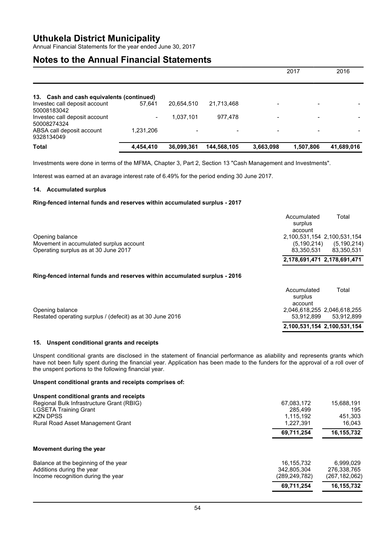Annual Financial Statements for the year ended June 30, 2017

### **Notes to the Annual Financial Statements**

|                                           |                          |            |             |                          | 2017      | 2016       |
|-------------------------------------------|--------------------------|------------|-------------|--------------------------|-----------|------------|
|                                           |                          |            |             |                          |           |            |
| 13. Cash and cash equivalents (continued) |                          |            |             |                          |           |            |
| Investec call deposit account             | 57.641                   | 20,654,510 | 21.713.468  | $\overline{\phantom{0}}$ |           |            |
| 50008183042                               |                          |            |             |                          |           |            |
| Investec call deposit account             | $\overline{\phantom{0}}$ | 1.037.101  | 977.478     | $\overline{\phantom{0}}$ |           |            |
| 50008274324                               |                          |            |             |                          |           |            |
|                                           |                          |            |             |                          |           |            |
| ABSA call deposit account                 | 1,231,206                |            | -           | $\overline{\phantom{0}}$ |           |            |
| 9328134049                                |                          |            |             |                          |           |            |
| <b>Total</b>                              | 4,454,410                | 36,099,361 | 144,568,105 | 3,663,098                | 1,507,806 | 41,689,016 |
|                                           |                          |            |             |                          |           |            |

Investments were done in terms of the MFMA, Chapter 3, Part 2, Section 13 "Cash Management and Investments".

Interest was earned at an avarage interest rate of 6.49% for the period ending 30 June 2017.

#### **14. Accumulated surplus**

#### **Ring-fenced internal funds and reserves within accumulated surplus - 2017**

|                                                                                 | Accumulated<br>surplus            | Total                                     |
|---------------------------------------------------------------------------------|-----------------------------------|-------------------------------------------|
| Opening balance                                                                 | account                           | 2,100,531,154 2,100,531,154               |
| Movement in accumulated surplus account<br>Operating surplus as at 30 June 2017 | (5, 190, 214)<br>83.350.531       | (5, 190, 214)<br>83.350.531               |
|                                                                                 |                                   | 2,178,691,471 2,178,691,471               |
| Ring-fenced internal funds and reserves within accumulated surplus - 2016       |                                   |                                           |
|                                                                                 | Accumulated<br>surplus<br>account | Total                                     |
| Opening balance<br>Restated operating surplus / (defecit) as at 30 June 2016    | 53.912.899                        | 2,046,618,255 2,046,618,255<br>53.912.899 |
|                                                                                 |                                   | 2,100,531,154 2,100,531,154               |

#### **15. Unspent conditional grants and receipts**

Unspent conditional grants are disclosed in the statement of financial performance as aliability and represents grants which have not been fully spent during the financial year. Application has been made to the funders for the approval of a roll over of the unspent portions to the following financial year.

#### **Unspent conditional grants and receipts comprises of:**

| Unspent conditional grants and receipts   |               |               |
|-------------------------------------------|---------------|---------------|
| Regional Bulk Infrastructure Grant (RBIG) | 67,083,172    | 15,688,191    |
| <b>LGSETA Training Grant</b>              | 285.499       | 195           |
| <b>KZN DPSS</b>                           | 1.115.192     | 451,303       |
| Rural Road Asset Management Grant         | 1,227,391     | 16.043        |
|                                           | 69,711,254    | 16,155,732    |
| Movement during the year                  |               |               |
| Balance at the beginning of the year      | 16.155.732    | 6.999.029     |
| Additions during the year                 | 342,805,304   | 276,338,765   |
| Income recognition during the year        | (289,249,782) | (267,182,062) |
|                                           | 69,711,254    | 16,155,732    |
|                                           |               |               |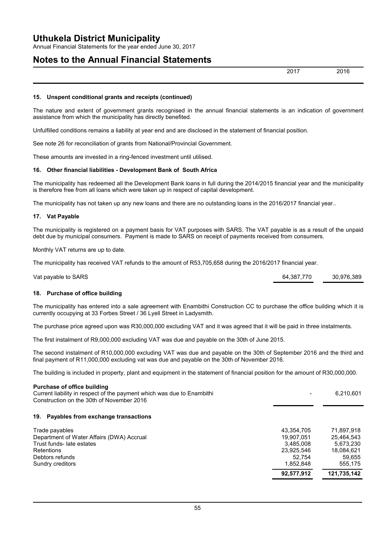Annual Financial Statements for the year ended June 30, 2017

### **Notes to the Annual Financial Statements**

2017 2016

#### **15. Unspent conditional grants and receipts (continued)**

The nature and extent of government grants recognised in the annual financial statements is an indication of government assistance from which the municipality has directly benefited.

Unfulfilled conditions remains a liability at year end and are disclosed in the statement of financial position.

See note 26 for reconciliation of grants from National/Provincial Government.

These amounts are invested in a ring-fenced investment until utilised.

#### **16. Other financial liabilities - Development Bank of South Africa**

The municipality has redeemed all the Development Bank loans in full during the 2014/2015 financial year and the municipality is therefore free from all loans which were taken up in respect of capital development.

The municipality has not taken up any new loans and there are no outstanding loans in the 2016/2017 financial vear..

#### **17. Vat Payable**

The municipality is registered on a payment basis for VAT purposes with SARS. The VAT payable is as a result of the unpaid debt due by municipal consumers. Payment is made to SARS on receipt of payments received from consumers.

Monthly VAT returns are up to date.

The municipality has received VAT refunds to the amount of R53,705,658 during the 2016/2017 financial year.

Vat payable to SARS 64,387,770 30,976,389

#### **18. Purchase of office building**

The municipality has entered into a sale agreement with Enambithi Construction CC to purchase the office building which it is currently occupying at 33 Forbes Street / 36 Lyell Street in Ladysmith.

The purchase price agreed upon was R30,000,000 excluding VAT and it was agreed that it will be paid in three instalments.

The first instalment of R9,000,000 excluding VAT was due and payable on the 30th of June 2015.

The second instalment of R10,000,000 excluding VAT was due and payable on the 30th of September 2016 and the third and final payment of R11,000,000 excluding vat was due and payable on the 30th of November 2016.

The building is included in property, plant and equipment in the statement of financial position for the amount of R30,000,000.

| Purchase of office building<br>Current liability in respect of the payment which was due to Enambithi<br>Construction on the 30th of November 2016 | 6,210,601   |
|----------------------------------------------------------------------------------------------------------------------------------------------------|-------------|
| 19. Payables from exchange transactions                                                                                                            |             |
| Trade payables<br>43.354.705                                                                                                                       | 71.897.918  |
| Department of Water Affairs (DWA) Accrual<br>19.907.051                                                                                            | 25.464.543  |
| Trust funds- late estates<br>3,485,008                                                                                                             | 5,673,230   |
| 23.925.546<br>Retentions                                                                                                                           | 18,084,621  |
| 52.754<br>Debtors refunds                                                                                                                          | 59,655      |
| Sundry creditors<br>1.852.848                                                                                                                      | 555.175     |
| 92,577,912                                                                                                                                         | 121,735,142 |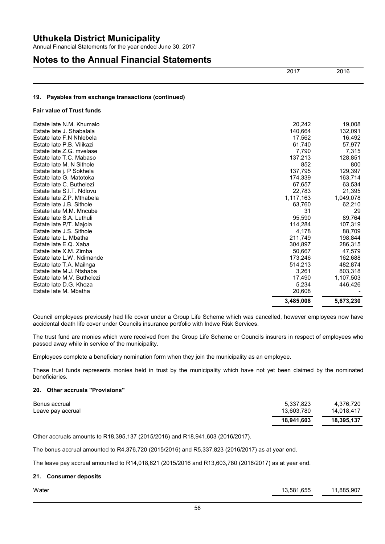Annual Financial Statements for the year ended June 30, 2017

### **Notes to the Annual Financial Statements**

|                                                        | 2017      | 2016      |
|--------------------------------------------------------|-----------|-----------|
| Payables from exchange transactions (continued)<br>19. |           |           |
| <b>Fair value of Trust funds</b>                       |           |           |
| Estate late N.M. Khumalo                               | 20,242    | 19,008    |
| Estate late J. Shabalala                               | 140,664   | 132,091   |
| Estate late F.N Nhiebela                               | 17,562    | 16,492    |
| Estate late P.B. Vilikazi                              | 61,740    | 57,977    |
| Estate late Z.G. myelase                               | 7,790     | 7,315     |
| Estate late T.C. Mabaso                                | 137,213   | 128,851   |
| Estate late M. N Sithole                               | 852       | 800       |
| Estate late j. P Sokhela                               | 137,795   | 129,397   |
| Estate late G. Matotoka                                | 174,339   | 163,714   |
| Estate late C. Buthelezi                               | 67,657    | 63,534    |
| Estate late S.I.T. Ndlovu                              | 22,783    | 21,395    |
| Estate late Z.P. Mthabela                              | 1,117,163 | 1,049,078 |
| Estate late J.B. Sithole                               | 63,760    | 62,210    |
| Estate late M.M. Mncube                                | 31        | 29        |
| Estate late S.A. Luthuli                               | 95,590    | 89,764    |
| Estate late P/T. Majola                                | 114,284   | 107,319   |
| Estate late J.S. Sithole                               | 4,178     | 88,709    |
| Estate late L. Mbatha                                  | 211,749   | 198,844   |
| Estate late E.Q. Xaba                                  | 304,897   | 286,315   |
| Estate late X.M. Zimba                                 | 50,667    | 47,579    |
| Estate late L.W. Ndimande                              | 173,246   | 162,688   |
| Estate late T.A. Mailnga                               | 514,213   | 482,874   |
| Estate late M.J. Ntshaba                               | 3,261     | 803,318   |
| Estate late M.V. Buthelezi                             | 17,490    | 1,107,503 |
| Estate late D.G. Khoza                                 | 5,234     | 446,426   |
| Estate late M. Mbatha                                  | 20,608    |           |
|                                                        | 3,485,008 | 5,673,230 |

Council employees previously had life cover under a Group Life Scheme which was cancelled, however employees now have accidental death life cover under Councils insurance portfolio with Indwe Risk Services.

The trust fund are monies which were received from the Group Life Scheme or Councils insurers in respect of employees who passed away while in service of the municipality.

Employees complete a beneficiary nomination form when they join the municipality as an employee.

These trust funds represents monies held in trust by the municipality which have not yet been claimed by the nominated beneficiaries.

#### **20. Other accruals "Provisions"**

|                   | 18.941.603 | 18.395.137 |
|-------------------|------------|------------|
| Leave pay accrual | 13.603.780 | 14.018.417 |
| Bonus accrual     | 5,337,823  | 4.376.720  |

Other accruals amounts to R18,395,137 (2015/2016) and R18,941,603 (2016/2017).

The bonus accrual amounted to R4,376,720 (2015/2016) and R5,337,823 (2016/2017) as at year end.

The leave pay accrual amounted to R14,018,621 (2015/2016 and R13,603,780 (2016/2017) as at year end.

#### **21. Consumer deposits**

| Water | 13,581,655 | 11,885,907 |
|-------|------------|------------|
|       |            |            |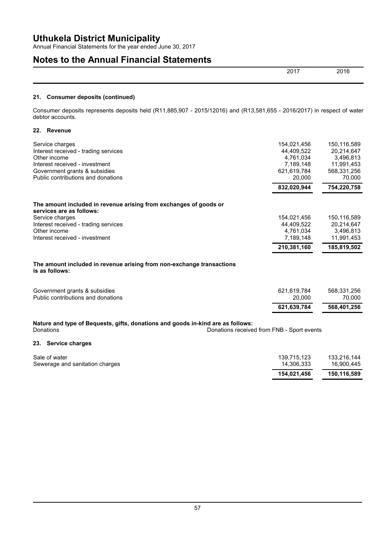Annual Financial Statements for the year ended June 30, 2017

### **Notes to the Annual Financial Statements**

| 2017 | 2016 |
|------|------|

#### **21. Consumer deposits (continued)**

Consumer deposits represents deposits held (R11,885,907 - 2015/12016) and (R13,581,655 - 2016/2017) in respect of water debtor accounts.

#### **22. Revenue**

| Service charges                                                                         | 154,021,456                                | 150,116,589 |
|-----------------------------------------------------------------------------------------|--------------------------------------------|-------------|
| Interest received - trading services                                                    | 44,409,522                                 | 20,214,647  |
| Other income                                                                            | 4,761,034                                  | 3,496,813   |
| Interest received - investment                                                          | 7,189,148                                  | 11,991,453  |
| Government grants & subsidies                                                           | 621,619,784                                | 568,331,256 |
| Public contributions and donations                                                      | 20,000                                     | 70,000      |
|                                                                                         | 832,020,944                                | 754,220,758 |
| The amount included in revenue arising from exchanges of goods or                       |                                            |             |
| services are as follows:                                                                |                                            |             |
| Service charges                                                                         | 154,021,456                                | 150,116,589 |
| Interest received - trading services                                                    | 44.409.522                                 | 20,214,647  |
| Other income                                                                            | 4,761,034                                  | 3,496,813   |
| Interest received - investment                                                          | 7,189,148                                  | 11,991,453  |
|                                                                                         | 210,381,160                                | 185,819,502 |
| The amount included in revenue arising from non-exchange transactions<br>is as follows: |                                            |             |
|                                                                                         |                                            |             |
| Government grants & subsidies                                                           | 621,619,784                                | 568,331,256 |
| Public contributions and donations                                                      | 20,000                                     | 70,000      |
|                                                                                         | 621,639,784                                | 568,401,256 |
| Nature and type of Bequests, gifts, donations and goods in-kind are as follows:         |                                            |             |
| Donations                                                                               | Donations received from FNB - Sport events |             |

Donations received from FNB - Sport events

#### **23. Service charges**

|                                 | 154.021.456 | 150.116.589 |
|---------------------------------|-------------|-------------|
| Sewerage and sanitation charges | 14.306.333  | 16.900.445  |
| Sale of water                   | 139.715.123 | 133.216.144 |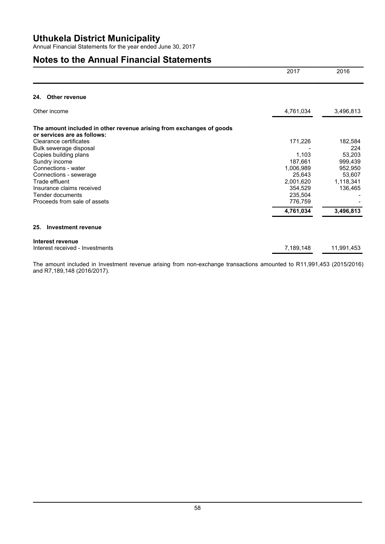Annual Financial Statements for the year ended June 30, 2017

## **Notes to the Annual Financial Statements**

|                                                                                                     | 2017      | 2016       |
|-----------------------------------------------------------------------------------------------------|-----------|------------|
| Other revenue<br>24.                                                                                |           |            |
| Other income                                                                                        | 4,761,034 | 3,496,813  |
| The amount included in other revenue arising from exchanges of goods<br>or services are as follows: |           |            |
| Clearance certificates                                                                              | 171,226   | 182,584    |
| Bulk sewerage disposal                                                                              |           | 224        |
| Copies building plans                                                                               | 1,103     | 53,203     |
| Sundry income                                                                                       | 187,661   | 999,439    |
| Connections - water                                                                                 | 1,006,989 | 952,950    |
| Connections - sewerage                                                                              | 25,643    | 53,607     |
| Trade effluent                                                                                      | 2,001,620 | 1,118,341  |
| Insurance claims received                                                                           | 354,529   | 136,465    |
| Tender documents                                                                                    | 235,504   |            |
| Proceeds from sale of assets                                                                        | 776,759   |            |
|                                                                                                     | 4,761,034 | 3,496,813  |
| <b>Investment revenue</b><br>25.                                                                    |           |            |
| Interest revenue                                                                                    |           |            |
| Interest received - Investments                                                                     | 7,189,148 | 11,991,453 |

The amount included in Investment revenue arising from non-exchange transactions amounted to R11,991,453 (2015/2016) and R7,189,148 (2016/2017).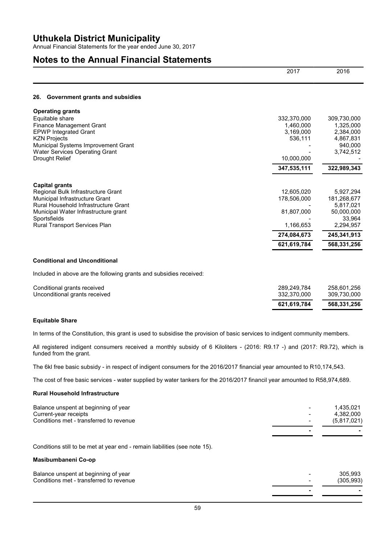Annual Financial Statements for the year ended June 30, 2017

### **Notes to the Annual Financial Statements**

|                                                                    | 2017        | 2016        |
|--------------------------------------------------------------------|-------------|-------------|
| Government grants and subsidies<br>26.                             |             |             |
| <b>Operating grants</b>                                            |             |             |
| Equitable share                                                    | 332,370,000 | 309,730,000 |
| <b>Finance Management Grant</b>                                    | 1,460,000   | 1,325,000   |
| <b>EPWP</b> Integrated Grant                                       | 3,169,000   | 2,384,000   |
| <b>KZN Projects</b>                                                | 536,111     | 4,867,831   |
| Municipal Systems Improvement Grant                                |             | 940,000     |
| <b>Water Services Operating Grant</b>                              |             | 3,742,512   |
| Drought Relief                                                     | 10,000,000  |             |
|                                                                    | 347,535,111 | 322,989,343 |
| <b>Capital grants</b>                                              |             |             |
| Regional Bulk Infrastructure Grant                                 | 12.605.020  | 5,927,294   |
| Municipal Infrastructure Grant                                     | 178,506,000 | 181,268,677 |
| Rural Household Infrastructure Grant                               |             | 5,817,021   |
| Municipal Water Infrastructure grant                               | 81,807,000  | 50,000,000  |
| Sportsfields                                                       |             | 33.964      |
| Rural Transport Services Plan                                      | 1,166,653   | 2,294,957   |
|                                                                    | 274,084,673 | 245,341,913 |
|                                                                    | 621,619,784 | 568,331,256 |
| <b>Conditional and Unconditional</b>                               |             |             |
| Included in above are the following grants and subsidies received: |             |             |
|                                                                    |             |             |

| Conditional grants received   | 289.249.784 | 258.601.256 |
|-------------------------------|-------------|-------------|
| Unconditional grants received | 332.370.000 | 309.730.000 |
|                               | 621.619.784 | 568.331.256 |

#### **Equitable Share**

In terms of the Constitution, this grant is used to subsidise the provision of basic services to indigent community members.

All registered indigent consumers received a monthly subsidy of 6 Kiloliters - (2016: R9.17 -) and (2017: R9.72), which is funded from the grant.

The 6kl free basic subsidy - in respect of indigent consumers for the 2016/2017 financial year amounted to R10,174,543.

The cost of free basic services - water supplied by water tankers for the 2016/2017 financil year amounted to R58,974,689.

#### **Rural Household Infrastructure**

| Balance unspent at beginning of year<br>Current-year receipts<br>Conditions met - transferred to revenue | $\overline{\phantom{a}}$<br>$\overline{\phantom{a}}$ | 1.435.021<br>4.382.000<br>(5,817,021) |
|----------------------------------------------------------------------------------------------------------|------------------------------------------------------|---------------------------------------|
|                                                                                                          | -                                                    |                                       |
| Conditions still to be met at year end - remain liabilities (see note 15).                               |                                                      |                                       |

#### **Masibumbaneni Co-op**

| Balance unspent at beginning of year    | $\overline{\phantom{0}}$ | 305.993    |
|-----------------------------------------|--------------------------|------------|
| Conditions met - transferred to revenue | $\sim$                   | (305, 993) |
|                                         | -                        |            |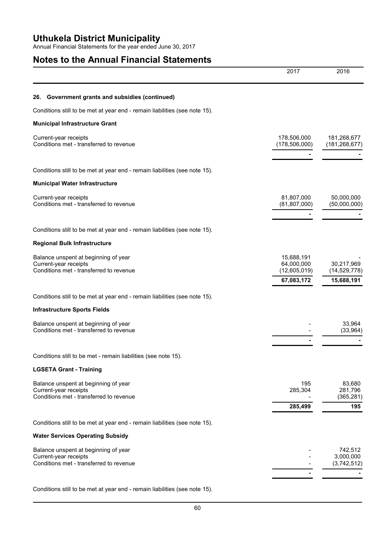Annual Financial Statements for the year ended June 30, 2017

# **Notes to the Annual Financial Statements**

|                                                                                                          | 2017                                     | 2016                                |
|----------------------------------------------------------------------------------------------------------|------------------------------------------|-------------------------------------|
| Government grants and subsidies (continued)<br>26.                                                       |                                          |                                     |
| Conditions still to be met at year end - remain liabilities (see note 15).                               |                                          |                                     |
| <b>Municipal Infrastructure Grant</b>                                                                    |                                          |                                     |
| Current-year receipts<br>Conditions met - transferred to revenue                                         | 178,506,000<br>(178, 506, 000)           | 181,268,677<br>(181, 268, 677)      |
| Conditions still to be met at year end - remain liabilities (see note 15).                               |                                          |                                     |
| <b>Municipal Water Infrastructure</b>                                                                    |                                          |                                     |
| Current-year receipts<br>Conditions met - transferred to revenue                                         | 81,807,000<br>(81, 807, 000)             | 50,000,000<br>(50,000,000)          |
| Conditions still to be met at year end - remain liabilities (see note 15).                               |                                          |                                     |
| <b>Regional Bulk Infrastructure</b>                                                                      |                                          |                                     |
| Balance unspent at beginning of year<br>Current-year receipts<br>Conditions met - transferred to revenue | 15,688,191<br>64,000,000<br>(12,605,019) | 30,217,969<br>(14, 529, 778)        |
|                                                                                                          | 67,083,172                               | 15,688,191                          |
| Conditions still to be met at year end - remain liabilities (see note 15).                               |                                          |                                     |
| <b>Infrastructure Sports Fields</b>                                                                      |                                          |                                     |
| Balance unspent at beginning of year<br>Conditions met - transferred to revenue                          |                                          | 33,964<br>(33, 964)                 |
| Conditions still to be met - remain liabilities (see note 15).                                           |                                          |                                     |
| <b>LGSETA Grant - Training</b>                                                                           |                                          |                                     |
| Balance unspent at beginning of year<br>Current-year receipts<br>Conditions met - transferred to revenue | 195<br>285,304                           | 83,680<br>281,796<br>(365, 281)     |
|                                                                                                          | 285,499                                  | 195                                 |
| Conditions still to be met at year end - remain liabilities (see note 15).                               |                                          |                                     |
| <b>Water Services Operating Subsidy</b>                                                                  |                                          |                                     |
| Balance unspent at beginning of year<br>Current-year receipts<br>Conditions met - transferred to revenue |                                          | 742,512<br>3,000,000<br>(3,742,512) |
|                                                                                                          |                                          |                                     |

Conditions still to be met at year end - remain liabilities (see note 15).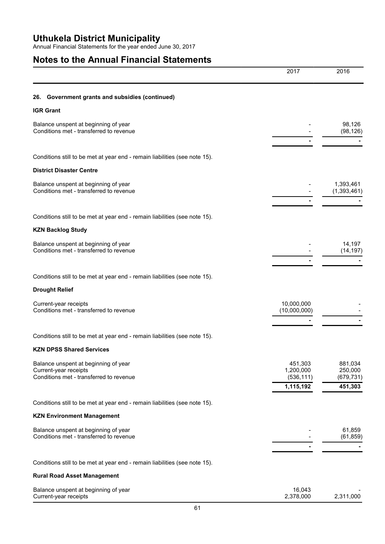Annual Financial Statements for the year ended June 30, 2017

# **Notes to the Annual Financial Statements**

|                                                                                                          | 2017                                            | 2016                                        |
|----------------------------------------------------------------------------------------------------------|-------------------------------------------------|---------------------------------------------|
| <b>Government grants and subsidies (continued)</b><br>26.                                                |                                                 |                                             |
| <b>IGR Grant</b>                                                                                         |                                                 |                                             |
| Balance unspent at beginning of year<br>Conditions met - transferred to revenue                          |                                                 | 98,126<br>(98, 126)                         |
| Conditions still to be met at year end - remain liabilities (see note 15).                               |                                                 |                                             |
| <b>District Disaster Centre</b>                                                                          |                                                 |                                             |
| Balance unspent at beginning of year<br>Conditions met - transferred to revenue                          |                                                 | 1,393,461<br>(1,393,461)                    |
| Conditions still to be met at year end - remain liabilities (see note 15).                               |                                                 |                                             |
| <b>KZN Backlog Study</b>                                                                                 |                                                 |                                             |
| Balance unspent at beginning of year<br>Conditions met - transferred to revenue                          |                                                 | 14,197<br>(14, 197)                         |
| Conditions still to be met at year end - remain liabilities (see note 15).                               |                                                 |                                             |
| <b>Drought Relief</b>                                                                                    |                                                 |                                             |
| Current-year receipts<br>Conditions met - transferred to revenue                                         | 10,000,000<br>(10,000,000)                      |                                             |
| Conditions still to be met at year end - remain liabilities (see note 15).                               |                                                 |                                             |
| <b>KZN DPSS Shared Services</b>                                                                          |                                                 |                                             |
| Balance unspent at beginning of year<br>Current-year receipts<br>Conditions met - transferred to revenue | 451,303<br>1,200,000<br>(536, 111)<br>1,115,192 | 881,034<br>250,000<br>(679, 731)<br>451,303 |
| Conditions still to be met at year end - remain liabilities (see note 15).                               |                                                 |                                             |
| <b>KZN Environment Management</b>                                                                        |                                                 |                                             |
| Balance unspent at beginning of year<br>Conditions met - transferred to revenue                          |                                                 | 61,859<br>(61, 859)                         |
|                                                                                                          |                                                 |                                             |
| Conditions still to be met at year end - remain liabilities (see note 15).                               |                                                 |                                             |
| <b>Rural Road Asset Management</b>                                                                       |                                                 |                                             |
| Balance unspent at beginning of year<br>Current-year receipts                                            | 16,043<br>2,378,000                             | 2,311,000                                   |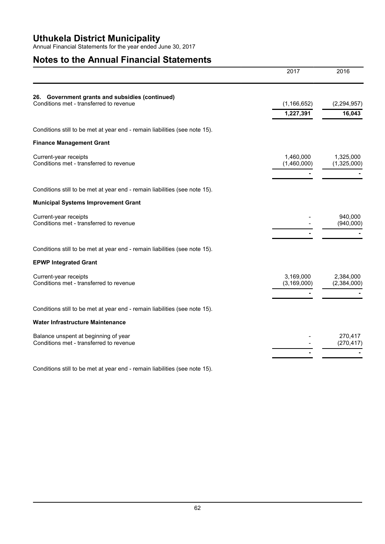Annual Financial Statements for the year ended June 30, 2017

# **Notes to the Annual Financial Statements**

|                                                                                            | 2017                       | 2016                     |
|--------------------------------------------------------------------------------------------|----------------------------|--------------------------|
|                                                                                            |                            |                          |
| 26. Government grants and subsidies (continued)<br>Conditions met - transferred to revenue | (1, 166, 652)              | (2, 294, 957)            |
|                                                                                            | 1,227,391                  | 16,043                   |
| Conditions still to be met at year end - remain liabilities (see note 15).                 |                            |                          |
| <b>Finance Management Grant</b>                                                            |                            |                          |
| Current-year receipts                                                                      | 1,460,000                  | 1,325,000                |
| Conditions met - transferred to revenue                                                    | (1,460,000)                | (1,325,000)              |
| Conditions still to be met at year end - remain liabilities (see note 15).                 |                            |                          |
| <b>Municipal Systems Improvement Grant</b>                                                 |                            |                          |
| Current-year receipts                                                                      |                            | 940,000                  |
| Conditions met - transferred to revenue                                                    |                            | (940,000)                |
|                                                                                            |                            |                          |
| Conditions still to be met at year end - remain liabilities (see note 15).                 |                            |                          |
| <b>EPWP Integrated Grant</b>                                                               |                            |                          |
| Current-year receipts<br>Conditions met - transferred to revenue                           | 3,169,000<br>(3, 169, 000) | 2,384,000<br>(2,384,000) |
|                                                                                            |                            |                          |
| Conditions still to be met at year end - remain liabilities (see note 15).                 |                            |                          |
| <b>Water Infrastructure Maintenance</b>                                                    |                            |                          |
| Balance unspent at beginning of year                                                       |                            | 270,417                  |
| Conditions met - transferred to revenue                                                    |                            | (270, 417)               |
|                                                                                            |                            |                          |

Conditions still to be met at year end - remain liabilities (see note 15).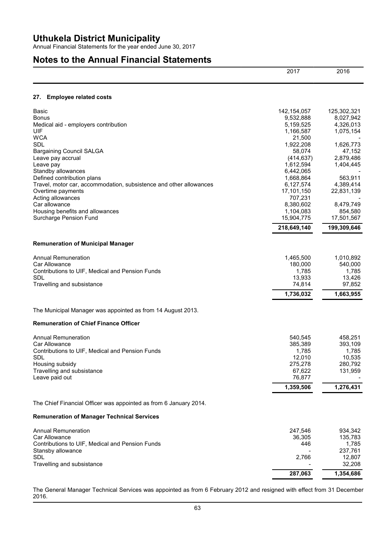Annual Financial Statements for the year ended June 30, 2017

#### **Notes to the Annual Financial Statements**

|                                                                    | 2017          | 2016        |
|--------------------------------------------------------------------|---------------|-------------|
| <b>Employee related costs</b><br>27.                               |               |             |
| Basic                                                              | 142, 154, 057 | 125,302,321 |
| <b>Bonus</b>                                                       | 9,532,888     | 8,027,942   |
| Medical aid - employers contribution                               | 5,159,525     | 4,326,013   |
| UIF                                                                | 1,166,587     | 1,075,154   |
| <b>WCA</b>                                                         | 21,500        |             |
| <b>SDL</b>                                                         | 1,922,208     | 1,626,773   |
| <b>Bargaining Council SALGA</b>                                    | 58,074        | 47,152      |
| Leave pay accrual                                                  | (414, 637)    | 2,879,486   |
| Leave pay                                                          | 1,612,594     | 1,404,445   |
| Standby allowances                                                 | 6,442,065     |             |
| Defined contribution plans                                         | 1,668,864     | 563,911     |
| Travel, motor car, accommodation, subsistence and other allowances | 6,127,574     | 4,389,414   |
| Overtime payments                                                  | 17,101,150    | 22,831,139  |
| Acting allowances                                                  | 707,231       |             |
| Car allowance                                                      | 8,380,602     | 8,479,749   |
| Housing benefits and allowances                                    | 1,104,083     | 854,580     |
| Surcharge Pension Fund                                             | 15,904,775    | 17,501,567  |
|                                                                    | 218,649,140   | 199,309,646 |
| <b>Remuneration of Municipal Manager</b>                           |               |             |
| <b>Annual Remuneration</b>                                         | 1,465,500     | 1,010,892   |
| Car Allowance                                                      | 180,000       | 540,000     |
| Contributions to UIF, Medical and Pension Funds                    | 1,785         | 1,785       |
| <b>SDL</b>                                                         | 13,933        | 13,426      |
| Travelling and subsistance                                         | 74,814        | 97,852      |
|                                                                    | 1,736,032     | 1,663,955   |
| The Municipal Manager was appointed as from 14 August 2013.        |               |             |
| <b>Remuneration of Chief Finance Officer</b>                       |               |             |
| <b>Annual Remuneration</b>                                         | 540,545       | 458,251     |
| Car Allowance                                                      | 385,389       | 393,109     |
| Contributions to UIF, Medical and Pension Funds                    | 1,785         | 1,785       |
| <b>SDL</b>                                                         | 12,010        | 10,535      |
| Housing subsidy                                                    | 275,278       | 280,792     |
| Travelling and subsistance                                         | 67,622        | 131,959     |
| Leave paid out                                                     | 76,877        |             |
|                                                                    | 1,359,506     | 1,276,431   |
| The Chief Financial Officer was appointed as from 6 January 2014.  |               |             |
| <b>Remuneration of Manager Technical Services</b>                  |               |             |
|                                                                    |               |             |
| <b>Annual Remuneration</b>                                         | 247,546       | 934,342     |
| Car Allowance                                                      | 36,305        | 135,783     |
| Contributions to UIF, Medical and Pension Funds                    | 446           | 1,785       |
| Stansby allowance                                                  |               | 237,761     |
| <b>SDL</b>                                                         | 2,766         | 12,807      |
| Travelling and subsistance                                         |               | 32,208      |
|                                                                    | 287,063       | 1,354,686   |

The General Manager Technical Services was appointed as from 6 February 2012 and resigned with effect from 31 December 2016.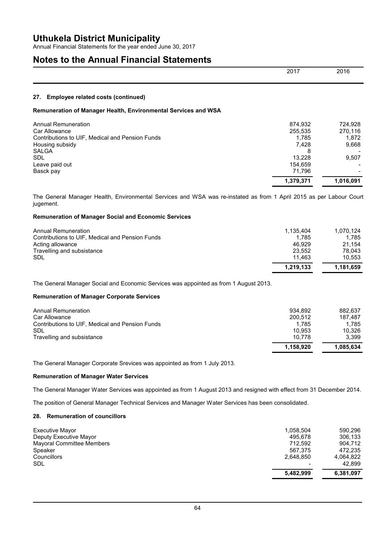Annual Financial Statements for the year ended June 30, 2017

### **Notes to the Annual Financial Statements**

|                                                                                                                                                                         | 2017                                                                     | 2016                                          |
|-------------------------------------------------------------------------------------------------------------------------------------------------------------------------|--------------------------------------------------------------------------|-----------------------------------------------|
| Employee related costs (continued)<br>27.                                                                                                                               |                                                                          |                                               |
| Remuneration of Manager Health, Environmental Services and WSA                                                                                                          |                                                                          |                                               |
| Annual Remuneration<br>Car Allowance<br>Contributions to UIF, Medical and Pension Funds<br>Housing subsidy<br><b>SALGA</b><br><b>SDL</b><br>Leave paid out<br>Basck pay | 874,932<br>255.535<br>1,785<br>7,428<br>8<br>13,228<br>154,659<br>71,796 | 724,928<br>270,116<br>1,872<br>9,668<br>9,507 |
|                                                                                                                                                                         | 1,379,371                                                                | 1,016,091                                     |

The General Manager Health, Environmental Services and WSA was re-instated as from 1 April 2015 as per Labour Court jugement.

#### **Remuneration of Manager Social and Economic Services**

|                                                 | 1,219,133 | 1.181.659 |
|-------------------------------------------------|-----------|-----------|
| SDL                                             | 11.463    | 10.553    |
| Travelling and subsistance                      | 23.552    | 78.043    |
| Acting allowance                                | 46.929    | 21.154    |
| Contributions to UIF, Medical and Pension Funds | 1.785     | 1.785     |
| Annual Remuneration                             | 1.135.404 | 1.070.124 |

The General Manager Social and Economic Services was appointed as from 1 August 2013.

#### **Remuneration of Manager Corporate Services**

| Annual Remuneration                             | 934.892   | 882.637   |
|-------------------------------------------------|-----------|-----------|
| Car Allowance                                   | 200.512   | 187.487   |
| Contributions to UIF, Medical and Pension Funds | 1.785     | 1.785     |
| SDL                                             | 10.953    | 10.326    |
| Travelling and subsistance                      | 10.778    | 3.399     |
|                                                 | 1.158.920 | 1.085.634 |

The General Manager Corporate Srevices was appointed as from 1 July 2013.

#### **Remuneration of Manager Water Services**

The General Manager Water Services was appointed as from 1 August 2013 and resigned with effect from 31 December 2014.

The position of General Manager Technical Services and Manager Water Services has been consolidated.

#### **28. Remuneration of councillors**

| <b>SDL</b>                       |           | 42.899    |
|----------------------------------|-----------|-----------|
| Councillors                      | 2.648.850 | 4.064.822 |
| Speaker                          | 567.375   | 472.235   |
| <b>Mayoral Committee Members</b> | 712.592   | 904,712   |
| Deputy Executive Mayor           | 495.678   | 306,133   |
| Executive Mayor                  | 1,058,504 | 590.296   |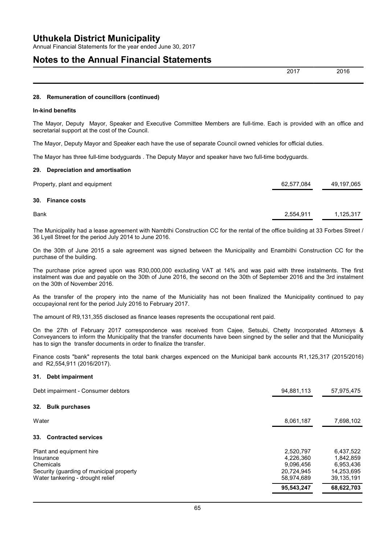Annual Financial Statements for the year ended June 30, 2017

#### **Notes to the Annual Financial Statements**

| 201<br>.<br> | .<br>. .<br>.<br>______ |  |
|--------------|-------------------------|--|

#### **28. Remuneration of councillors (continued)**

#### **In-kind benefits**

The Mayor, Deputy Mayor, Speaker and Executive Committee Members are full-time. Each is provided with an office and secretarial support at the cost of the Council.

The Mayor, Deputy Mayor and Speaker each have the use of separate Council owned vehicles for official duties.

The Mayor has three full-time bodyguards . The Deputy Mayor and speaker have two full-time bodyguards.

#### **29. Depreciation and amortisation**

| Property, plant and equipment | 62,577,084 | 49,197,065 |
|-------------------------------|------------|------------|
| 30. Finance costs             |            |            |
| Bank                          | 2,554,911  | 1,125,317  |

The Municipality had a lease agreement with Nambthi Construction CC for the rental of the office building at 33 Forbes Street / 36 Lyell Street for the period July 2014 to June 2016.

On the 30th of June 2015 a sale agreement was signed between the Municipality and Enambithi Construction CC for the purchase of the building.

The purchase price agreed upon was R30,000,000 excluding VAT at 14% and was paid with three instalments. The first instalment was due and payable on the 30th of June 2016, the second on the 30th of September 2016 and the 3rd instalment on the 30th of November 2016.

As the transfer of the propery into the name of the Municiality has not been finalized the Municipality continued to pay occupayional rent for the period July 2016 to February 2017.

The amount of R9,131,355 disclosed as finance leases represents the occupational rent paid.

On the 27th of February 2017 correspondence was received from Cajee, Setsubi, Chetty Incorporated Attorneys & Conveyancers to inform the Municipality that the transfer documents have been singned by the seller and that the Municipality has to sign the transfer documents in order to finalize the transfer.

Finance costs "bank" represents the total bank charges expenced on the Municipal bank accounts R1,125,317 (2015/2016) and R2,554,911 (2016/2017).

#### **31. Debt impairment**

| Debt impairment - Consumer debtors                                                                                                 | 94,881,113                                                                    | 57,975,475                                                                    |
|------------------------------------------------------------------------------------------------------------------------------------|-------------------------------------------------------------------------------|-------------------------------------------------------------------------------|
| 32.<br><b>Bulk purchases</b>                                                                                                       |                                                                               |                                                                               |
| Water                                                                                                                              | 8,061,187                                                                     | 7,698,102                                                                     |
| <b>Contracted services</b><br>33.                                                                                                  |                                                                               |                                                                               |
| Plant and equipment hire<br>Insurance<br>Chemicals<br>Security (guarding of municipal property<br>Water tankering - drought relief | 2,520,797<br>4,226,360<br>9,096,456<br>20,724,945<br>58.974.689<br>95,543,247 | 6,437,522<br>1,842,859<br>6,953,436<br>14,253,695<br>39,135,191<br>68,622,703 |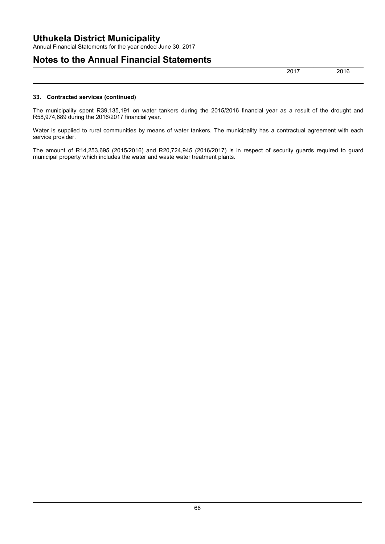Annual Financial Statements for the year ended June 30, 2017

### **Notes to the Annual Financial Statements**

2017 2016

**33. Contracted services (continued)**

The municipality spent R39,135,191 on water tankers during the 2015/2016 financial year as a result of the drought and R58,974,689 during the 2016/2017 financial year.

Water is supplied to rural communities by means of water tankers. The municipality has a contractual agreement with each service provider.

The amount of R14,253,695 (2015/2016) and R20,724,945 (2016/2017) is in respect of security guards required to guard municipal property which includes the water and waste water treatment plants.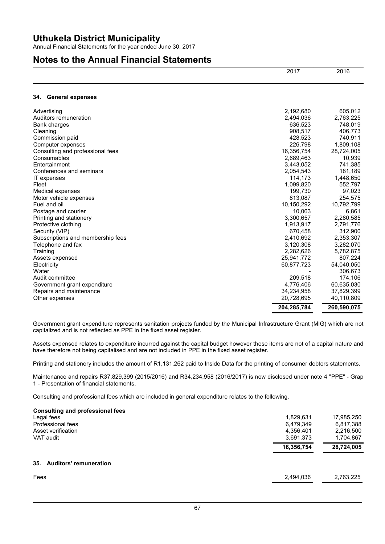Annual Financial Statements for the year ended June 30, 2017

#### **Notes to the Annual Financial Statements**

|                                   | 2017        | 2016        |
|-----------------------------------|-------------|-------------|
| <b>General expenses</b><br>34.    |             |             |
| Advertising                       | 2,192,680   | 605,012     |
| Auditors remuneration             | 2,494,036   | 2,763,225   |
| Bank charges                      | 636.523     | 748,019     |
| Cleaning                          | 908,517     | 406,773     |
| Commission paid                   | 428,523     | 740,911     |
| Computer expenses                 | 226,798     | 1,809,108   |
| Consulting and professional fees  | 16,356,754  | 28,724,005  |
| Consumables                       | 2,689,463   | 10,939      |
| Entertainment                     | 3,443,052   | 741,385     |
| Conferences and seminars          | 2,054,543   | 181,189     |
| IT expenses                       | 114,173     | 1,448,650   |
| Fleet                             | 1,099,820   | 552,797     |
| Medical expenses                  | 199,730     | 97,023      |
| Motor vehicle expenses            | 813.087     | 254,575     |
| Fuel and oil                      | 10,150,292  | 10,792,799  |
| Postage and courier               | 10,063      | 6,861       |
| Printing and stationery           | 3,300,657   | 2,280,585   |
| Protective clothing               | 1,913,917   | 2,791,776   |
| Security (VIP)                    | 670,458     | 312,900     |
| Subscriptions and membership fees | 2,410,692   | 2,353,307   |
| Telephone and fax                 | 3,120,308   | 3,282,070   |
| Training                          | 2,282,626   | 5,782,875   |
| Assets expensed                   | 25,941,772  | 807,224     |
| Electricity                       | 60,877,723  | 54,040,050  |
| Water                             |             | 306,673     |
| Audit committee                   | 209,518     | 174,106     |
| Government grant expenditure      | 4,776,406   | 60,635,030  |
| Repairs and maintenance           | 34,234,958  | 37,829,399  |
| Other expenses                    | 20,728,695  | 40,110,809  |
|                                   | 204,285,784 | 260,590,075 |

Government grant expenditure represents sanitation projects funded by the Municipal Infrastructure Grant (MIG) which are not capitalized and is not reflected as PPE in the fixed asset register.

Assets expensed relates to expenditure incurred against the capital budget however these items are not of a capital nature and have therefore not being capitalised and are not included in PPE in the fixed asset register.

Printing and stationery includes the amount of R1,131,262 paid to Inside Data for the printing of consumer debtors statements.

Maintenance and repairs R37,829,399 (2015/2016) and R34,234,958 (2016/2017) is now disclosed under note 4 "PPE" - Grap 1 - Presentation of financial statements.

Consulting and professional fees which are included in general expenditure relates to the following.

# **Consulting and professional fees**

| Legal fees                           | 1,829,631  | 17,985,250 |
|--------------------------------------|------------|------------|
| Professional fees                    | 6,479,349  | 6,817,388  |
| Asset verification                   | 4,356,401  | 2,216,500  |
| VAT audit                            | 3,691,373  | 1,704,867  |
|                                      | 16,356,754 | 28,724,005 |
| 35.<br><b>Auditors' remuneration</b> |            |            |
| Fees                                 | 2,494,036  | 2,763,225  |
|                                      |            |            |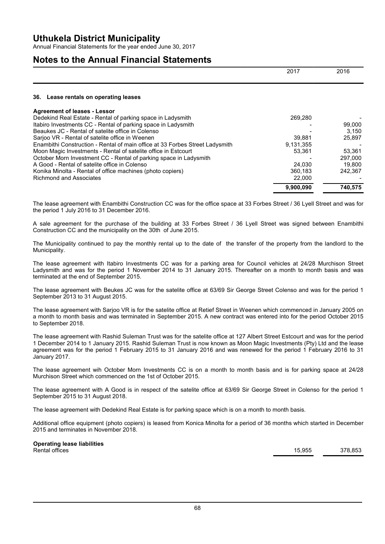Annual Financial Statements for the year ended June 30, 2017

### **Notes to the Annual Financial Statements**

|                                                                              | 2017      | 2016    |
|------------------------------------------------------------------------------|-----------|---------|
| 36. Lease rentals on operating leases                                        |           |         |
| <b>Agreement of leases - Lessor</b>                                          |           |         |
| Dedekind Real Estate - Rental of parking space in Ladysmith                  | 269,280   |         |
| Itabiro Investments CC - Rental of parking space in Ladysmith                |           | 99,000  |
| Beaukes JC - Rental of satelite office in Colenso                            |           | 3.150   |
| Sarjoo VR - Rental of satelite office in Weenen                              | 39,881    | 25,897  |
| Enambithi Construction - Rental of main office at 33 Forbes Street Ladysmith | 9,131,355 |         |
| Moon Magic Investments - Rental of satelite office in Estcourt               | 53.361    | 53,361  |
| October Morn Investment CC - Rental of parking space in Ladysmith            |           | 297.000 |
| A Good - Rental of satelite office in Colenso                                | 24.030    | 19.800  |
| Konika Minolta - Rental of office machines (photo copiers)                   | 360.183   | 242.367 |
| Richmond and Associates                                                      | 22,000    |         |
|                                                                              | 9,900,090 | 740,575 |

The lease agreement with Enambithi Construction CC was for the office space at 33 Forbes Street / 36 Lyell Street and was for the period 1 July 2016 to 31 December 2016.

A sale agreement for the purchase of the building at 33 Forbes Street / 36 Lyell Street was signed between Enambithi Construction CC and the municipality on the 30th of June 2015.

The Municipality continued to pay the monthly rental up to the date of the transfer of the property from the landlord to the Municipality.

The lease agreement with Itabiro Investments CC was for a parking area for Council vehicles at 24/28 Murchison Street Ladysmith and was for the period 1 November 2014 to 31 January 2015. Thereafter on a month to month basis and was terminated at the end of September 2015.

The lease agreement with Beukes JC was for the satelite office at 63/69 Sir George Street Colenso and was for the period 1 September 2013 to 31 August 2015.

The lease agreement with Sarjoo VR is for the satelite office at Retief Street in Weenen which commenced in January 2005 on a month to month basis and was terminated in September 2015. A new contract was entered into for the period October 2015 to September 2018.

The lease agreement with Rashid Suleman Trust was for the satelite office at 127 Albert Street Estcourt and was for the period 1 December 2014 to 1 January 2015. Rashid Suleman Trust is now known as Moon Magic Investments (Pty) Ltd and the lease agreement was for the period 1 February 2015 to 31 January 2016 and was renewed for the period 1 February 2016 to 31 January 2017.

The lease agreement wih October Morn Investments CC is on a month to month basis and is for parking space at 24/28 Murchison Street which commenced on the 1st of October 2015.

The lease agreement with A Good is in respect of the satelite office at 63/69 Sir George Street in Colenso for the period 1 September 2015 to 31 August 2018.

The lease agreement with Dedekind Real Estate is for parking space which is on a month to month basis.

Additional office equipment (photo copiers) is leased from Konica Minolta for a period of 36 months which started in December 2015 and terminates in November 2018.

**Operating lease liabilities**

Rental offices 15,955 378,853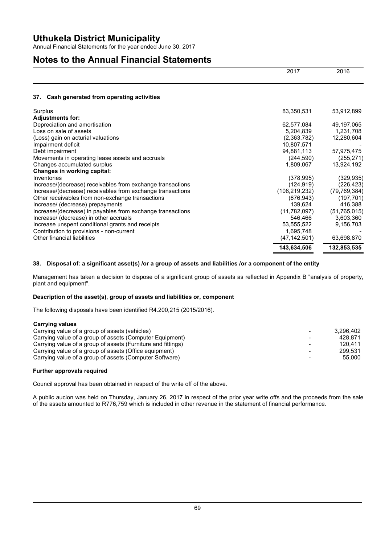Annual Financial Statements for the year ended June 30, 2017

# **Notes to the Annual Financial Statements**

|                                                            | 2017            | 2016           |
|------------------------------------------------------------|-----------------|----------------|
| Cash generated from operating activities<br>37.            |                 |                |
| Surplus                                                    | 83,350,531      | 53,912,899     |
| <b>Adjustments for:</b>                                    |                 |                |
| Depreciation and amortisation                              | 62,577,084      | 49,197,065     |
| Loss on sale of assets                                     | 5,204,839       | 1,231,708      |
| (Loss) gain on acturial valuations                         | (2,363,782)     | 12,280,604     |
| Impairment deficit                                         | 10,807,571      |                |
| Debt impairment                                            | 94,881,113      | 57,975,475     |
| Movements in operating lease assets and accruals           | (244, 590)      | (255, 271)     |
| Changes accumulated surplus                                | 1.809.067       | 13,924,192     |
| Changes in working capital:                                |                 |                |
| Inventories                                                | (378, 995)      | (329, 935)     |
| Increase/(decrease) receivables from exchange transactions | (124, 919)      | (226, 423)     |
| Increase/(decrease) receivables from exchange transactions | (108, 219, 232) | (79, 769, 384) |
| Other receivables from non-exchange transactions           | (676, 943)      | (197, 701)     |
| Increase/ (decrease) prepayments                           | 139,624         | 416,388        |
| Increase/(decrease) in payables from exchange transactions | (11,782,097)    | (51, 765, 015) |
| Increase/ (decrease) in other accruals                     | 546,466         | 3,603,360      |
| Increase unspent conditional grants and receipts           | 53,555,522      | 9,156,703      |
| Contribution to provisions - non-current                   | 1,695,748       |                |
| Other financial liabilities                                | (47, 142, 501)  | 63,698,870     |
|                                                            | 143,634,506     | 132,853,535    |

#### **38. Disposal of: a significant asset(s) /or a group of assets and liabilities /or a component of the entity**

Management has taken a decision to dispose of a significant group of assets as reflected in Appendix B "analysis of property, plant and equipment".

#### **Description of the asset(s), group of assets and liabilities or, component**

The following disposals have been identified R4.200,215 (2015/2016).

#### **Carrying values**

| Carrying value of a group of assets (vehicles)               |   | 3.296.402 |
|--------------------------------------------------------------|---|-----------|
| Carrying value of a group of assets (Computer Equipment)     |   | 428.871   |
| Carrying value of a group of assets (Furniture and fittings) | - | 120.411   |
| Carrying value of a group of assets (Office equipment)       | - | 299.531   |
| Carrying value of a group of assets (Computer Software)      |   | 55.000    |
|                                                              |   |           |

#### **Further approvals required**

Council approval has been obtained in respect of the write off of the above.

A public aucion was held on Thursday, January 26, 2017 in respect of the prior year write offs and the proceeds from the sale of the assets amounted to R776,759 which is included in other revenue in the statement of financial performance.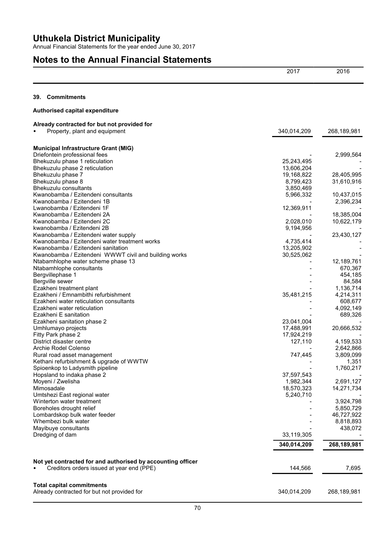Annual Financial Statements for the year ended June 30, 2017

### **Notes to the Annual Financial Statements**

|  | 2017<br>∼ | הר<br>.<br>_____ |
|--|-----------|------------------|
|  |           |                  |

 $\overline{\phantom{0}}$ 

|  | 39. |  | <b>Commitments</b> |
|--|-----|--|--------------------|
|--|-----|--|--------------------|

#### **Authorised capital expenditure**

| Already contracted for but not provided for                                    |             |             |
|--------------------------------------------------------------------------------|-------------|-------------|
| Property, plant and equipment                                                  | 340,014,209 | 268,189,981 |
| <b>Municipal Infrastructure Grant (MIG)</b>                                    |             |             |
| Driefontein professional fees                                                  |             | 2,999,564   |
| Bhekuzulu phase 1 reticulation                                                 | 25,243,495  |             |
| Bhekuzulu phase 2 reticulation                                                 | 13,606,204  |             |
| Bhekuzulu phase 7                                                              | 19,168,822  | 28,405,995  |
| Bhekuzulu phase 8                                                              | 8,799,423   | 31,610,916  |
| Bhekuzulu consultants                                                          | 3,850,469   |             |
| Kwanobamba / Ezitendeni consultants                                            | 5,966,332   | 10,437,015  |
| Kwanobamba / Ezitendeni 1B                                                     |             | 2,396,234   |
| Lwanobamba / Ezitendeni 1F                                                     | 12,369,911  |             |
| Kwanobamba / Ezitendeni 2A                                                     |             | 18,385,004  |
| Kwanobamba / Ezitendeni 2C                                                     | 2,028,010   | 10,622,179  |
| kwanobamba / Ezitendeni 2B                                                     | 9,194,956   |             |
| Kwanobamba / Ezitendeni water supply                                           |             | 23,430,127  |
| Kwanobamba / Ezitendeni water treatment works                                  | 4,735,414   |             |
| Kwanobamba / Ezitendeni sanitation                                             | 13,205,902  |             |
| Kwanobamba / Ezitendeni WWWT civil and building works                          | 30,525,062  |             |
|                                                                                |             | 12,189,761  |
| Ntabamhlophe water scheme phase 13                                             |             |             |
| Ntabamhlophe consultants                                                       |             | 670,367     |
| Bergvillephase 1                                                               |             | 454,185     |
| Bergville sewer                                                                |             | 84,584      |
| Ezakheni treatment plant                                                       |             | 1,136,714   |
| Ezakheni / Emnambithi refurbishment<br>Ezakheni water reticulation consultants | 35,481,215  | 4,214,311   |
|                                                                                |             | 608,677     |
| Ezakheni water reticulation<br>Ezakheni E sanitation                           |             | 4,092,149   |
|                                                                                |             | 689,326     |
| Ezakheni sanitation phase 2                                                    | 23,041,004  |             |
| Umhlumayo projects                                                             | 17,488,991  | 20,666,532  |
| Fitty Park phase 2                                                             | 17,924,219  |             |
| District disaster centre                                                       | 127,110     | 4,159,533   |
| Archie Rodel Colenso                                                           |             | 2,642,866   |
| Rural road asset management                                                    | 747,445     | 3,809,099   |
| Kethani refurbishment & upgrade of WWTW                                        |             | 1,351       |
| Spioenkop to Ladysmith pipeline                                                |             | 1,760,217   |
| Hopsland to indaka phase 2                                                     | 37,597,543  |             |
| Moyeni / Zwelisha                                                              | 1,982,344   | 2,691,127   |
| Mimosadale                                                                     | 18,570,323  | 14,271,734  |
| Umtshezi East regional water                                                   | 5,240,710   |             |
| Winterton water treatment                                                      |             | 3,924,798   |
| Boreholes drought relief                                                       |             | 5,850,729   |
| Lombardskop bulk water feeder                                                  |             | 46,727,922  |
| Whembezi bulk water                                                            |             | 8,818,893   |
| Mayibuye consultants                                                           |             | 438,072     |
| Dredging of dam                                                                | 33,119,305  |             |
|                                                                                | 340,014,209 | 268,189,981 |
| Not yet contracted for and authorised by accounting officer                    |             |             |
| Creditors orders issued at year end (PPE)                                      | 144,566     | 7,695       |
| <b>Total capital commitments</b>                                               |             |             |
| Already contracted for but not provided for                                    | 340,014,209 | 268,189,981 |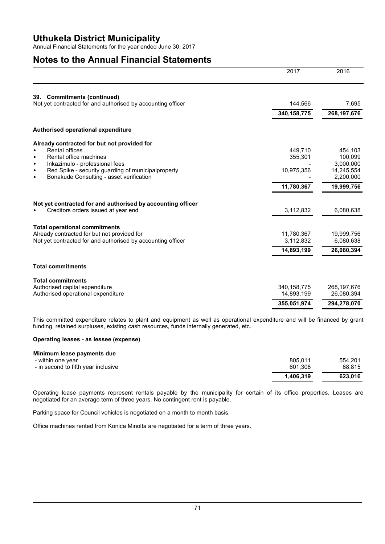Annual Financial Statements for the year ended June 30, 2017

### **Notes to the Annual Financial Statements**

|                                                                                                        | 2017          | 2016                 |
|--------------------------------------------------------------------------------------------------------|---------------|----------------------|
| 39. Commitments (continued)                                                                            |               |                      |
| Not yet contracted for and authorised by accounting officer                                            | 144,566       | 7,695                |
|                                                                                                        | 340, 158, 775 | 268, 197, 676        |
| Authorised operational expenditure                                                                     |               |                      |
| Already contracted for but not provided for                                                            |               |                      |
| <b>Rental offices</b>                                                                                  | 449,710       | 454,103              |
| Rental office machines<br>$\bullet$                                                                    | 355,301       | 100.099<br>3,000,000 |
| Inkazimulo - professional fees<br>٠<br>Red Spike - security guarding of municipalproperty<br>$\bullet$ | 10,975,356    | 14,245,554           |
| Bonakude Consulting - asset verification<br>$\bullet$                                                  |               | 2,200,000            |
|                                                                                                        | 11,780,367    | 19,999,756           |
| Not yet contracted for and authorised by accounting officer                                            |               |                      |
| Creditors orders issued at year end                                                                    | 3,112,832     | 6,080,638            |
| <b>Total operational commitments</b>                                                                   |               |                      |
| Already contracted for but not provided for                                                            | 11,780,367    | 19,999,756           |
| Not yet contracted for and authorised by accounting officer                                            | 3,112,832     | 6,080,638            |
|                                                                                                        | 14,893,199    | 26,080,394           |
| <b>Total commitments</b>                                                                               |               |                      |
| <b>Total commitments</b>                                                                               |               |                      |
| Authorised capital expenditure                                                                         | 340, 158, 775 | 268,197,676          |
| Authorised operational expenditure                                                                     | 14,893,199    | 26,080,394           |
|                                                                                                        | 355,051,974   | 294,278,070          |

This committed expenditure relates to plant and equipment as well as operational expenditure and will be financed by grant funding, retained surpluses, existing cash resources, funds internally generated, etc.

#### **Operating leases - as lessee (expense)**

| Minimum lease payments due          |           |         |
|-------------------------------------|-----------|---------|
| - within one year                   | 805.011   | 554.201 |
| - in second to fifth year inclusive | 601.308   | 68.815  |
|                                     | 1.406.319 | 623.016 |

Operating lease payments represent rentals payable by the municipality for certain of its office properties. Leases are negotiated for an average term of three years. No contingent rent is payable.

Parking space for Council vehicles is negotiated on a month to month basis.

Office machines rented from Konica Minolta are negotiated for a term of three years.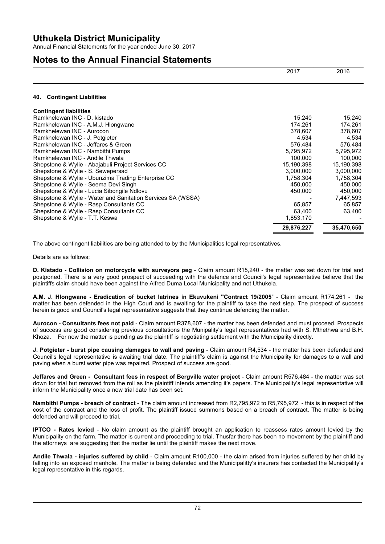Annual Financial Statements for the year ended June 30, 2017

## **Notes to the Annual Financial Statements**

|                                                             | 2017       | 2016       |
|-------------------------------------------------------------|------------|------------|
| <b>Contingent Liabilities</b><br>40.                        |            |            |
| <b>Contingent liabilities</b>                               |            |            |
| Ramkhelewan INC - D. kistado                                | 15,240     | 15,240     |
| Ramkhelewan INC - A.M.J. Hlongwane                          | 174,261    | 174,261    |
| Ramkhelewan INC - Aurocon                                   | 378,607    | 378,607    |
| Ramkhelewan INC - J. Potgieter                              | 4,534      | 4,534      |
| Ramkhelewan INC - Jeffares & Green                          | 576,484    | 576,484    |
| Ramkhelewan INC - Nambithi Pumps                            | 5,795,972  | 5,795,972  |
| Ramkhelewan INC - Andile Thwala                             | 100,000    | 100,000    |
| Shepstone & Wylie - Abajabuli Project Services CC           | 15,190,398 | 15,190,398 |
| Shepstone & Wylie - S. Sewepersad                           | 3,000,000  | 3,000,000  |
| Shepstone & Wylie - Ubunzima Trading Enterprise CC          | 1,758,304  | 1,758,304  |
| Shepstone & Wylie - Seema Devi Singh                        | 450,000    | 450,000    |
| Shepstone & Wylie - Lucia Sibongile Ndlovu                  | 450,000    | 450,000    |
| Shepstone & Wylie - Water and Sanitation Services SA (WSSA) |            | 7,447,593  |
| Shepstone & Wylie - Rasp Consultants CC                     | 65,857     | 65,857     |
| Shepstone & Wylie - Rasp Consultants CC                     | 63,400     | 63,400     |
| Shepstone & Wylie - T.T. Keswa                              | 1,853,170  |            |
|                                                             | 29,876,227 | 35,470,650 |

The above contingent liabilities are being attended to by the Municipalities legal representatives.

Details are as follows;

**D. Kistado - Collision on motorcycle with surveyors peg** - Claim amount R15,240 - the matter was set down for trial and postponed. There is a very good prospect of succeeding with the defence and Council's legal representative believe that the plaintiffs claim should have been against the Alfred Duma Local Municipality and not Uthukela.

**A.M. J. Hlongwane - Eradication of bucket latrines in Ekuvukeni "Contract 19/2005**" - Claim amount R174,261 - the matter has been defended in the High Court and is awaiting for the plaintiff to take the next step. The prospect of success herein is good and Council's legal representative suggests that they continue defending the matter.

**Aurocon - Consultants fees not paid** - Claim amount R378,607 - the matter has been defended and must proceed. Prospects of success are good considering previous consultations the Munipality's legal representatives had with S. Mthethwa and B.H. Khoza. For now the matter is pending as the plaintiff is negotiating settlement with the Municipality directly.

**J. Potgieter - burst pipe causing damages to wall and paving** - Claim amount R4,534 - the matter has been defended and Council's legal representative is awaiting trial date. The plaintiff's claim is against the Municipality for damages to a wall and paving when a burst water pipe was repaired. Prospect of success are good.

**Jeffares and Green - Consultant fees in respect of Bergville water project** - Claim amount R576,484 - the matter was set down for trial but removed from the roll as the plaintiff intends amending it's papers. The Municipality's legal representative will inform the Municipality once a new trial date has been set.

**Nambithi Pumps - breach of contract** - The claim amount increased from R2,795,972 to R5,795,972 - this is in respect of the cost of the contract and the loss of profit. The plaintiff issued summons based on a breach of contract. The matter is being defended and will proceed to trial.

**IPTCO - Rates levied** - No claim amount as the plaintiff brought an application to reassess rates amount levied by the Municipality on the farm. The matter is current and proceeding to trial. Thusfar there has been no movement by the plaintiff and the attorneys are suggesting that the matter lie until the plaintiff makes the next move.

**Andile Thwala - injuries suffered by child** - Claim amount R100,000 - the claim arised from injuries suffered by her child by falling into an exposed manhole. The matter is being defended and the Municipalitty's insurers has contacted the Municipality's legal representative in this regards.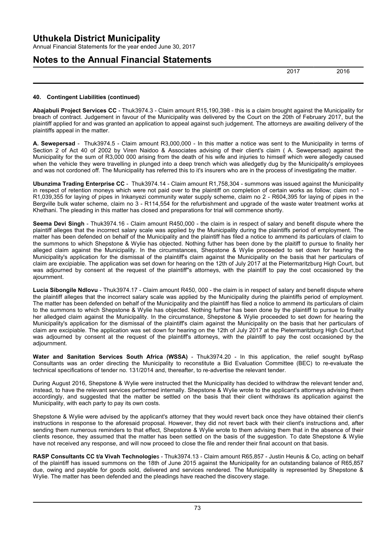Annual Financial Statements for the year ended June 30, 2017

### **Notes to the Annual Financial Statements**

2017 2016

#### **40. Contingent Liabilities (continued)**

**Abajabuli Project Services CC** - Thuk3974.3 - Claim amount R15,190,398 - this is a claim brought against the Municipality for breach of contract. Judgement in favour of the Municipality was delivered by the Court on the 20th of February 2017, but the plaintiff applied for and was granted an application to appeal against such judgement. The attorneys are awaiting delivery of the plaintiffs appeal in the matter.

**A. Sewepersad** - Thuk3974.5 - Claim amount R3,000,000 - In this matter a notice was sent to the Municipality in terms of Section 2 of Act 40 of 2002 by Viren Naidoo & Associates advising of their client's claim ( A. Sewepersad) against the Municipality for the sum of R3,000 000 arising from the death of his wife and injuries to himself which were allegedly caused when the vehicle they were travelling in plunged into a deep trench which was alledgetly dug by the Municipality's employees and was not cordoned off. The Municipality has referred this to it's insurers who are in the process of investigating the matter.

**Ubunzima Trading Enterprise CC** - Thuk3974.14 - Claim amount R1,758,304 - summons was issued against the Municipality in respect of retention moneys which were not paid over to the plaintiff on completion of certain works as follow; claim no1 - R1,039,355 for laying of pipes in Inkanyezi community water supply scheme, claim no 2 - R604,395 for laying of pipes in the Bergville bulk water scheme, claim no 3 - R114,554 for the refurbishment and upgrade of the waste water treatment works at Khethani. The pleading in this matter has closed and preparations for trial will commence shortly.

**Seema Devi Singh** - Thuk3974.16 - Claim amount R450,000 - the claim is in respect of salary and benefit dispute where the plaintiff alleges that the incorrect salary scale was applied by the Municipality during the plaintiffs period of employment. The matter has been defended on behalf of the Municipality and the plaintiff has filed a notice to ammend its particulars of claim to the summons to which Shepstone & Wylie has objected. Nothing futher has been done by the plaitiff to pursue to finality her alleged claim against the Municipality. In the circumstances, Shepstone & Wylie proceeded to set down for hearing the Municipality's application for the dismissal of the plaintiff's claim against the Municipality on the basis that her particulars of claim are excipiable. The application was set down for hearing on the 12th of July 2017 at the Pietermaritzburg High Court, but was adjourned by consent at the request of the plaintiff''s attorneys, with the plaintiff to pay the cost occasioned by the ajournment.

**Lucia Sibongile Ndlovu** - Thuk3974.17 - Claim amount R450, 000 - the claim is in respect of salary and benefit dispute where the plaintiff alleges that the incorrect salary scale was applied by the Municipality during the plaintiffs period of employment. The matter has been defended on behalf of the Municipality and the plaintiff has filed a notice to ammend its particulars of claim to the summons to which Shepstone & Wylie has objected. Nothing further has been done by the plaintiff to pursue to finality her alledged claim against the Municipality. In the circumstance, Shepstone & Wylie proceeded to set down for hearing the Municipality's application for the dismissal of the plaintiff's claim against the Municipality on the basis that her particulars of claim are excipiable. The application was set down for hearing on the 12th of July 2017 at the Pietermaritzburg High Court,but was adjourned by consent at the request of the plaintiff's attorneys, with the plaintiff to pay the cost occasioned by the adjournment.

**Water and Sanitation Services South Africa (WSSA)** - Thuk3974.20 - In this application, the relief sought byRasp Consultants was an order directing the Municipality to reconstitute a Bid Evaluation Committee (BEC) to re-evaluate the technical specifications of tender no. 131/2014 and, thereafter, to re-advertise the relevant tender.

During August 2016, Shepstone & Wylie were instructed thet the Municipality has decided to withdraw the relevant tender and, instead, to have the relevant services performed internally. Shepstone & Wylie wrote to the applicant's attorneys advising them accordingly, and suggested that the matter be settled on the basis that their client withdraws its application against the Municipality, with each party to pay its own costs.

Shepstone & Wylie were advised by the applicant's attorney that they would revert back once they have obtained their client's instructions in response to the aforesaid proposal. However, they did not revert back with their client's instructions and, after sending them numerous reminders to that effect, Shepstone & Wylie wrote to them advising them that in the absence of their clients resonce, they assumed that the matter has been settled on the basis of the suggestion. To date Shepstone & Wylie have not received any response, and will now proceed to close the file and render their final account on that basis.

**RASP Consultants CC t/a Vivah Technologie**s - Thuk3974.13 - Claim amount R65,857 - Justin Heunis & Co, acting on behalf of the plaintiff has issued summons on the 18th of June 2015 against the Municipality for an outstanding balance of R65,857 due, owing and payable for goods sold, delivered and services rendered. The Municipality is represented by Shepstone & Wylie. The matter has been defended and the pleadings have reached the discovery stage.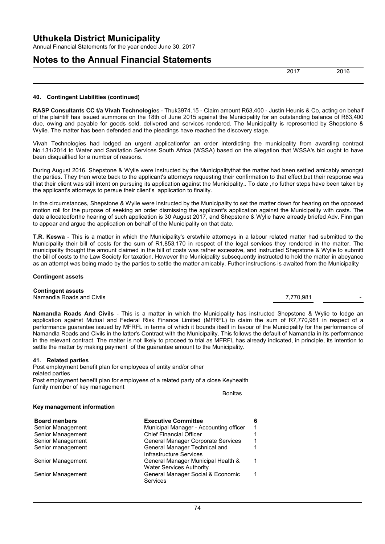Annual Financial Statements for the year ended June 30, 2017

### **Notes to the Annual Financial Statements**

2017 2016

#### **40. Contingent Liabilities (continued)**

**RASP Consultants CC t/a Vivah Technologie**s - Thuk3974.15 - Claim amount R63,400 - Justin Heunis & Co, acting on behalf of the plaintiff has issued summons on the 18th of June 2015 against the Municipality for an outstanding balance of R63,400 due, owing and payable for goods sold, delivered and services rendered. The Municipality is represented by Shepstone & Wylie. The matter has been defended and the pleadings have reached the discovery stage.

Vivah Technologies had lodged an urgent applicationfor an order interdicting the municipality from awarding contract No.131/2014 to Water and Sanitation Services South Africa (WSSA) based on the allegation that WSSA's bid ought to have been disquailfied for a number of reasons.

During August 2016. Shepstone & Wylie were instructed by the Municipalitythat the matter had been settled amicably amongst the parties. They then wrote back to the applicant's attorneys requesting their confirmation to that effect,but their response was that their client was still intent on pursuing its application against the Municipality.. To date ,no futher steps have been taken by the applicant's attorneys to persue their client's application to finality.

In the circumstances, Shepstone & Wylie were instructed by the Municipality to set the matter down for hearing on the opposed motion roll for the purpose of seeking an order dismissing the applicant's application against the Municipality with costs. The date allocatedforthe hearing of such application is 30 August 2017, and Shepstone & Wylie have already briefed Adv. Finnigan to appear and argue the application on behalf of the Municipality on that date.

**T.R. Keswa** - This is a matter in which the Municipality's erstwhile attorneys in a labour related matter had submitted to the Municipality their bill of costs for the sum of R1,853,170 in respect of the legal services they rendered in the matter. The municipality thought the amount claimed in the bill of costs was rather excessive, and instructed Shepstone & Wylie to submitt the bill of costs to the Law Society for taxation. However the Municipality subsequently instructed to hold the matter in abeyance as an attempt was being made by the parties to settle the matter amicably. Futher instructions is awaited from the Municipality

#### **Contingent assets**

#### **Contingent assets**

Namandla Roads and Civils 7,770,981 - 2008 - 2009 - 2009 - 2014 - 2014 - 2014 - 2014 - 2014 - 2014 - 2014 - 20

**Namandla Roads And Civils** - This is a matter in which the Municipality has instructed Shepstone & Wylie to lodge an application against Mutual and Federal Risk Finance Limited (MFRFL) to claim the sum of R7,770,981 in respect of a performance guarantee issued by MFRFL in terms of which it bounds itself in favour of the Municipality for the performance of Namandla Roads and Civils in the latter's Contract with the Municipality. This follows the default of Namandla in its performance in the relevant contract. The matter is not likely to proceed to trial as MFRFL has already indicated, in principle, its intention to settle the matter by making payment of the guarantee amount to the Municipality.

#### **41. Related parties**

Post employment benefit plan for employees of entity and/or other related parties Post employment benefit plan for employees of a related party of a close Keyhealth family member of key management

Bonitas

#### **Key management information**

| <b>Board menbers</b> | <b>Executive Committee</b>             |  |
|----------------------|----------------------------------------|--|
| Senior Management    | Municipal Manager - Accounting officer |  |
| Senior Management    | <b>Chief Financial Officer</b>         |  |
| Senior Management    | General Manager Corporate Services     |  |
| Senior management    | General Manager Technical and          |  |
|                      | Infrastructure Services                |  |
| Senior Management    | General Manager Municipal Health &     |  |
|                      | <b>Water Services Authority</b>        |  |
| Senior Management    | General Manager Social & Economic      |  |
|                      | Services                               |  |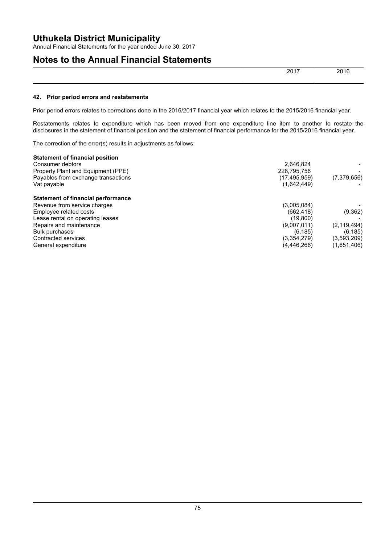Annual Financial Statements for the year ended June 30, 2017

## **Notes to the Annual Financial Statements**

2017 2016

#### **42. Prior period errors and restatements**

Prior period errors relates to corrections done in the 2016/2017 financial year which relates to the 2015/2016 financial year.

Restatements relates to expenditure which has been moved from one expenditure line item to another to restate the disclosures in the statement of financial position and the statement of financial performance for the 2015/2016 financial year.

The correction of the error(s) results in adjustments as follows:

| <b>Statement of financial position</b>    |                |               |
|-------------------------------------------|----------------|---------------|
| Consumer debtors                          | 2.646.824      |               |
| Property Plant and Equipment (PPE)        | 228,795,756    |               |
| Payables from exchange transactions       | (17, 495, 959) | (7,379,656)   |
| Vat payable                               | (1,642,449)    |               |
| <b>Statement of financial performance</b> |                |               |
| Revenue from service charges              | (3,005,084)    |               |
| Employee related costs                    | (662, 418)     | (9,362)       |
| Lease rental on operating leases          | (19,800)       |               |
| Repairs and maintenance                   | (9,007,011)    | (2, 119, 494) |
| Bulk purchases                            | (6, 185)       | (6, 185)      |
| Contracted services                       | (3,354,279)    | (3,593,209)   |
| General expenditure                       | (4,446,266)    | (1,651,406)   |
|                                           |                |               |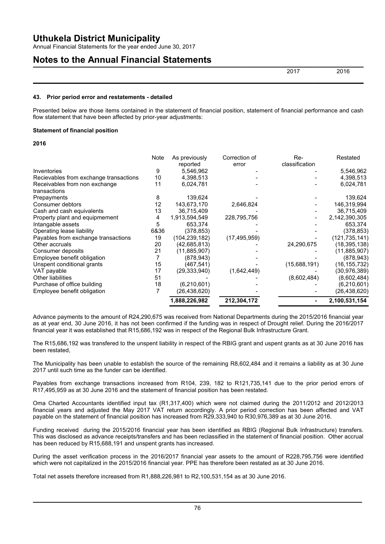Annual Financial Statements for the year ended June 30, 2017

# **Notes to the Annual Financial Statements**

2017 2016

#### **43. Prior period error and restatements - detailed**

Presented below are those items contained in the statement of financial position, statement of financial performance and cash flow statement that have been affected by prior-year adjustments:

#### **Statement of financial position**

#### **2016**

|                                               | Note | As previously   | Correction of  | Re-            | Restated        |
|-----------------------------------------------|------|-----------------|----------------|----------------|-----------------|
|                                               |      | reported        | error          | classification |                 |
| Inventories                                   | 9    | 5,546,962       |                |                | 5,546,962       |
| Recievables from exchange transactions        | 10   | 4,398,513       |                |                | 4,398,513       |
| Receivables from non exchange<br>transactions | 11   | 6,024,781       |                |                | 6,024,781       |
| Prepayments                                   | 8    | 139,624         |                |                | 139,624         |
| Consumer debtors                              | 12   | 143,673,170     | 2,646,824      |                | 146,319,994     |
| Cash and cash equivalents                     | 13   | 36,715,409      |                |                | 36,715,409      |
| Property plant and equipmement                | 4    | 1,913,594,549   | 228,795,756    |                | 2,142,390,305   |
| Intangable assets                             | 5    | 653,374         |                |                | 653,374         |
| Operating lease liability                     | 6&36 | (378, 853)      |                |                | (378, 853)      |
| Payables from exchange transactions           | 19   | (104, 239, 182) | (17, 495, 959) |                | (121, 735, 141) |
| Other accruals                                | 20   | (42,685,813)    |                | 24,290,675     | (18, 395, 138)  |
| Consumer deposits                             | 21   | (11, 885, 907)  |                |                | (11,885,907)    |
| Employee benefit obligation                   |      | (878, 943)      |                |                | (878, 943)      |
| Unspent conditional grants                    | 15   | (467, 541)      |                | (15,688,191)   | (16, 155, 732)  |
| VAT payable                                   | 17   | (29, 333, 940)  | (1,642,449)    |                | (30, 976, 389)  |
| <b>Other liabilities</b>                      | 51   |                 |                | (8,602,484)    | (8,602,484)     |
| Purchase of office building                   | 18   | (6,210,601)     |                |                | (6, 210, 601)   |
| Employee benefit obligation                   |      | (26, 438, 620)  |                |                | (26, 438, 620)  |
|                                               |      | 1,888,226,982   | 212,304,172    |                | 2,100,531,154   |

Advance payments to the amount of R24,290,675 was received from National Departments during the 2015/2016 financial year as at year end, 30 June 2016, it has not been confirmed if the funding was in respect of Drought relief. During the 2016/2017 financial year it was established that R15,686,192 was in respect of the Regional Bulk Infrastructure Grant.

The R15,686,192 was transfered to the unspent liability in respect of the RBIG grant and uspent grants as at 30 June 2016 has been restated,

The Municipality has been unable to establish the source of the remaining R8,602,484 and it remains a liability as at 30 June 2017 until such time as the funder can be identified.

Payables from exchange transactions increased from R104, 239, 182 to R121,735,141 due to the prior period errors of R17,495,959 as at 30 June 2016 and the statement of financial position has been restated.

Oma Charted Accountants identified input tax (R1,317,400) which were not claimed during the 2011/2012 and 2012/2013 financial years and adjusted the May 2017 VAT return accordingly. A prior period correction has been affected and VAT payable on the statement of financial position has increased from R29,333,940 to R30,976,389 as at 30 June 2016.

Funding received during the 2015/2016 financial year has been identified as RBIG (Regional Bulk Infrastructure) transfers. This was disclosed as advance receipts/transfers and has been reclassified in the statement of financial position. Other accrual has been reduced by R15,688,191 and unspent grants has increased.

During the asset verification process in the 2016/2017 financial year assets to the amount of R228,795,756 were identified which were not capitalized in the 2015/2016 financial year. PPE has therefore been restated as at 30 June 2016.

Total net assets therefore increased from R1,888,226,981 to R2,100,531,154 as at 30 June 2016.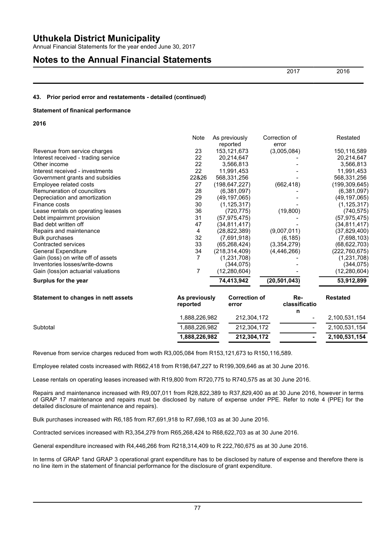Annual Financial Statements for the year ended June 30, 2017

# **Notes to the Annual Financial Statements**

2017 2016

#### **43. Prior period error and restatements - detailed (continued)**

#### **Statement of finanical performance**

**2016**

|                                     | Note                      | As previously<br>reported     | Correction of<br>error | Restated        |
|-------------------------------------|---------------------------|-------------------------------|------------------------|-----------------|
| Revenue from service charges        | 23                        | 153,121,673                   | (3,005,084)            | 150,116,589     |
| Interest received - trading service | 22                        | 20,214,647                    |                        | 20,214,647      |
| Other income                        | 22                        | 3,566,813                     |                        | 3,566,813       |
| Interest received - investments     | 22                        | 11,991,453                    |                        | 11,991,453      |
| Government grants and subsidies     | 22&26                     | 568,331,256                   |                        | 568,331,256     |
| Employee related costs              | 27                        | (198, 647, 227)               | (662, 418)             | (199,309,645)   |
| Remuneration of councillors         | 28                        | (6,381,097)                   |                        | (6, 381, 097)   |
| Depreciation and amortization       | 29                        | (49, 197, 065)                |                        | (49, 197, 065)  |
| Finance costs                       | 30                        | (1, 125, 317)                 |                        | (1, 125, 317)   |
| Lease rentals on operating leases   | 36                        | (720, 775)                    | (19, 800)              | (740, 575)      |
| Debt impairmrnt provision           | 31                        | (57, 975, 475)                |                        | (57, 975, 475)  |
| Bad debt written off                | 47                        | (34, 811, 417)                |                        | (34, 811, 417)  |
| Repairs and maintenance             | 4                         | (28, 822, 389)                | (9,007,011)            | (37,829,400)    |
| <b>Bulk purchases</b>               | 32                        | (7,691,918)                   | (6, 185)               | (7,698,103)     |
| Contracted services                 | 33                        | (65, 268, 424)                | (3,354,279)            | (68, 622, 703)  |
| <b>General Expenditure</b>          | 34                        | (218, 314, 409)               | (4,446,266)            | (222, 760, 675) |
| Gain (loss) on write off of assets  |                           | (1,231,708)                   |                        | (1, 231, 708)   |
| Inventories losses/write-downs      |                           | (344, 075)                    |                        | (344,075)       |
| Gain (loss) on actuarial valuations | 7                         | (12, 280, 604)                |                        | (12, 280, 604)  |
| Surplus for the year                |                           | 74,413,942                    | (20, 501, 043)         | 53,912,899      |
| Statement to changes in nett assets | As previously<br>reported | <b>Correction of</b><br>error | Re-<br>classificatio   | <b>Restated</b> |

|          | reported      | error       | <b>CIASSITICATIO</b>     |               |
|----------|---------------|-------------|--------------------------|---------------|
|          |               |             |                          |               |
|          | 1,888,226,982 | 212,304,172 | $\overline{\phantom{a}}$ | 2,100,531,154 |
| Subtotal | 1.888.226.982 | 212,304,172 | $\overline{\phantom{a}}$ | 2,100,531,154 |
|          | 1,888,226,982 | 212,304,172 | -                        | 2,100,531,154 |
|          |               |             |                          |               |

Revenue from service charges reduced from woth R3,005,084 from R153,121,673 to R150,116,589.

Employee related costs increased with R662,418 from R198,647,227 to R199,309,646 as at 30 June 2016.

Lease rentals on operating leases increased with R19,800 from R720,775 to R740,575 as at 30 June 2016.

Repairs and maintenance increased with R9,007,011 from R28,822,389 to R37,829,400 as at 30 June 2016, however in terms of GRAP 17 maintenance and repairs must be disclosed by nature of expense under PPE. Refer to note 4 (PPE) for the detailed disclosure of maintenance and repairs).

Bulk purchases increased with R6,185 from R7,691,918 to R7,698,103 as at 30 June 2016.

Contracted services increased with R3,354,279 from R65,268,424 to R68,622,703 as at 30 June 2016.

General expenditure increased with R4,446,266 from R218,314,409 to R 222,760,675 as at 30 June 2016.

In terms of GRAP 1and GRAP 3 operational grant expenditure has to be disclosed by nature of expense and therefore there is no line item in the statement of financial performance for the disclosure of grant expenditure.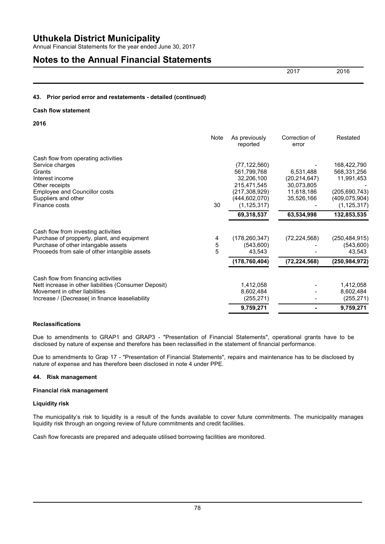Annual Financial Statements for the year ended June 30, 2017

### **Notes to the Annual Financial Statements**

| . . |  |
|-----|--|
|     |  |

#### **43. Prior period error and restatements - detailed (continued)**

#### **Cash flow statement**

**2016**

|                                                       | Note | As previously<br>reported | Correction of<br>error | Restated        |
|-------------------------------------------------------|------|---------------------------|------------------------|-----------------|
| Cash flow from operating activities                   |      |                           |                        |                 |
| Service charges                                       |      | (77, 122, 560)            |                        | 168,422,790     |
| Grants                                                |      | 561,799,768               | 6,531,488              | 568,331,256     |
| Interest income                                       |      | 32,206,100                | (20, 214, 647)         | 11,991,453      |
| Other receipts                                        |      | 215,471,545               | 30,073,805             |                 |
| <b>Employee and Councillor costs</b>                  |      | (217, 308, 929)           | 11,618,186             | (205, 690, 743) |
| Suppliers and other                                   |      | (444, 602, 070)           | 35,526,166             | (409, 075, 904) |
| Finance costs                                         | 30   | (1, 125, 317)             |                        | (1, 125, 317)   |
|                                                       |      | 69,318,537                | 63,534,998             | 132,853,535     |
| Cash flow from investing activities                   |      |                           |                        |                 |
| Purchase of propperty, plant, and equipment           | 4    | (178, 260, 347)           | (72, 224, 568)         | (250, 484, 915) |
| Purchase of other intangable assets                   | 5    | (543,600)                 |                        | (543,600)       |
| Proceeds from sale of other intangible assets         | 5    | 43,543                    |                        | 43,543          |
|                                                       |      | (178, 760, 404)           | (72, 224, 568)         | (250, 984, 972) |
| Cash flow from financing activities                   |      |                           |                        |                 |
| Nett increase in other liabilities (Consumer Deposit) |      | 1,412,058                 |                        | 1,412,058       |
| Movement in other liabilities                         |      | 8,602,484                 |                        | 8,602,484       |
| Increase / (Decrease( in finance leaseliability       |      | (255, 271)                |                        | (255, 271)      |
|                                                       |      | 9,759,271                 |                        | 9,759,271       |

#### **Reclassifications**

Due to amendments to GRAP1 and GRAP3 - "Presentation of Financial Statements", operational grants have to be disclosed by nature of expense and therefore has been reclassified in the statement of financial performance.

Due to amendments to Grap 17 - "Presentation of Financial Statements", repairs and maintenance has to be disclosed by nature of expense and has therefore been disclosed in note 4 under PPE.

#### **44. Risk management**

#### **Financial risk management**

#### **Liquidity risk**

The municipality's risk to liquidity is a result of the funds available to cover future commitments. The municipality manages liquidity risk through an ongoing review of future commitments and credit facilities.

Cash flow forecasts are prepared and adequate utilised borrowing facilities are monitored.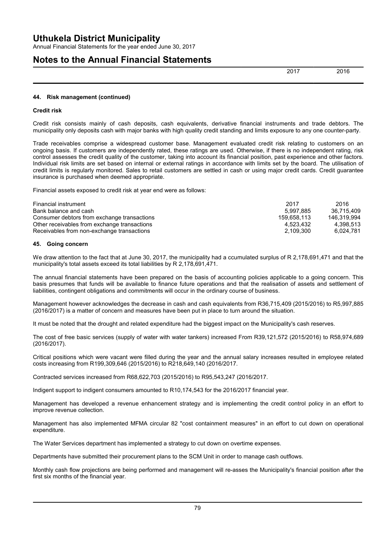Annual Financial Statements for the year ended June 30, 2017

### **Notes to the Annual Financial Statements**

2017 2016

#### **44. Risk management (continued)**

#### **Credit risk**

Credit risk consists mainly of cash deposits, cash equivalents, derivative financial instruments and trade debtors. The municipality only deposits cash with major banks with high quality credit standing and limits exposure to any one counter-party.

Trade receivables comprise a widespread customer base. Management evaluated credit risk relating to customers on an ongoing basis. If customers are independently rated, these ratings are used. Otherwise, if there is no independent rating, risk control assesses the credit quality of the customer, taking into account its financial position, past experience and other factors. Individual risk limits are set based on internal or external ratings in accordance with limits set by the board. The utilisation of credit limits is regularly monitored. Sales to retail customers are settled in cash or using major credit cards. Credit guarantee insurance is purchased when deemed appropriate.

Financial assets exposed to credit risk at year end were as follows:

| Financial instrument                         | 2017        | 2016        |
|----------------------------------------------|-------------|-------------|
| Bank balance and cash                        | 5.997.885   | 36.715.409  |
| Consumer debtors from exchange transactions  | 159.658.113 | 146.319.994 |
| Other receivables from exchange transactions | 4.523.432   | 4.398.513   |
| Receivables from non-exchange transactions   | 2.109.300   | 6.024.781   |

#### **45. Going concern**

We draw attention to the fact that at June 30, 2017, the municipality had a ccumulated surplus of R 2,178,691,471 and that the municipality's total assets exceed its total liabilities by R 2,178,691,471.

The annual financial statements have been prepared on the basis of accounting policies applicable to a going concern. This basis presumes that funds will be available to finance future operations and that the realisation of assets and settlement of liabilities, contingent obligations and commitments will occur in the ordinary course of business.

Management however acknowledges the decrease in cash and cash equivalents from R36,715,409 (2015/2016) to R5,997,885 (2016/2017) is a matter of concern and measures have been put in place to turn around the situation.

It must be noted that the drought and related expenditure had the biggest impact on the Municipality's cash reserves.

The cost of free basic services (supply of water with water tankers) increased From R39,121,572 (2015/2016) to R58,974,689 (2016/2017).

Critical positions which were vacant were filled during the year and the annual salary increases resulted in employee related costs increasing from R199,309,646 (2015/2016) to R218,649,140 (2016/2017.

Contracted services increased from R68,622,703 (2015/2016) to R95,543,247 (2016/2017.

Indigent support to indigent consumers amounted to R10,174,543 for the 2016/2017 financial year.

Management has developed a revenue enhancement strategy and is implementing the credit control policy in an effort to improve revenue collection.

Management has also implemented MFMA circular 82 "cost containment measures" in an effort to cut down on operational expenditure.

The Water Services department has implemented a strategy to cut down on overtime expenses.

Departments have submitted their procurement plans to the SCM Unit in order to manage cash outflows.

Monthly cash flow projections are being performed and management will re-asses the Municipality's financial position after the first six months of the financial year.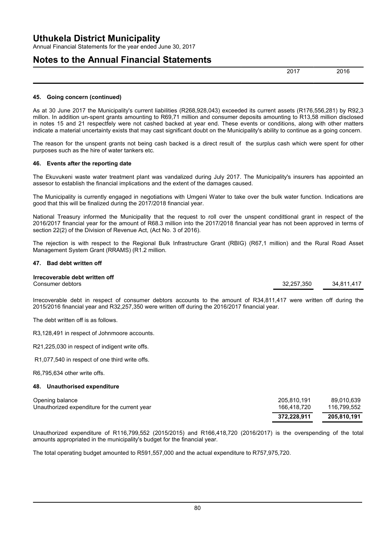Annual Financial Statements for the year ended June 30, 2017

### **Notes to the Annual Financial Statements**

2017 2016

#### **45. Going concern (continued)**

As at 30 June 2017 the Municipality's current liabilities (R268,928,043) exceeded its current assets (R176,556,281) by R92,3 millon. In addition un-spent grants amounting to R69,71 million and consumer deposits amounting to R13,58 million disclosed in notes 15 and 21 respectfely were not cashed backed at year end. These events or conditions, along with other matters indicate a material uncertainty exists that may cast significant doubt on the Municipality's ability to continue as a going concern.

The reason for the unspent grants not being cash backed is a direct result of the surplus cash which were spent for other purposes such as the hire of water tankers etc.

#### **46. Events after the reporting date**

The Ekuvukeni waste water treatment plant was vandalized during July 2017. The Municipality's insurers has appointed an assesor to establish the financial implications and the extent of the damages caused.

The Municipality is currently engaged in negotiations with Umgeni Water to take over the bulk water function. Indications are good that this will be finalized during the 2017/2018 financial year.

National Treasury informed the Municipality that the request to roll over the unspent condittional grant in respect of the 2016/2017 financial year for the amount of R68.3 million into the 2017/2018 financial year has not been approved in terms of section 22(2) of the Division of Revenue Act, (Act No. 3 of 2016).

The rejection is with respect to the Regional Bulk Infrastructure Grant (RBIG) (R67,1 million) and the Rural Road Asset Management System Grant (RRAMS) (R1.2 million.

#### **47. Bad debt written off**

#### **Irrecoverable debt written off**

Consumer debtors 32,257,350 34,811,417

Irrecoverable debt in respect of consumer debtors accounts to the amount of R34,811,417 were written off during the 2015/2016 financial year and R32,257,350 were written off during the 2016/2017 financial year.

The debt written off is as follows.

R3,128,491 in respect of Johnmoore accounts.

R21,225,030 in respect of indigent write offs.

R1,077,540 in respect of one third write offs.

R6,795,634 other write offs.

#### **48. Unauthorised expenditure**

|                                               | 372.228.911 | 205.810.191 |
|-----------------------------------------------|-------------|-------------|
| Unauthorized expenditure for the current year | 166.418.720 | 116.799.552 |
| Opening balance                               | 205.810.191 | 89.010.639  |

Unauthorized expenditure of R116,799,552 (2015/2015) and R166,418,720 (2016/2017) is the overspending of the total amounts appropriated in the municipality's budget for the financial year.

The total operating budget amounted to R591,557,000 and the actual expenditure to R757,975,720.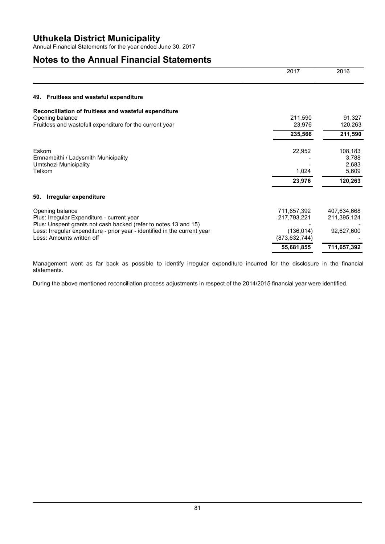Annual Financial Statements for the year ended June 30, 2017

### **Notes to the Annual Financial Statements**

|                                                                                                                                  | 2017                        | 2016                       |
|----------------------------------------------------------------------------------------------------------------------------------|-----------------------------|----------------------------|
| <b>Fruitless and wasteful expenditure</b><br>49.                                                                                 |                             |                            |
| Reconcilliation of fruitless and wasteful expenditure                                                                            |                             |                            |
| Opening balance                                                                                                                  | 211,590                     | 91,327                     |
| Fruitless and wastefull expenditure for the current year                                                                         | 23,976                      | 120,263                    |
|                                                                                                                                  | 235,566                     | 211,590                    |
| Eskom<br>Emnambithi / Ladysmith Municipality                                                                                     | 22,952                      | 108,183<br>3,788<br>2,683  |
| Umtshezi Municipality<br>Telkom                                                                                                  | 1,024                       | 5,609                      |
|                                                                                                                                  | 23,976                      | 120,263                    |
| Irregular expenditure<br>50.                                                                                                     |                             |                            |
| Opening balance<br>Plus: Irregular Expenditure - current year<br>Plus: Unspent grants not cash backed (refer to notes 13 and 15) | 711,657,392<br>217,793,221  | 407,634,668<br>211,395,124 |
| Less: Irregular expenditure - prior year - identified in the current year<br>Less: Amounts written off                           | (136, 014)<br>(873,632,744) | 92,627,600                 |
|                                                                                                                                  | 55,681,855                  | 711,657,392                |

Management went as far back as possible to identify irregular expenditure incurred for the disclosure in the financial statements.

During the above mentioned reconciliation process adjustments in respect of the 2014/2015 financial year were identified.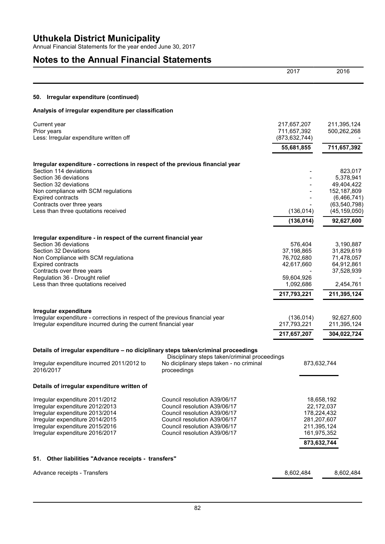Annual Financial Statements for the year ended June 30, 2017

### **Notes to the Annual Financial Statements**

|                                                                                                                                                                                                                                                                                                   |                                                                                                                                                                                              | 2017                                                                         | 2016                                                                                                               |
|---------------------------------------------------------------------------------------------------------------------------------------------------------------------------------------------------------------------------------------------------------------------------------------------------|----------------------------------------------------------------------------------------------------------------------------------------------------------------------------------------------|------------------------------------------------------------------------------|--------------------------------------------------------------------------------------------------------------------|
| Irregular expenditure (continued)<br>50.                                                                                                                                                                                                                                                          |                                                                                                                                                                                              |                                                                              |                                                                                                                    |
| Analysis of irregular expenditure per classification                                                                                                                                                                                                                                              |                                                                                                                                                                                              |                                                                              |                                                                                                                    |
| Current year<br>Prior years<br>Less: Irregular expenditure written off                                                                                                                                                                                                                            |                                                                                                                                                                                              | 217,657,207<br>711,657,392<br>(873, 632, 744)<br>55,681,855                  | 211,395,124<br>500,262,268<br>711,657,392                                                                          |
|                                                                                                                                                                                                                                                                                                   |                                                                                                                                                                                              |                                                                              |                                                                                                                    |
| Irregular expenditure - corrections in respect of the previous financial year<br>Section 114 deviations<br>Section 36 deviations<br>Section 32 deviations<br>Non compliance with SCM regulations<br><b>Expired contracts</b><br>Contracts over three years<br>Less than three quotations received |                                                                                                                                                                                              | (136, 014)<br>(136, 014)                                                     | 823,017<br>5,378,941<br>49,404,422<br>152,187,809<br>(6,466,741)<br>(63, 540, 798)<br>(45, 159, 050)<br>92,627,600 |
| Irregular expenditure - in respect of the current financial year<br>Section 36 deviations<br>Section 32 Deviations<br>Non Compliance with SCM regulationa<br><b>Expired contracts</b><br>Contracts over three years<br>Regulation 36 - Drought relief<br>Less than three quotations received      |                                                                                                                                                                                              | 576,404<br>37,198,865<br>76,702,680<br>42,617,660<br>59,604,926<br>1,092,686 | 3,190,887<br>31,829,619<br>71,478,057<br>64,912,861<br>37,528,939<br>2,454,761                                     |
|                                                                                                                                                                                                                                                                                                   |                                                                                                                                                                                              | 217,793,221                                                                  | 211,395,124                                                                                                        |
| Irregular expenditure<br>Irregular expenditure - corrections in respect of the previous financial year<br>Irregular expenditure incurred during the current financial year                                                                                                                        |                                                                                                                                                                                              | (136, 014)<br>217,793,221<br>217,657,207                                     | 92,627,600<br>211,395,124<br>304,022,724                                                                           |
| Details of irregular expenditure - no diciplinary steps taken/criminal proceedings                                                                                                                                                                                                                |                                                                                                                                                                                              |                                                                              |                                                                                                                    |
| Irregular expenditure incurred 2011/2012 to<br>2016/2017                                                                                                                                                                                                                                          | Disciplinary steps taken/criminal proceedings<br>No diciplinary steps taken - no criminal<br>proceedings                                                                                     | 873,632,744                                                                  |                                                                                                                    |
| Details of irregular expenditure written of                                                                                                                                                                                                                                                       |                                                                                                                                                                                              |                                                                              |                                                                                                                    |
| Irregular expenditure 2011/2012<br>Irregular expenditure 2012/2013<br>Irregular expenditure 2013/2014<br>Irregular expenditure 2014/2015<br>Irregular expenditure 2015/2016<br>Irregular expenditure 2016/2017                                                                                    | Council resolution A39/06/17<br>Council resolution A39/06/17<br>Council resolution A39/06/17<br>Council resolution A39/06/17<br>Council resolution A39/06/17<br>Council resolution A39/06/17 | 281,207,607<br>211,395,124                                                   | 18,658,192<br>22,172,037<br>178,224,432<br>161,975,352<br>873,632,744                                              |
| Other liabilities "Advance receipts - transfers"<br>51.                                                                                                                                                                                                                                           |                                                                                                                                                                                              |                                                                              |                                                                                                                    |
| Advance receipts - Transfers                                                                                                                                                                                                                                                                      |                                                                                                                                                                                              | 8,602,484                                                                    | 8,602,484                                                                                                          |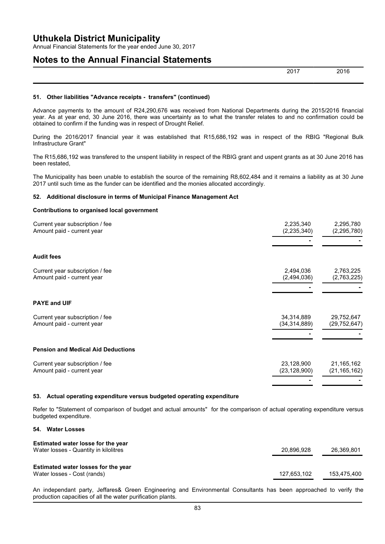Annual Financial Statements for the year ended June 30, 2017

### **Notes to the Annual Financial Statements**

2017 2016

#### **51. Other liabilities "Advance receipts - transfers" (continued)**

Advance payments to the amount of R24,290,676 was received from National Departments during the 2015/2016 financial year. As at year end, 30 June 2016, there was uncertainty as to what the transfer relates to and no confirmation could be obtained to confirm if the funding was in respect of Drought Relief.

During the 2016/2017 financial year it was established that R15,686,192 was in respect of the RBIG "Regional Bulk Infrastructure Grant"

The R15,686,192 was transfered to the unspent liability in respect of the RBIG grant and uspent grants as at 30 June 2016 has been restated,

The Municipality has been unable to establish the source of the remaining R8,602,484 and it remains a liability as at 30 June 2017 until such time as the funder can be identified and the monies allocated accordingly.

#### **52. Additional disclosure in terms of Municipal Finance Management Act**

#### **Contributions to organised local government**

| Current year subscription / fee           | 2,235,340      | 2,295,780      |
|-------------------------------------------|----------------|----------------|
| Amount paid - current year                | (2, 235, 340)  | (2, 295, 780)  |
| <b>Audit fees</b>                         |                |                |
| Current year subscription / fee           | 2,494,036      | 2,763,225      |
| Amount paid - current year                | (2,494,036)    | (2,763,225)    |
| <b>PAYE and UIF</b>                       |                |                |
| Current year subscription / fee           | 34,314,889     | 29,752,647     |
| Amount paid - current year                | (34, 314, 889) | (29, 752, 647) |
| <b>Pension and Medical Aid Deductions</b> |                |                |
| Current year subscription / fee           | 23,128,900     | 21,165,162     |
| Amount paid - current year                | (23, 128, 900) | (21, 165, 162) |

#### **53. Actual operating expenditure versus budgeted operating expenditure**

Refer to "Statement of comparison of budget and actual amounts" for the comparison of actual operating expenditure versus budgeted expenditure.

#### **54. Water Losses**

| Estimated water losse for the year<br>Water losses - Quantity in kilolitres | 20.896.928  | 26.369.801  |
|-----------------------------------------------------------------------------|-------------|-------------|
| Estimated water losses for the year<br>Water losses - Cost (rands)          | 127.653.102 | 153.475.400 |

An independant party, Jeffares& Green Engineering and Environmental Consultants has been approached to verify the production capacities of all the water purification plants.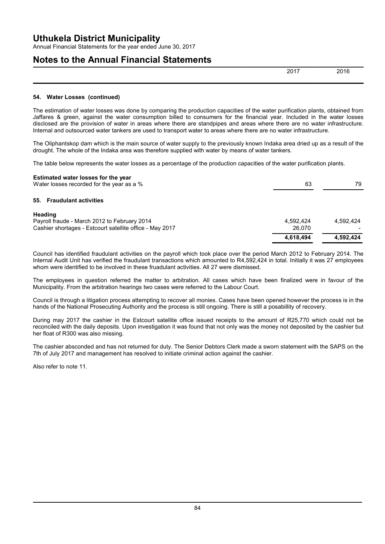Annual Financial Statements for the year ended June 30, 2017

## **Notes to the Annual Financial Statements**

2017 2016

#### **54. Water Losses (continued)**

The estimation of water losses was done by comparing the production capacities of the water purification plants, obtained from Jaffares & green, against the water consumption billed to consumers for the financial year. Included in the water losses disclosed are the provision of water in areas where there are standpipes and areas where there are no water infrastructure. Internal and outsourced water tankers are used to transport water to areas where there are no water infrastructure.

The Oliphantskop dam which is the main source of water supply to the previously known Indaka area dried up as a result of the drought. The whole of the Indaka area was therefore supplied with water by means of water tankers.

The table below represents the water losses as a percentage of the production capacities of the water purification plants.

| Estimated water losses for the year<br>Water losses recorded for the year as a % | 63        | 79        |
|----------------------------------------------------------------------------------|-----------|-----------|
| 55. Fraudulant activities                                                        |           |           |
| Heading                                                                          |           |           |
| Payroll fraude - March 2012 to February 2014                                     | 4.592.424 | 4.592.424 |
| Cashier shortages - Estcourt satellite office - May 2017                         | 26.070    |           |
|                                                                                  | 4,618,494 | 4,592,424 |

Council has identified fraudulant activities on the payroll which took place over the period March 2012 to February 2014. The Internal Audit Unit has verified the fraudulant transactions which amounted to R4,592,424 in total. Initially it was 27 employees whom were identified to be involved in these fruadulant activities. All 27 were dismissed.

The employees in question referred the matter to arbitration. All cases which have been finalized were in favour of the Municipality. From the arbitration hearings two cases were referred to the Labour Court.

Council is through a litigation process attempting to recover all monies. Cases have been opened however the process is in the hands of the National Prosecuting Authority and the process is still ongoing. There is still a posabillity of recovery.

During may 2017 the cashier in the Estcourt satellite office issued receipts to the amount of R25,770 which could not be reconciled with the daily deposits. Upon investigation it was found that not only was the money not deposited by the cashier but her float of R300 was also missing.

The cashier absconded and has not returned for duty. The Senior Debtors Clerk made a sworn statement with the SAPS on the 7th of July 2017 and management has resolved to initiate criminal action against the cashier.

Also refer to note 11.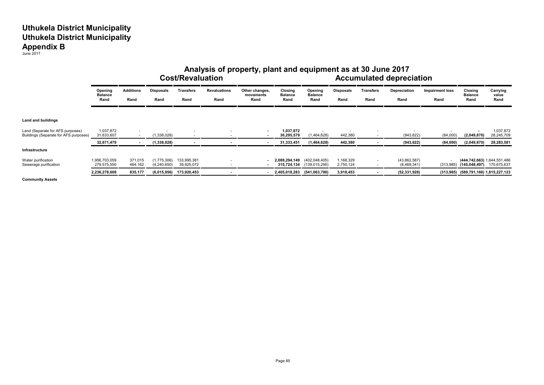|                                                                           |                                   |                          |                            | <b>Cost/Revaluation</b>   |                             |                                            | Analysis of property, plant and equipment as at 30 June 2017<br><b>Accumulated depreciation</b> |                                    |                          |                   |                             |                                |                                                          |                           |
|---------------------------------------------------------------------------|-----------------------------------|--------------------------|----------------------------|---------------------------|-----------------------------|--------------------------------------------|-------------------------------------------------------------------------------------------------|------------------------------------|--------------------------|-------------------|-----------------------------|--------------------------------|----------------------------------------------------------|---------------------------|
|                                                                           | Opening<br><b>Balance</b><br>Rand | <b>Additions</b><br>Rand | <b>Disposals</b><br>Rand   | Transfers<br>Rand         | <b>Revaluations</b><br>Rand | Other changes,<br>movements<br>Rand        | Closing<br><b>Balance</b><br>Rand                                                               | Opening<br><b>Balance</b><br>Rand  | <b>Disposals</b><br>Rand | Transfers<br>Rand | Depreciation<br>Rand        | <b>Impairment loss</b><br>Rand | Closing<br><b>Balance</b><br>Rand                        | Carrying<br>value<br>Rand |
| Land and buildings                                                        |                                   |                          |                            |                           |                             |                                            |                                                                                                 |                                    |                          |                   |                             |                                |                                                          |                           |
| Land (Separate for AFS purposes)<br>Buildings (Separate for AFS purposes) | 1,037,872<br>31,633,607           |                          | (1,338,028)                |                           |                             | $\blacksquare$<br>$\overline{\phantom{a}}$ | 1,037,872<br>30,295,579                                                                         | (1,464,628)                        | 442,380                  |                   | (943, 622)                  | (84,000)                       | (2,049,870)                                              | 1,037,872<br>28,245,709   |
|                                                                           | 32,671,479                        |                          | (1,338,028)                |                           |                             |                                            | 31,333,451                                                                                      | (1,464,628)                        | 442,380                  |                   | (943, 622)                  | (84,000)                       | (2,049,870)                                              | 29,283,581                |
| Infrastructure                                                            |                                   |                          |                            |                           |                             |                                            |                                                                                                 |                                    |                          |                   |                             |                                |                                                          |                           |
| Water purification<br>Sewerage purification                               | 1,956,703,059<br>279,575,550      | 371,015<br>464,162       | (1,775,306)<br>(4,240,650) | 133,995,381<br>39,925,072 |                             | $\overline{\phantom{a}}$                   | 2,089,294,149<br>315,724,134                                                                    | (402, 048, 405)<br>(139, 015, 295) | 1,168,329<br>2,750,124   |                   | (43,862,587)<br>(8,469,341) | (313,985)                      | (444,742,663) 1,644,551,486<br>(145,048,497) 170,675,637 |                           |
|                                                                           | 2,236,278,609                     | 835,177                  |                            | $(6,015,956)$ 173,920,453 |                             |                                            | 2,405,018,283                                                                                   | (541,063,700)                      | 3,918,453                |                   | (52, 331, 928)              | (313, 985)                     | (589,791,160) 1,815,227,123                              |                           |

**Community Assets**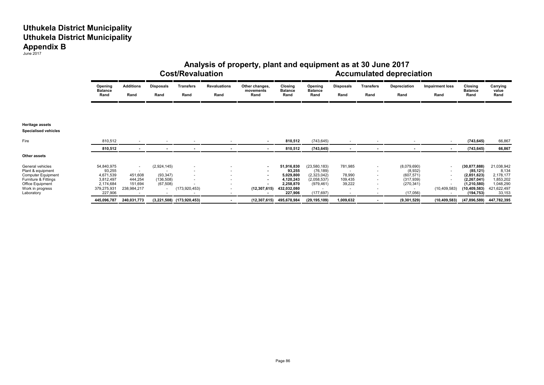| June 2017 |  |
|-----------|--|

|                                                                                                                                           |                                                                                       |                                                   |                                                     | <b>Cost/Revaluation</b>  |                             |                                                                                          |                                                                                       | Analysis of property, plant and equipment as at 30 June 2017<br><b>Accumulated depreciation</b> |                                               |                                                             |                                                                              |                                                                        |                                                                                                              |                                                                                     |
|-------------------------------------------------------------------------------------------------------------------------------------------|---------------------------------------------------------------------------------------|---------------------------------------------------|-----------------------------------------------------|--------------------------|-----------------------------|------------------------------------------------------------------------------------------|---------------------------------------------------------------------------------------|-------------------------------------------------------------------------------------------------|-----------------------------------------------|-------------------------------------------------------------|------------------------------------------------------------------------------|------------------------------------------------------------------------|--------------------------------------------------------------------------------------------------------------|-------------------------------------------------------------------------------------|
|                                                                                                                                           | Opening<br><b>Balance</b><br>Rand                                                     | <b>Additions</b><br>Rand                          | <b>Disposals</b><br>Rand                            | <b>Transfers</b><br>Rand | <b>Revaluations</b><br>Rand | Other changes,<br>movements<br>Rand                                                      | Closing<br><b>Balance</b><br>Rand                                                     | Opening<br><b>Balance</b><br>Rand                                                               | <b>Disposals</b><br>Rand                      | Transfers<br>Rand                                           | Depreciation<br>Rand                                                         | <b>Impairment loss</b><br>Rand                                         | Closing<br><b>Balance</b><br>Rand                                                                            | Carrying<br>value<br>Rand                                                           |
|                                                                                                                                           |                                                                                       |                                                   |                                                     |                          |                             |                                                                                          |                                                                                       |                                                                                                 |                                               |                                                             |                                                                              |                                                                        |                                                                                                              |                                                                                     |
| <b>Heritage assets</b><br><b>Specialised vehicles</b>                                                                                     |                                                                                       |                                                   |                                                     |                          |                             |                                                                                          |                                                                                       |                                                                                                 |                                               |                                                             |                                                                              |                                                                        |                                                                                                              |                                                                                     |
| Fire                                                                                                                                      | 810,512                                                                               |                                                   |                                                     |                          |                             |                                                                                          | 810,512                                                                               | (743, 645)                                                                                      |                                               |                                                             |                                                                              |                                                                        | (743, 645)                                                                                                   | 66,867                                                                              |
|                                                                                                                                           | 810,512                                                                               |                                                   |                                                     |                          |                             |                                                                                          | 810,512                                                                               | (743, 645)                                                                                      | $\sim$                                        |                                                             |                                                                              |                                                                        | (743, 645)                                                                                                   | 66,867                                                                              |
| Other assets                                                                                                                              |                                                                                       |                                                   |                                                     |                          |                             |                                                                                          |                                                                                       |                                                                                                 |                                               |                                                             |                                                                              |                                                                        |                                                                                                              |                                                                                     |
| General vehicles<br>Plant & equipment<br>Computer Equipment<br>Furniture & Fittings<br>Office Equipment<br>Work in progress<br>Laboratory | 54,840,975<br>93,255<br>4,671,539<br>3,812,497<br>2,174,684<br>379,275,931<br>227,906 | ٠<br>451,608<br>444,254<br>151,694<br>238,984,217 | (2,924,145)<br>(93, 347)<br>(136, 508)<br>(67, 508) | (173, 920, 453)          | ۰                           | $\sim$<br>$\blacksquare$<br>$\blacksquare$<br>$\overline{\phantom{a}}$<br>(12, 307, 615) | 51,916,830<br>93,255<br>5,029,800<br>4,120,243<br>2,258,870<br>432,032,080<br>227,906 | (23, 580, 183)<br>(76, 189)<br>(2,323,042)<br>(2,058,537)<br>(979, 461)<br>(177, 697)           | 781,985<br>78,990<br>109,435<br>39,222<br>. . | $\sim$<br>$\sim$<br>٠<br>$\sim$<br>$\overline{\phantom{a}}$ | (8,079,690)<br>(8,932)<br>(607, 571)<br>(317, 939)<br>(270, 341)<br>(17,056) | $\overline{\phantom{a}}$<br>$\overline{\phantom{a}}$<br>(10, 409, 583) | (30, 877, 888)<br>(85, 121)<br>(2,851,623)<br>(2, 267, 041)<br>(1, 210, 580)<br>(10, 409, 583)<br>(194, 753) | 21,038,942<br>8,134<br>2,178,177<br>1,853,202<br>1,048,290<br>421,622,497<br>33,153 |

445,096,787 240,031,773 (3,221,508) (173,920,453) - (12,307,615) 495,678,984 (29,195,109) 1,009,632 (9,301,529) (10,409,583) (47,896,589) 447,782,395

Page 86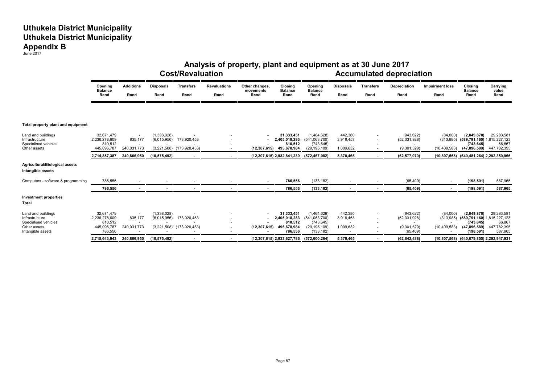|                                                                                                   |                                                                  |                                                    |                                           | <b>Cost/Revaluation</b>                      |                             |                                     |                                                                  | Analysis of property, plant and equipment as at 30 June 2017<br><b>Accumulated depreciation</b> |                                             |                               |                                                          |                                         |                                                                                          |                                               |
|---------------------------------------------------------------------------------------------------|------------------------------------------------------------------|----------------------------------------------------|-------------------------------------------|----------------------------------------------|-----------------------------|-------------------------------------|------------------------------------------------------------------|-------------------------------------------------------------------------------------------------|---------------------------------------------|-------------------------------|----------------------------------------------------------|-----------------------------------------|------------------------------------------------------------------------------------------|-----------------------------------------------|
|                                                                                                   | Opening<br><b>Balance</b><br>Rand                                | <b>Additions</b><br>Rand                           | <b>Disposals</b><br>Rand                  | <b>Transfers</b><br>Rand                     | <b>Revaluations</b><br>Rand | Other changes,<br>movements<br>Rand | Closing<br><b>Balance</b><br>Rand                                | Opening<br><b>Balance</b><br>Rand                                                               | <b>Disposals</b><br>Rand                    | <b>Transfers</b><br>Rand      | Depreciation<br>Rand                                     | <b>Impairment loss</b><br>Rand          | Closing<br><b>Balance</b><br>Rand                                                        | Carrying<br>value<br>Rand                     |
| Total property plant and equipment                                                                |                                                                  |                                                    |                                           |                                              |                             |                                     |                                                                  |                                                                                                 |                                             |                               |                                                          |                                         |                                                                                          |                                               |
| Land and buildings<br>Infrastructure<br>Specialised vehicles<br>Other assets                      | 32,671,479<br>2,236,278,609<br>810,512<br>445,096,787            | $\overline{\phantom{a}}$<br>835,177<br>240,031,773 | (1,338,028)<br>(6,015,956)<br>(3,221,508) | 173,920,453<br>(173, 920, 453)               |                             | (12, 307, 615)                      | 31,333,451<br>2,405,018,283<br>810,512<br>495,678,984            | (1,464,628)<br>(541,063,700)<br>(743, 645)<br>(29, 195, 109)                                    | 442,380<br>3,918,453<br>1,009,632           | $\sim$                        | (943, 622)<br>(52, 331, 928)<br>(9,301,529)              | (84,000)<br>(313,985)<br>(10, 409, 583) | (2,049,870)<br>(589,791,160) 1,815,227,123<br>(743, 645)<br>(47, 896, 589)               | 29,283,58<br>66,867<br>447,782,395            |
|                                                                                                   | 2,714,857,387                                                    | 240,866,950                                        | (10.575, 492)                             | $\sim$                                       |                             |                                     | (12,307,615) 2,932,841,230                                       | (572, 467, 082)                                                                                 | 5,370,465                                   | $\sim$                        | (62, 577, 079)                                           |                                         | (10,807,568) (640,481,264) 2,292,359,966                                                 |                                               |
| Agricultural/Biological assets<br>Intangible assets                                               |                                                                  |                                                    |                                           |                                              |                             |                                     |                                                                  |                                                                                                 |                                             |                               |                                                          |                                         |                                                                                          |                                               |
| Computers - software & programming                                                                | 786,556                                                          |                                                    |                                           |                                              |                             |                                     | 786,556                                                          | (133, 182)                                                                                      |                                             |                               | (65, 409)                                                |                                         | (198, 591)                                                                               | 587,965                                       |
|                                                                                                   | 786,556                                                          |                                                    |                                           | $\overline{\phantom{a}}$                     |                             |                                     | 786.556                                                          | (133, 182)                                                                                      | $\sim$                                      | $\overline{a}$                | (65, 409)                                                |                                         | (198, 591)                                                                               | 587,965                                       |
| <b>Investment properties</b><br>Total                                                             |                                                                  |                                                    |                                           |                                              |                             |                                     |                                                                  |                                                                                                 |                                             |                               |                                                          |                                         |                                                                                          |                                               |
| Land and buildings<br>Infrastructure<br>Specialised vehicles<br>Other assets<br>Intangible assets | 32,671,479<br>2,236,278,609<br>810,512<br>445,096,787<br>786,556 | $\overline{\phantom{a}}$<br>835,177<br>240,031,773 | (1,338,028)<br>(6,015,956)                | 173,920,453<br>$(3,221,508)$ $(173,920,453)$ |                             | (12, 307, 615)                      | 31,333,451<br>2,405,018,283<br>810.512<br>495,678,984<br>786,556 | (1,464,628)<br>(541,063,700)<br>(743, 645)<br>(29, 195, 109)<br>(133, 182)                      | 442,380<br>3,918,453<br>1,009,632<br>$\sim$ | $\overline{\phantom{a}}$<br>٠ | (943, 622)<br>(52, 331, 928)<br>(9,301,529)<br>(65, 409) | (84,000)<br>(313,985)<br>(10, 409, 583) | (2,049,870)<br>(589,791,160) 1,815,227,123<br>(743, 645)<br>(47, 896, 589)<br>(198, 591) | 29,283,58<br>66,867<br>447,782,395<br>587,965 |
|                                                                                                   | 2,715,643,943                                                    | 240,866,950                                        | (10, 575, 492)                            | $\overline{\phantom{a}}$                     |                             |                                     | (12,307,615) 2,933,627,786                                       | (572,600,264)                                                                                   | 5,370,465                                   | $\blacksquare$                | (62, 642, 488)                                           |                                         | (10,807,568) (640,679,855) 2,292,947,931                                                 |                                               |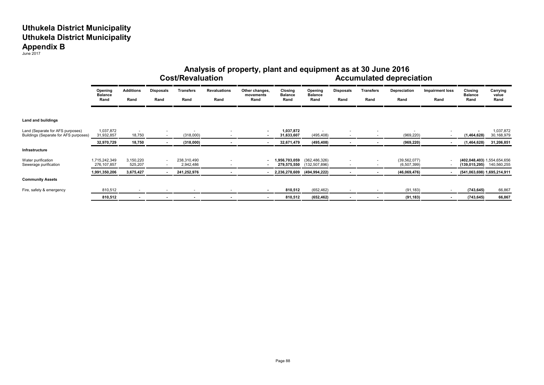|                                                                           |                                   |                          |                          | <b>Cost/Revaluation</b>  |                             |                                     |                                   | Analysis of property, plant and equipment as at 30 June 2016<br><b>Accumulated depreciation</b> |                          |                          |                                 |                                |                                   |                                                              |
|---------------------------------------------------------------------------|-----------------------------------|--------------------------|--------------------------|--------------------------|-----------------------------|-------------------------------------|-----------------------------------|-------------------------------------------------------------------------------------------------|--------------------------|--------------------------|---------------------------------|--------------------------------|-----------------------------------|--------------------------------------------------------------|
|                                                                           | Opening<br><b>Balance</b><br>Rand | <b>Additions</b><br>Rand | <b>Disposals</b><br>Rand | Transfers<br>Rand        | <b>Revaluations</b><br>Rand | Other changes,<br>movements<br>Rand | Closing<br><b>Balance</b><br>Rand | Opening<br><b>Balance</b><br>Rand                                                               | <b>Disposals</b><br>Rand | Transfers<br>Rand        | Depreciation<br>Rand            | <b>Impairment loss</b><br>Rand | Closing<br><b>Balance</b><br>Rand | Carrying<br>value<br>Rand                                    |
| <b>Land and buildings</b>                                                 |                                   |                          |                          |                          |                             |                                     |                                   |                                                                                                 |                          |                          |                                 |                                |                                   |                                                              |
| Land (Separate for AFS purposes)<br>Buildings (Separate for AFS purposes) | 1,037,872<br>31,932,857           | 18,750                   |                          | (318,000)                |                             | $\sim$                              | 1,037,872<br>31,633,607           | (495, 408)                                                                                      |                          |                          | (969, 220)                      |                                | (1,464,628)                       | 1,037,872<br>30,168,979                                      |
|                                                                           | 32,970,729                        | 18,750                   | $\sim$                   | (318,000)                |                             |                                     | 32,671,479                        | (495, 408)                                                                                      | $\sim$                   | $\,$ –                   | (969, 220)                      |                                | (1,464,628)                       | 31,206,851                                                   |
| Infrastructure                                                            |                                   |                          |                          |                          |                             |                                     |                                   |                                                                                                 |                          |                          |                                 |                                |                                   |                                                              |
| Water purification<br>Sewerage purification                               | 1,715,242,349<br>276,107,857      | 3,150,220<br>525,207     |                          | 238,310,490<br>2,942,486 |                             | $\sim$                              | 1,956,703,059                     | (362, 486, 326)<br>279,575,550 (132,507,896)                                                    |                          |                          | (39, 562, 077)<br>(6, 507, 399) | $\overline{\phantom{a}}$       |                                   | (402,048,403) 1,554,654,656<br>$(139,015,295)$ $140,560,255$ |
|                                                                           | 1,991,350,206                     | 3,675,427                | $\blacksquare$           | 241,252,976              |                             |                                     |                                   | 2,236,278,609 (494,994,222)                                                                     | $\blacksquare$           |                          | (46,069,476)                    |                                |                                   | (541,063,698) 1,695,214,911                                  |
| <b>Community Assets</b>                                                   |                                   |                          |                          |                          |                             |                                     |                                   |                                                                                                 |                          |                          |                                 |                                |                                   |                                                              |
| Fire, safety & emergency                                                  | 810,512                           | $\sim$                   |                          |                          |                             | $\sim$                              | 810,512                           | (652, 462)                                                                                      | $\overline{\phantom{a}}$ | $\overline{\phantom{a}}$ | (91, 183)                       |                                | (743, 645)                        | 66,867                                                       |
|                                                                           | 810,512                           | $\sim$                   | $\blacksquare$           |                          |                             |                                     | 810,512                           | (652, 462)                                                                                      | $\blacksquare$           |                          | (91, 183)                       |                                | (743, 645)                        | 66,867                                                       |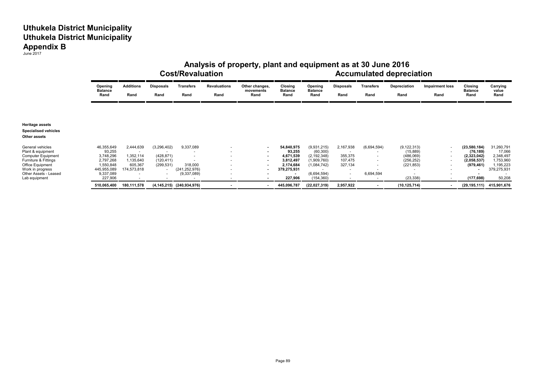|                                                                                       |                                                    | Analysis of property, plant and equipment as at 30 June 2016<br><b>Accumulated depreciation</b><br><b>Cost/Revaluation</b> |                           |                                           |                                                                                  |                                     |                                       |                                           |                              |                                       |                                         |                                                                |                                          |                                       |  |
|---------------------------------------------------------------------------------------|----------------------------------------------------|----------------------------------------------------------------------------------------------------------------------------|---------------------------|-------------------------------------------|----------------------------------------------------------------------------------|-------------------------------------|---------------------------------------|-------------------------------------------|------------------------------|---------------------------------------|-----------------------------------------|----------------------------------------------------------------|------------------------------------------|---------------------------------------|--|
|                                                                                       | Opening<br><b>Balance</b><br>Rand                  | <b>Additions</b><br>Rand                                                                                                   | <b>Disposals</b><br>Rand  | Transfers<br>Rand                         | <b>Revaluations</b><br>Rand                                                      | Other changes,<br>movements<br>Rand | Closing<br><b>Balance</b><br>Rand     | Opening<br><b>Balance</b><br>Rand         | <b>Disposals</b><br>Rand     | Transfers<br>Rand                     | Depreciation<br>Rand                    | <b>Impairment loss</b><br>Rand                                 | Closing<br><b>Balance</b><br>Rand        | Carrying<br>value<br>Rand             |  |
| Heritage assets                                                                       |                                                    |                                                                                                                            |                           |                                           |                                                                                  |                                     |                                       |                                           |                              |                                       |                                         |                                                                |                                          |                                       |  |
| Specialised vehicles<br>Other assets                                                  |                                                    |                                                                                                                            |                           |                                           |                                                                                  |                                     |                                       |                                           |                              |                                       |                                         |                                                                |                                          |                                       |  |
| General vehicles<br>Plant & equipment<br>Computer Equipment                           | 46,355,649<br>93,255<br>3,748,296                  | 2,444,639<br>1,352,114                                                                                                     | (3,296,402)<br>(428, 871) | 9,337,089                                 |                                                                                  | $\sim$<br>$\sim$<br>$\sim$          | 54,840,975<br>93,255<br>4,671,539     | (9,931,215)<br>(60, 300)<br>(2, 192, 348) | 2,167,938<br>355,375         | (6,694,594)                           | (9, 122, 313)<br>(15, 889)<br>(486,069) |                                                                | (23,580,184)<br>(76, 189)<br>(2,323,042) | 31,260,791<br>17,066<br>2,348,497     |  |
| Furniture & Fittings<br>Office Equipment<br>Work in progress<br>Other Assets - Leased | 2,797,268<br>1,550,848<br>445,955,089<br>9,337,089 | 1,135,640<br>605,367<br>174,573,818                                                                                        | (120, 411)<br>(299, 531)  | 318,000<br>(241, 252, 976)<br>(9,337,089) | $\overline{\phantom{a}}$<br>$\overline{\phantom{a}}$<br>$\overline{\phantom{a}}$ | $\sim$                              | 3,812,497<br>2,174,684<br>379,275,931 | (1,909,760)<br>(1,084,742)<br>(6,694,594) | 107,475<br>327,134<br>$\sim$ | $\overline{\phantom{a}}$<br>6,694,594 | (256, 252)<br>(221, 853)                | $\overline{\phantom{a}}$<br>$\overline{\phantom{a}}$<br>$\sim$ | (2,058,537)<br>(979, 461)                | 1,753,960<br>1,195,223<br>379,275,931 |  |
| Lab equipment                                                                         | 227,906                                            |                                                                                                                            |                           |                                           |                                                                                  |                                     | 227,906                               | (154, 360)                                |                              |                                       | (23, 338)                               |                                                                | (177, 698)                               | 50,208                                |  |

**510,065,400 180,111,578 (4,145,215) (240,934,976) - - 445,096,787 (22,027,319) 2,957,922 - (10,125,714) - (29,195,111) 415,901,676**

Page 89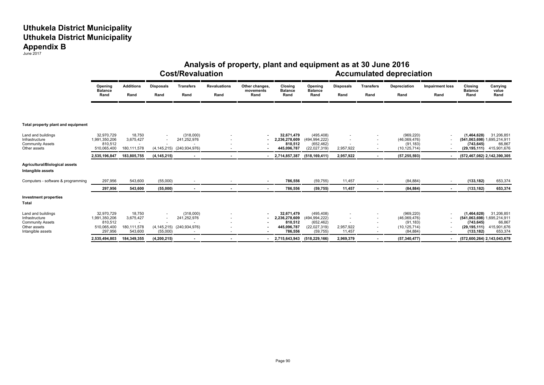|                                                                                                      |                                                                                                                                                                                             |                                               |                           |                                                                       |  |                                   | Analysis of property, plant and equipment as at 30 June 2016     |                                                                        |                               |                          |                                                                        |                                   |                                                                                          |                                                |
|------------------------------------------------------------------------------------------------------|---------------------------------------------------------------------------------------------------------------------------------------------------------------------------------------------|-----------------------------------------------|---------------------------|-----------------------------------------------------------------------|--|-----------------------------------|------------------------------------------------------------------|------------------------------------------------------------------------|-------------------------------|--------------------------|------------------------------------------------------------------------|-----------------------------------|------------------------------------------------------------------------------------------|------------------------------------------------|
|                                                                                                      |                                                                                                                                                                                             |                                               |                           | <b>Cost/Revaluation</b>                                               |  |                                   | <b>Accumulated depreciation</b>                                  |                                                                        |                               |                          |                                                                        |                                   |                                                                                          |                                                |
|                                                                                                      | <b>Additions</b><br><b>Disposals</b><br>Opening<br><b>Transfers</b><br><b>Revaluations</b><br>Other changes,<br><b>Balance</b><br>movements<br>Rand<br>Rand<br>Rand<br>Rand<br>Rand<br>Rand |                                               |                           |                                                                       |  | Closing<br><b>Balance</b><br>Rand | Opening<br><b>Balance</b><br>Rand                                | <b>Disposals</b><br>Rand                                               | <b>Transfers</b><br>Rand      | Depreciation<br>Rand     | <b>Impairment loss</b><br>Rand                                         | Closing<br><b>Balance</b><br>Rand | Carrying<br>value<br>Rand                                                                |                                                |
|                                                                                                      |                                                                                                                                                                                             |                                               |                           |                                                                       |  |                                   |                                                                  |                                                                        |                               |                          |                                                                        |                                   |                                                                                          |                                                |
| Total property plant and equipment                                                                   |                                                                                                                                                                                             |                                               |                           |                                                                       |  |                                   |                                                                  |                                                                        |                               |                          |                                                                        |                                   |                                                                                          |                                                |
| Land and buildings<br>Infrastructure<br><b>Community Assets</b><br>Other assets                      | 32.970.729<br>1,991,350,206<br>810,512<br>510,065,400                                                                                                                                       | 18.750<br>3,675,427<br>180,111,578            | (4, 145, 215)             | (318,000)<br>241,252,976<br>(240, 934, 976)                           |  |                                   | 32.671.479<br>2,236,278,609<br>810,512<br>445.096.787            | (495, 408)<br>(494, 994, 222)<br>(652, 462)<br>(22,027,319)            | 2,957,922                     | $\overline{\phantom{a}}$ | (969, 220)<br>(46,069,476)<br>(91, 183)<br>(10, 125, 714)              |                                   | (1.464.628)<br>(541,063,698) 1,695,214,911<br>(743, 645)<br>(29, 195, 111)               | 31,206,851<br>66,867<br>415,901,676            |
|                                                                                                      | 2,535,196,847                                                                                                                                                                               | 183,805,755                                   | (4, 145, 215)             | $\blacksquare$                                                        |  |                                   | 2,714,857,387                                                    | (518, 169, 411)                                                        | 2,957,922                     | $\sim$                   | (57, 255, 593)                                                         |                                   | (572,467,082) 2,142,390,305                                                              |                                                |
| Agricultural/Biological assets<br>Intangible assets                                                  |                                                                                                                                                                                             |                                               |                           |                                                                       |  |                                   |                                                                  |                                                                        |                               |                          |                                                                        |                                   |                                                                                          |                                                |
| Computers - software & programming                                                                   | 297,956                                                                                                                                                                                     | 543,600                                       | (55,000)                  |                                                                       |  |                                   | 786,556                                                          | (59, 755)                                                              | 11,457                        |                          | (84, 884)                                                              |                                   | (133, 182)                                                                               | 653,374                                        |
|                                                                                                      | 297,956                                                                                                                                                                                     | 543,600                                       | (55,000)                  | $\blacksquare$                                                        |  |                                   | 786,556                                                          | (59, 755)                                                              | 11,457                        | $\sim$                   | (84, 884)                                                              |                                   | (133, 182)                                                                               | 653,374                                        |
| <b>Investment properties</b><br>Total                                                                |                                                                                                                                                                                             |                                               |                           |                                                                       |  |                                   |                                                                  |                                                                        |                               |                          |                                                                        |                                   |                                                                                          |                                                |
| Land and buildings<br>Infrastructure<br><b>Community Assets</b><br>Other assets<br>Intangible assets | 32,970,729<br>1,991,350,206<br>810,512<br>510,065,400<br>297,956                                                                                                                            | 18.750<br>3,675,427<br>180,111,578<br>543,600 | (4, 145, 215)<br>(55,000) | (318,000)<br>241,252,976<br>(240.934.976)<br>$\overline{\phantom{a}}$ |  |                                   | 32,671,479<br>2,236,278,609<br>810,512<br>445,096,787<br>786,556 | (495, 408)<br>(494,994,222)<br>(652, 462)<br>(22,027,319)<br>(59, 755) | $\sim$<br>2,957,922<br>11,457 |                          | (969, 220)<br>(46,069,476)<br>(91, 183)<br>(10, 125, 714)<br>(84, 884) |                                   | (1,464,628)<br>(541,063,698) 1,695,214,911<br>(743, 645)<br>(29, 195, 111)<br>(133, 182) | 31,206,851<br>66,867<br>415,901,676<br>653,374 |
|                                                                                                      | 2,535,494,803                                                                                                                                                                               | 184,349,355                                   | (4, 200, 215)             |                                                                       |  |                                   | 2,715,643,943 (518,229,166)                                      |                                                                        | 2,969,379                     |                          | (57, 340, 477)                                                         |                                   | (572,600,264) 2,143,043,679                                                              |                                                |

**Analysis of property, plant and equipment as at 30 June 2016**